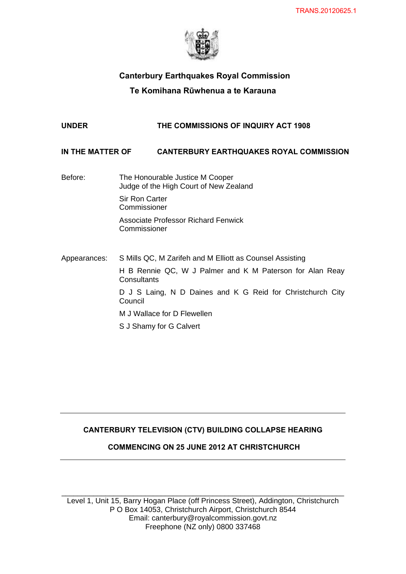

# Canterbury Earthquakes Royal Commission

# Te Komihana **Rūwhenua** a te Karauna

# **UNDER THE COMMISSIONS OF INQUIRY ACT 1908**

# **IN THE MATTER OF CANTERBURY EARTHQUAKES ROYAL COMMISSION**

- Before: The Honourable Justice M Cooper Judge of the High Court of New Zealand Sir Ron Carter Commissioner Associate Professor Richard Fenwick Commissioner
- Appearances: S Mills QC, M Zarifeh and M Elliott as Counsel Assisting H B Rennie QC, W J Palmer and K M Paterson for Alan Reay **Consultants** D J S Laing, N D Daines and K G Reid for Christchurch City **Council** M J Wallace for D Flewellen S J Shamy for G Calvert

# **CANTERBURY TELEVISION (CTV) BUILDING COLLAPSE HEARING**

# **COMMENCING ON 25 JUNE 2012 AT CHRISTCHURCH**

\_\_\_\_\_\_\_\_\_\_\_\_\_\_\_\_\_\_\_\_\_\_\_\_\_\_\_\_\_\_\_\_\_\_\_\_\_\_\_\_\_\_\_\_\_\_\_\_\_\_\_\_\_\_\_\_\_\_\_\_\_\_\_\_\_\_\_\_\_\_\_ Level 1, Unit 15, Barry Hogan Place (off Princess Street), Addington, Christchurch P O Box 14053, Christchurch Airport, Christchurch 8544 Email: canterbury@royalcommission.govt.nz Freephone (NZ only) 0800 337468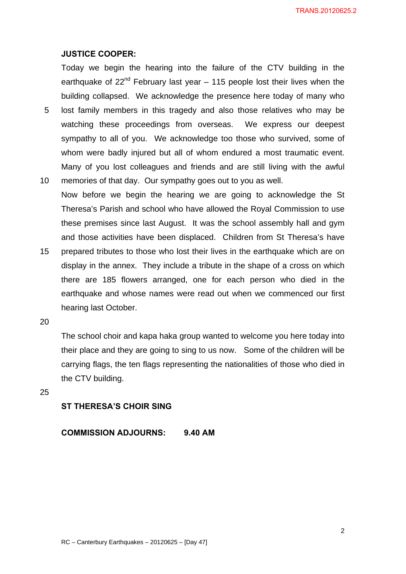# **JUSTICE COOPER:**

Today we begin the hearing into the failure of the CTV building in the earthquake of  $22<sup>nd</sup>$  February last year – 115 people lost their lives when the building collapsed. We acknowledge the presence here today of many who

- 5 lost family members in this tragedy and also those relatives who may be watching these proceedings from overseas. We express our deepest sympathy to all of you. We acknowledge too those who survived, some of whom were badly injured but all of whom endured a most traumatic event. Many of you lost colleagues and friends and are still living with the awful
- 10 memories of that day. Our sympathy goes out to you as well. Now before we begin the hearing we are going to acknowledge the St Theresa's Parish and school who have allowed the Royal Commission to use these premises since last August. It was the school assembly hall and gym and those activities have been displaced. Children from St Theresa's have
- 15 prepared tributes to those who lost their lives in the earthquake which are on display in the annex. They include a tribute in the shape of a cross on which there are 185 flowers arranged, one for each person who died in the earthquake and whose names were read out when we commenced our first hearing last October.
- 20

The school choir and kapa haka group wanted to welcome you here today into their place and they are going to sing to us now. Some of the children will be carrying flags, the ten flags representing the nationalities of those who died in the CTV building.

25

# **ST THERESA'S CHOIR SING**

**COMMISSION ADJOURNS: 9.40 AM**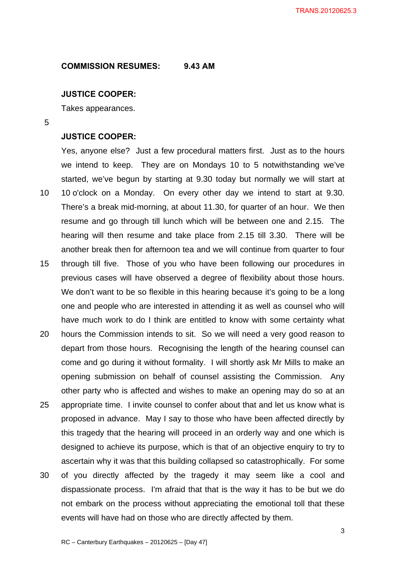#### **COMMISSION RESUMES: 9.43 AM**

# **JUSTICE COOPER:**

Takes appearances.

5

#### **JUSTICE COOPER:**

Yes, anyone else? Just a few procedural matters first. Just as to the hours we intend to keep. They are on Mondays 10 to 5 notwithstanding we've started, we've begun by starting at 9.30 today but normally we will start at 10 10 o'clock on a Monday. On every other day we intend to start at 9.30. There's a break mid-morning, at about 11.30, for quarter of an hour. We then resume and go through till lunch which will be between one and 2.15. The hearing will then resume and take place from 2.15 till 3.30. There will be another break then for afternoon tea and we will continue from quarter to four 15 through till five. Those of you who have been following our procedures in previous cases will have observed a degree of flexibility about those hours. We don't want to be so flexible in this hearing because it's going to be a long one and people who are interested in attending it as well as counsel who will have much work to do I think are entitled to know with some certainty what

- 20 hours the Commission intends to sit. So we will need a very good reason to depart from those hours. Recognising the length of the hearing counsel can come and go during it without formality. I will shortly ask Mr Mills to make an opening submission on behalf of counsel assisting the Commission. Any other party who is affected and wishes to make an opening may do so at an
- 25 appropriate time. I invite counsel to confer about that and let us know what is proposed in advance. May I say to those who have been affected directly by this tragedy that the hearing will proceed in an orderly way and one which is designed to achieve its purpose, which is that of an objective enquiry to try to ascertain why it was that this building collapsed so catastrophically. For some
- 30 of you directly affected by the tragedy it may seem like a cool and dispassionate process. I'm afraid that that is the way it has to be but we do not embark on the process without appreciating the emotional toll that these events will have had on those who are directly affected by them.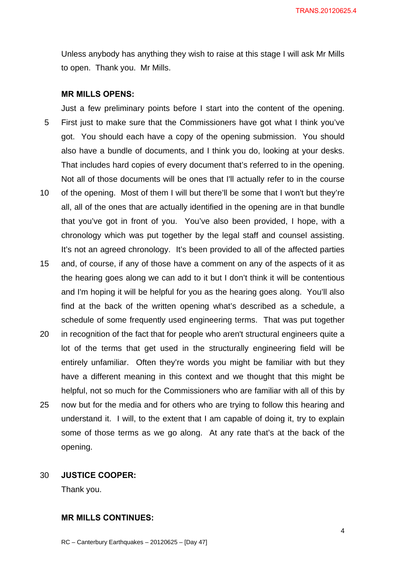Unless anybody has anything they wish to raise at this stage I will ask Mr Mills to open. Thank you. Mr Mills.

# **MR MILLS OPENS:**

Just a few preliminary points before I start into the content of the opening. 5 First just to make sure that the Commissioners have got what I think you've got. You should each have a copy of the opening submission. You should also have a bundle of documents, and I think you do, looking at your desks. That includes hard copies of every document that's referred to in the opening. Not all of those documents will be ones that I'll actually refer to in the course 10 of the opening. Most of them I will but there'll be some that I won't but they're all, all of the ones that are actually identified in the opening are in that bundle that you've got in front of you. You've also been provided, I hope, with a

chronology which was put together by the legal staff and counsel assisting. It's not an agreed chronology. It's been provided to all of the affected parties

- 15 and, of course, if any of those have a comment on any of the aspects of it as the hearing goes along we can add to it but I don't think it will be contentious and I'm hoping it will be helpful for you as the hearing goes along. You'll also find at the back of the written opening what's described as a schedule, a schedule of some frequently used engineering terms. That was put together
- 20 in recognition of the fact that for people who aren't structural engineers quite a lot of the terms that get used in the structurally engineering field will be entirely unfamiliar. Often they're words you might be familiar with but they have a different meaning in this context and we thought that this might be helpful, not so much for the Commissioners who are familiar with all of this by
- 25 now but for the media and for others who are trying to follow this hearing and understand it. I will, to the extent that I am capable of doing it, try to explain some of those terms as we go along. At any rate that's at the back of the opening.

# 30 **JUSTICE COOPER:**

Thank you.

# **MR MILLS CONTINUES:**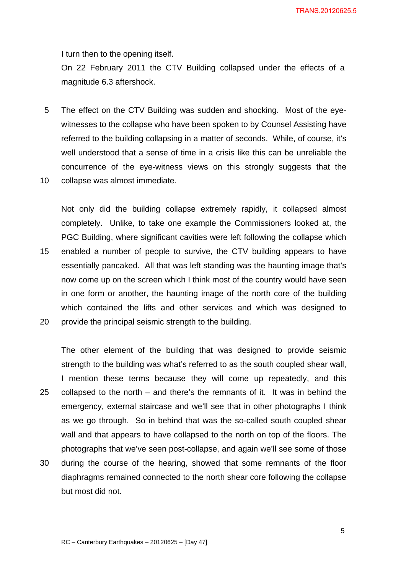I turn then to the opening itself.

On 22 February 2011 the CTV Building collapsed under the effects of a magnitude 6.3 aftershock.

- 5 The effect on the CTV Building was sudden and shocking. Most of the eyewitnesses to the collapse who have been spoken to by Counsel Assisting have referred to the building collapsing in a matter of seconds. While, of course, it's well understood that a sense of time in a crisis like this can be unreliable the concurrence of the eye-witness views on this strongly suggests that the
- 10 collapse was almost immediate.

Not only did the building collapse extremely rapidly, it collapsed almost completely. Unlike, to take one example the Commissioners looked at, the PGC Building, where significant cavities were left following the collapse which 15 enabled a number of people to survive, the CTV building appears to have essentially pancaked. All that was left standing was the haunting image that's now come up on the screen which I think most of the country would have seen in one form or another, the haunting image of the north core of the building which contained the lifts and other services and which was designed to 20 provide the principal seismic strength to the building.

The other element of the building that was designed to provide seismic strength to the building was what's referred to as the south coupled shear wall, I mention these terms because they will come up repeatedly, and this 25 collapsed to the north – and there's the remnants of it. It was in behind the emergency, external staircase and we'll see that in other photographs I think as we go through. So in behind that was the so-called south coupled shear wall and that appears to have collapsed to the north on top of the floors. The photographs that we've seen post-collapse, and again we'll see some of those

30 during the course of the hearing, showed that some remnants of the floor diaphragms remained connected to the north shear core following the collapse but most did not.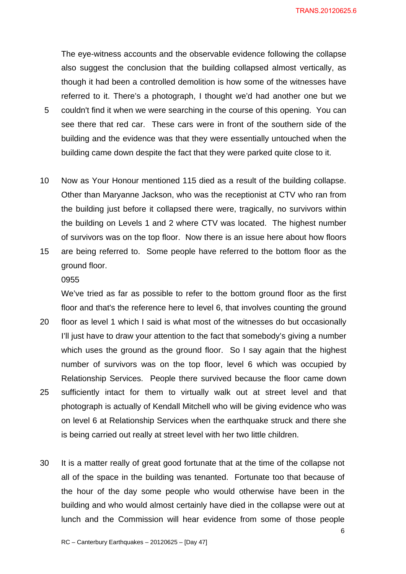The eye-witness accounts and the observable evidence following the collapse also suggest the conclusion that the building collapsed almost vertically, as though it had been a controlled demolition is how some of the witnesses have referred to it. There's a photograph, I thought we'd had another one but we

- 5 couldn't find it when we were searching in the course of this opening. You can see there that red car. These cars were in front of the southern side of the building and the evidence was that they were essentially untouched when the building came down despite the fact that they were parked quite close to it.
- 10 Now as Your Honour mentioned 115 died as a result of the building collapse. Other than Maryanne Jackson, who was the receptionist at CTV who ran from the building just before it collapsed there were, tragically, no survivors within the building on Levels 1 and 2 where CTV was located. The highest number of survivors was on the top floor. Now there is an issue here about how floors
- 15 are being referred to. Some people have referred to the bottom floor as the ground floor.

# 0955

We've tried as far as possible to refer to the bottom ground floor as the first floor and that's the reference here to level 6, that involves counting the ground

- 20 floor as level 1 which I said is what most of the witnesses do but occasionally I'll just have to draw your attention to the fact that somebody's giving a number which uses the ground as the ground floor. So I say again that the highest number of survivors was on the top floor, level 6 which was occupied by Relationship Services. People there survived because the floor came down 25 sufficiently intact for them to virtually walk out at street level and that photograph is actually of Kendall Mitchell who will be giving evidence who was on level 6 at Relationship Services when the earthquake struck and there she is being carried out really at street level with her two little children.
- 30 It is a matter really of great good fortunate that at the time of the collapse not all of the space in the building was tenanted. Fortunate too that because of the hour of the day some people who would otherwise have been in the building and who would almost certainly have died in the collapse were out at lunch and the Commission will hear evidence from some of those people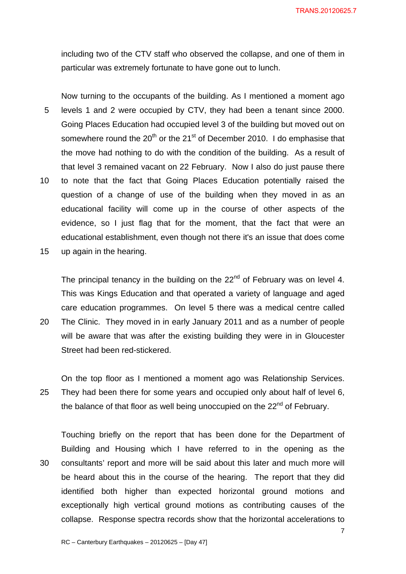including two of the CTV staff who observed the collapse, and one of them in particular was extremely fortunate to have gone out to lunch.

Now turning to the occupants of the building. As I mentioned a moment ago 5 levels 1 and 2 were occupied by CTV, they had been a tenant since 2000. Going Places Education had occupied level 3 of the building but moved out on somewhere round the  $20^{th}$  or the  $21^{st}$  of December 2010. I do emphasise that the move had nothing to do with the condition of the building. As a result of that level 3 remained vacant on 22 February. Now I also do just pause there 10 to note that the fact that Going Places Education potentially raised the question of a change of use of the building when they moved in as an educational facility will come up in the course of other aspects of the evidence, so I just flag that for the moment, that the fact that were an educational establishment, even though not there it's an issue that does come

15 up again in the hearing.

The principal tenancy in the building on the  $22<sup>nd</sup>$  of February was on level 4. This was Kings Education and that operated a variety of language and aged care education programmes. On level 5 there was a medical centre called

20 The Clinic. They moved in in early January 2011 and as a number of people will be aware that was after the existing building they were in in Gloucester Street had been red-stickered.

On the top floor as I mentioned a moment ago was Relationship Services. 25 They had been there for some years and occupied only about half of level 6, the balance of that floor as well being unoccupied on the  $22<sup>nd</sup>$  of February.

Touching briefly on the report that has been done for the Department of Building and Housing which I have referred to in the opening as the 30 consultants' report and more will be said about this later and much more will be heard about this in the course of the hearing. The report that they did identified both higher than expected horizontal ground motions and exceptionally high vertical ground motions as contributing causes of the collapse. Response spectra records show that the horizontal accelerations to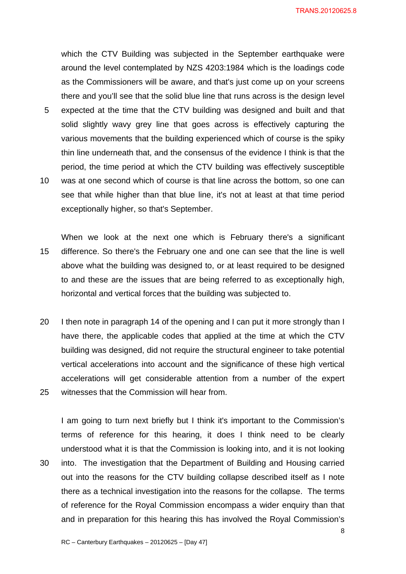which the CTV Building was subjected in the September earthquake were around the level contemplated by NZS 4203:1984 which is the loadings code as the Commissioners will be aware, and that's just come up on your screens there and you'll see that the solid blue line that runs across is the design level 5 expected at the time that the CTV building was designed and built and that solid slightly wavy grey line that goes across is effectively capturing the various movements that the building experienced which of course is the spiky thin line underneath that, and the consensus of the evidence I think is that the period, the time period at which the CTV building was effectively susceptible 10 was at one second which of course is that line across the bottom, so one can see that while higher than that blue line, it's not at least at that time period

When we look at the next one which is February there's a significant 15 difference. So there's the February one and one can see that the line is well above what the building was designed to, or at least required to be designed to and these are the issues that are being referred to as exceptionally high, horizontal and vertical forces that the building was subjected to.

exceptionally higher, so that's September.

20 I then note in paragraph 14 of the opening and I can put it more strongly than I have there, the applicable codes that applied at the time at which the CTV building was designed, did not require the structural engineer to take potential vertical accelerations into account and the significance of these high vertical accelerations will get considerable attention from a number of the expert 25 witnesses that the Commission will hear from.

I am going to turn next briefly but I think it's important to the Commission's terms of reference for this hearing, it does I think need to be clearly understood what it is that the Commission is looking into, and it is not looking 30 into. The investigation that the Department of Building and Housing carried out into the reasons for the CTV building collapse described itself as I note there as a technical investigation into the reasons for the collapse. The terms of reference for the Royal Commission encompass a wider enquiry than that and in preparation for this hearing this has involved the Royal Commission's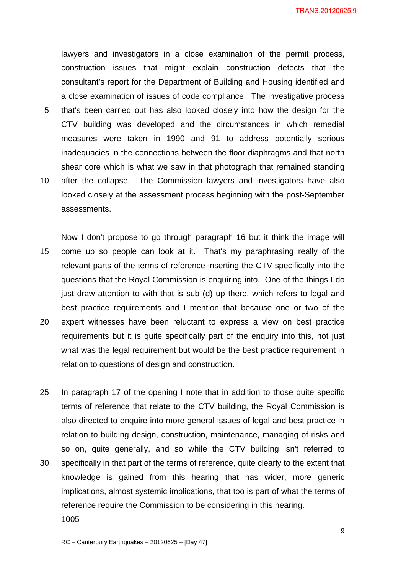lawyers and investigators in a close examination of the permit process, construction issues that might explain construction defects that the consultant's report for the Department of Building and Housing identified and a close examination of issues of code compliance. The investigative process 5 that's been carried out has also looked closely into how the design for the CTV building was developed and the circumstances in which remedial measures were taken in 1990 and 91 to address potentially serious inadequacies in the connections between the floor diaphragms and that north shear core which is what we saw in that photograph that remained standing 10 after the collapse. The Commission lawyers and investigators have also looked closely at the assessment process beginning with the post-September assessments.

Now I don't propose to go through paragraph 16 but it think the image will 15 come up so people can look at it. That's my paraphrasing really of the relevant parts of the terms of reference inserting the CTV specifically into the questions that the Royal Commission is enquiring into. One of the things I do just draw attention to with that is sub (d) up there, which refers to legal and best practice requirements and I mention that because one or two of the 20 expert witnesses have been reluctant to express a view on best practice requirements but it is quite specifically part of the enquiry into this, not just what was the legal requirement but would be the best practice requirement in relation to questions of design and construction.

25 In paragraph 17 of the opening I note that in addition to those quite specific terms of reference that relate to the CTV building, the Royal Commission is also directed to enquire into more general issues of legal and best practice in relation to building design, construction, maintenance, managing of risks and so on, quite generally, and so while the CTV building isn't referred to 30 specifically in that part of the terms of reference, quite clearly to the extent that knowledge is gained from this hearing that has wider, more generic implications, almost systemic implications, that too is part of what the terms of reference require the Commission to be considering in this hearing. 1005

9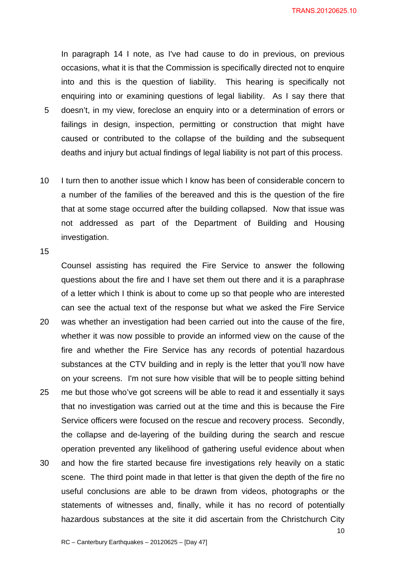In paragraph 14 I note, as I've had cause to do in previous, on previous occasions, what it is that the Commission is specifically directed not to enquire into and this is the question of liability. This hearing is specifically not enquiring into or examining questions of legal liability. As I say there that 5 doesn't, in my view, foreclose an enquiry into or a determination of errors or

- failings in design, inspection, permitting or construction that might have caused or contributed to the collapse of the building and the subsequent deaths and injury but actual findings of legal liability is not part of this process.
- 10 I turn then to another issue which I know has been of considerable concern to a number of the families of the bereaved and this is the question of the fire that at some stage occurred after the building collapsed. Now that issue was not addressed as part of the Department of Building and Housing investigation.

15

Counsel assisting has required the Fire Service to answer the following questions about the fire and I have set them out there and it is a paraphrase of a letter which I think is about to come up so that people who are interested can see the actual text of the response but what we asked the Fire Service

- 20 was whether an investigation had been carried out into the cause of the fire, whether it was now possible to provide an informed view on the cause of the fire and whether the Fire Service has any records of potential hazardous substances at the CTV building and in reply is the letter that you'll now have on your screens. I'm not sure how visible that will be to people sitting behind 25 me but those who've got screens will be able to read it and essentially it says that no investigation was carried out at the time and this is because the Fire Service officers were focused on the rescue and recovery process. Secondly, the collapse and de-layering of the building during the search and rescue operation prevented any likelihood of gathering useful evidence about when 30 and how the fire started because fire investigations rely heavily on a static scene. The third point made in that letter is that given the depth of the fire no
	- useful conclusions are able to be drawn from videos, photographs or the statements of witnesses and, finally, while it has no record of potentially hazardous substances at the site it did ascertain from the Christchurch City

10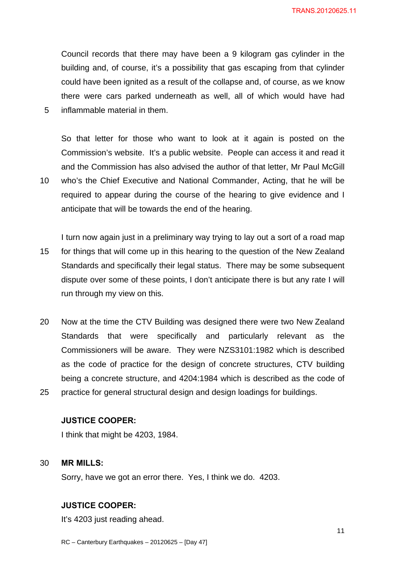Council records that there may have been a 9 kilogram gas cylinder in the building and, of course, it's a possibility that gas escaping from that cylinder could have been ignited as a result of the collapse and, of course, as we know there were cars parked underneath as well, all of which would have had 5 inflammable material in them.

So that letter for those who want to look at it again is posted on the Commission's website. It's a public website. People can access it and read it and the Commission has also advised the author of that letter, Mr Paul McGill 10 who's the Chief Executive and National Commander, Acting, that he will be required to appear during the course of the hearing to give evidence and I

I turn now again just in a preliminary way trying to lay out a sort of a road map 15 for things that will come up in this hearing to the question of the New Zealand Standards and specifically their legal status. There may be some subsequent dispute over some of these points, I don't anticipate there is but any rate I will run through my view on this.

anticipate that will be towards the end of the hearing.

20 Now at the time the CTV Building was designed there were two New Zealand Standards that were specifically and particularly relevant as the Commissioners will be aware. They were NZS3101:1982 which is described as the code of practice for the design of concrete structures, CTV building being a concrete structure, and 4204:1984 which is described as the code of 25 practice for general structural design and design loadings for buildings.

# **JUSTICE COOPER:**

I think that might be 4203, 1984.

#### 30 **MR MILLS:**

Sorry, have we got an error there. Yes, I think we do. 4203.

# **JUSTICE COOPER:**

It's 4203 just reading ahead.

RC – Canterbury Earthquakes – 20120625 – [Day 47]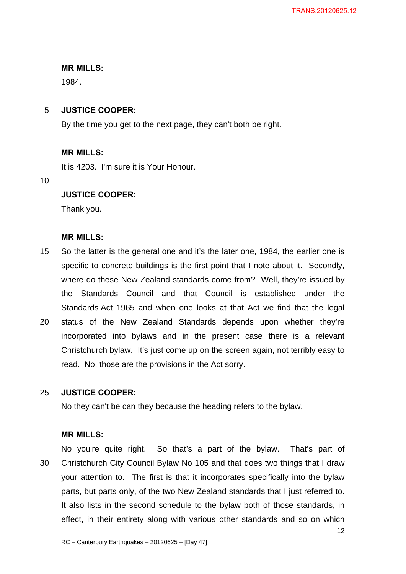#### **MR MILLS:**

1984.

# 5 **JUSTICE COOPER:**

By the time you get to the next page, they can't both be right.

# **MR MILLS:**

It is 4203. I'm sure it is Your Honour.

10

# **JUSTICE COOPER:**

Thank you.

# **MR MILLS:**

15 So the latter is the general one and it's the later one, 1984, the earlier one is specific to concrete buildings is the first point that I note about it. Secondly, where do these New Zealand standards come from? Well, they're issued by the Standards Council and that Council is established under the Standards Act 1965 and when one looks at that Act we find that the legal 20 status of the New Zealand Standards depends upon whether they're incorporated into bylaws and in the present case there is a relevant Christchurch bylaw. It's just come up on the screen again, not terribly easy to

No they can't be can they because the heading refers to the bylaw.

read. No, those are the provisions in the Act sorry.

# **MR MILLS:**

25 **JUSTICE COOPER:** 

No you're quite right. So that's a part of the bylaw. That's part of 30 Christchurch City Council Bylaw No 105 and that does two things that I draw your attention to. The first is that it incorporates specifically into the bylaw parts, but parts only, of the two New Zealand standards that I just referred to. It also lists in the second schedule to the bylaw both of those standards, in effect, in their entirety along with various other standards and so on which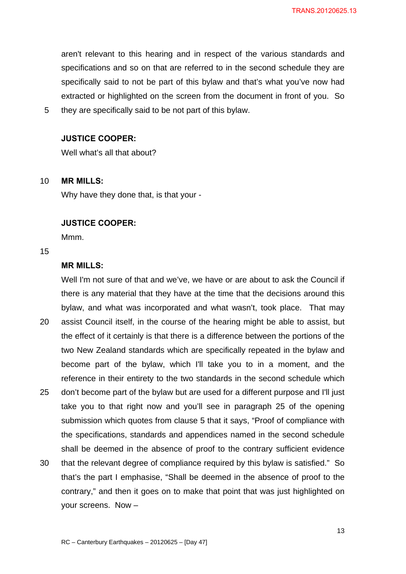aren't relevant to this hearing and in respect of the various standards and specifications and so on that are referred to in the second schedule they are specifically said to not be part of this bylaw and that's what you've now had extracted or highlighted on the screen from the document in front of you. So 5 they are specifically said to be not part of this bylaw.

# **JUSTICE COOPER:**

Well what's all that about?

# 10 **MR MILLS:**

Why have they done that, is that your -

#### **JUSTICE COOPER:**

Mmm.

# 15

# **MR MILLS:**

Well I'm not sure of that and we've, we have or are about to ask the Council if there is any material that they have at the time that the decisions around this bylaw, and what was incorporated and what wasn't, took place. That may 20 assist Council itself, in the course of the hearing might be able to assist, but the effect of it certainly is that there is a difference between the portions of the two New Zealand standards which are specifically repeated in the bylaw and become part of the bylaw, which I'll take you to in a moment, and the reference in their entirety to the two standards in the second schedule which 25 don't become part of the bylaw but are used for a different purpose and I'll just take you to that right now and you'll see in paragraph 25 of the opening

- submission which quotes from clause 5 that it says, "Proof of compliance with the specifications, standards and appendices named in the second schedule shall be deemed in the absence of proof to the contrary sufficient evidence
- 30 that the relevant degree of compliance required by this bylaw is satisfied." So that's the part I emphasise, "Shall be deemed in the absence of proof to the contrary," and then it goes on to make that point that was just highlighted on your screens. Now –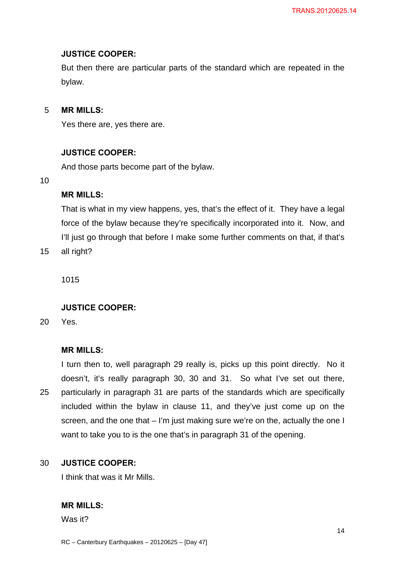# **JUSTICE COOPER:**

But then there are particular parts of the standard which are repeated in the bylaw.

# 5 **MR MILLS:**

Yes there are, yes there are.

#### **JUSTICE COOPER:**

And those parts become part of the bylaw.

# 10

# **MR MILLS:**

That is what in my view happens, yes, that's the effect of it. They have a legal force of the bylaw because they're specifically incorporated into it. Now, and I'll just go through that before I make some further comments on that, if that's

15 all right?

1015

# **JUSTICE COOPER:**

20 Yes.

#### **MR MILLS:**

I turn then to, well paragraph 29 really is, picks up this point directly. No it doesn't, it's really paragraph 30, 30 and 31. So what I've set out there, 25 particularly in paragraph 31 are parts of the standards which are specifically included within the bylaw in clause 11, and they've just come up on the screen, and the one that – I'm just making sure we're on the, actually the one I want to take you to is the one that's in paragraph 31 of the opening.

#### 30 **JUSTICE COOPER:**

I think that was it Mr Mills.

# **MR MILLS:**

Was it?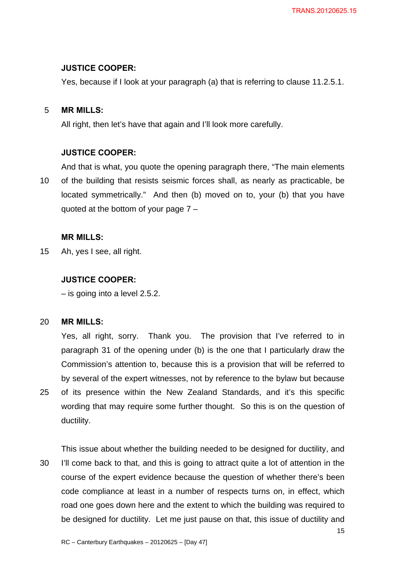# **JUSTICE COOPER:**

Yes, because if I look at your paragraph (a) that is referring to clause 11.2.5.1.

# 5 **MR MILLS:**

All right, then let's have that again and I'll look more carefully.

#### **JUSTICE COOPER:**

And that is what, you quote the opening paragraph there, "The main elements 10 of the building that resists seismic forces shall, as nearly as practicable, be located symmetrically." And then (b) moved on to, your (b) that you have quoted at the bottom of your page 7 –

# **MR MILLS:**

15 Ah, yes I see, all right.

# **JUSTICE COOPER:**

– is going into a level 2.5.2.

#### 20 **MR MILLS:**

Yes, all right, sorry. Thank you. The provision that I've referred to in paragraph 31 of the opening under (b) is the one that I particularly draw the Commission's attention to, because this is a provision that will be referred to by several of the expert witnesses, not by reference to the bylaw but because 25 of its presence within the New Zealand Standards, and it's this specific wording that may require some further thought. So this is on the question of

ductility.

This issue about whether the building needed to be designed for ductility, and 30 I'll come back to that, and this is going to attract quite a lot of attention in the course of the expert evidence because the question of whether there's been code compliance at least in a number of respects turns on, in effect, which road one goes down here and the extent to which the building was required to be designed for ductility. Let me just pause on that, this issue of ductility and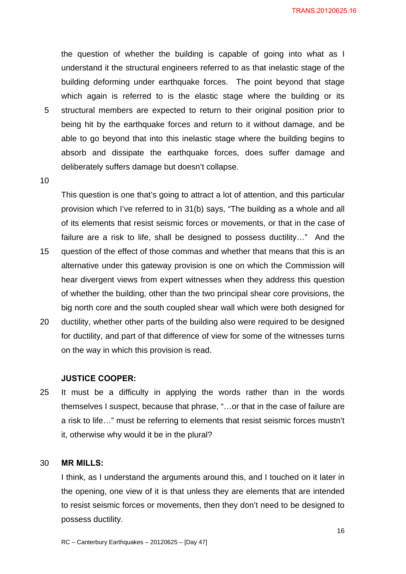the question of whether the building is capable of going into what as I understand it the structural engineers referred to as that inelastic stage of the building deforming under earthquake forces. The point beyond that stage which again is referred to is the elastic stage where the building or its 5 structural members are expected to return to their original position prior to being hit by the earthquake forces and return to it without damage, and be able to go beyond that into this inelastic stage where the building begins to absorb and dissipate the earthquake forces, does suffer damage and deliberately suffers damage but doesn't collapse.

10

This question is one that's going to attract a lot of attention, and this particular provision which I've referred to in 31(b) says, "The building as a whole and all of its elements that resist seismic forces or movements, or that in the case of failure are a risk to life, shall be designed to possess ductility…" And the 15 question of the effect of those commas and whether that means that this is an alternative under this gateway provision is one on which the Commission will hear divergent views from expert witnesses when they address this question of whether the building, other than the two principal shear core provisions, the

20 ductility, whether other parts of the building also were required to be designed for ductility, and part of that difference of view for some of the witnesses turns on the way in which this provision is read.

big north core and the south coupled shear wall which were both designed for

#### **JUSTICE COOPER:**

25 It must be a difficulty in applying the words rather than in the words themselves I suspect, because that phrase, "…or that in the case of failure are a risk to life…" must be referring to elements that resist seismic forces mustn't it, otherwise why would it be in the plural?

# 30 **MR MILLS:**

I think, as I understand the arguments around this, and I touched on it later in the opening, one view of it is that unless they are elements that are intended to resist seismic forces or movements, then they don't need to be designed to possess ductility.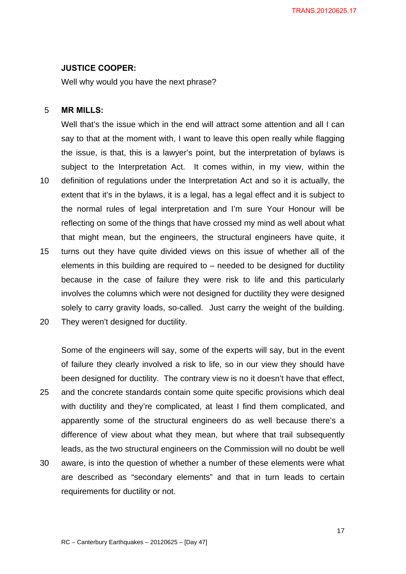#### **JUSTICE COOPER:**

Well why would you have the next phrase?

# 5 **MR MILLS:**

Well that's the issue which in the end will attract some attention and all I can say to that at the moment with, I want to leave this open really while flagging the issue, is that, this is a lawyer's point, but the interpretation of bylaws is subject to the Interpretation Act. It comes within, in my view, within the 10 definition of regulations under the Interpretation Act and so it is actually, the extent that it's in the bylaws, it is a legal, has a legal effect and it is subject to the normal rules of legal interpretation and I'm sure Your Honour will be reflecting on some of the things that have crossed my mind as well about what that might mean, but the engineers, the structural engineers have quite, it 15 turns out they have quite divided views on this issue of whether all of the elements in this building are required to  $-$  needed to be designed for ductility because in the case of failure they were risk to life and this particularly involves the columns which were not designed for ductility they were designed solely to carry gravity loads, so-called. Just carry the weight of the building.

20 They weren't designed for ductility.

Some of the engineers will say, some of the experts will say, but in the event of failure they clearly involved a risk to life, so in our view they should have been designed for ductility. The contrary view is no it doesn't have that effect, 25 and the concrete standards contain some quite specific provisions which deal with ductility and they're complicated, at least I find them complicated, and apparently some of the structural engineers do as well because there's a difference of view about what they mean, but where that trail subsequently leads, as the two structural engineers on the Commission will no doubt be well 30 aware, is into the question of whether a number of these elements were what are described as "secondary elements" and that in turn leads to certain

requirements for ductility or not.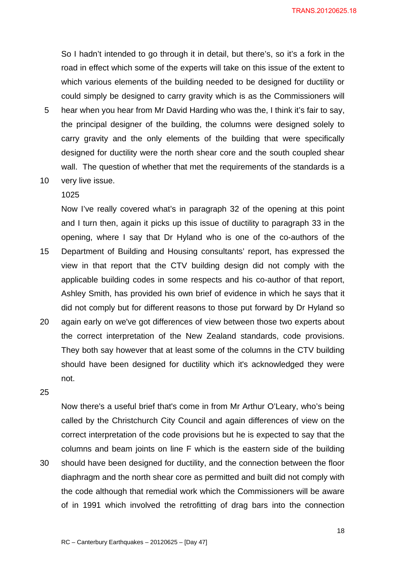So I hadn't intended to go through it in detail, but there's, so it's a fork in the road in effect which some of the experts will take on this issue of the extent to which various elements of the building needed to be designed for ductility or could simply be designed to carry gravity which is as the Commissioners will

- 5 hear when you hear from Mr David Harding who was the, I think it's fair to say, the principal designer of the building, the columns were designed solely to carry gravity and the only elements of the building that were specifically designed for ductility were the north shear core and the south coupled shear wall. The question of whether that met the requirements of the standards is a
- 10 very live issue.

#### 1025

Now I've really covered what's in paragraph 32 of the opening at this point and I turn then, again it picks up this issue of ductility to paragraph 33 in the opening, where I say that Dr Hyland who is one of the co-authors of the 15 Department of Building and Housing consultants' report, has expressed the view in that report that the CTV building design did not comply with the applicable building codes in some respects and his co-author of that report, Ashley Smith, has provided his own brief of evidence in which he says that it

did not comply but for different reasons to those put forward by Dr Hyland so

20 again early on we've got differences of view between those two experts about the correct interpretation of the New Zealand standards, code provisions. They both say however that at least some of the columns in the CTV building should have been designed for ductility which it's acknowledged they were not.

# 25

Now there's a useful brief that's come in from Mr Arthur O'Leary, who's being called by the Christchurch City Council and again differences of view on the correct interpretation of the code provisions but he is expected to say that the columns and beam joints on line F which is the eastern side of the building 30 should have been designed for ductility, and the connection between the floor diaphragm and the north shear core as permitted and built did not comply with the code although that remedial work which the Commissioners will be aware of in 1991 which involved the retrofitting of drag bars into the connection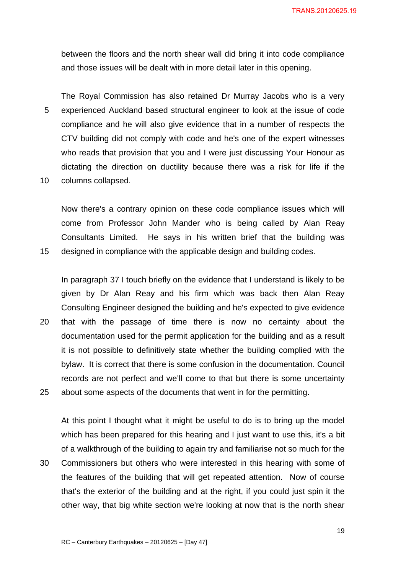between the floors and the north shear wall did bring it into code compliance and those issues will be dealt with in more detail later in this opening.

The Royal Commission has also retained Dr Murray Jacobs who is a very 5 experienced Auckland based structural engineer to look at the issue of code compliance and he will also give evidence that in a number of respects the CTV building did not comply with code and he's one of the expert witnesses who reads that provision that you and I were just discussing Your Honour as dictating the direction on ductility because there was a risk for life if the 10 columns collapsed.

Now there's a contrary opinion on these code compliance issues which will come from Professor John Mander who is being called by Alan Reay Consultants Limited. He says in his written brief that the building was 15 designed in compliance with the applicable design and building codes.

In paragraph 37 I touch briefly on the evidence that I understand is likely to be given by Dr Alan Reay and his firm which was back then Alan Reay Consulting Engineer designed the building and he's expected to give evidence 20 that with the passage of time there is now no certainty about the documentation used for the permit application for the building and as a result it is not possible to definitively state whether the building complied with the bylaw. It is correct that there is some confusion in the documentation. Council records are not perfect and we'll come to that but there is some uncertainty 25 about some aspects of the documents that went in for the permitting.

At this point I thought what it might be useful to do is to bring up the model which has been prepared for this hearing and I just want to use this, it's a bit of a walkthrough of the building to again try and familiarise not so much for the 30 Commissioners but others who were interested in this hearing with some of the features of the building that will get repeated attention. Now of course that's the exterior of the building and at the right, if you could just spin it the other way, that big white section we're looking at now that is the north shear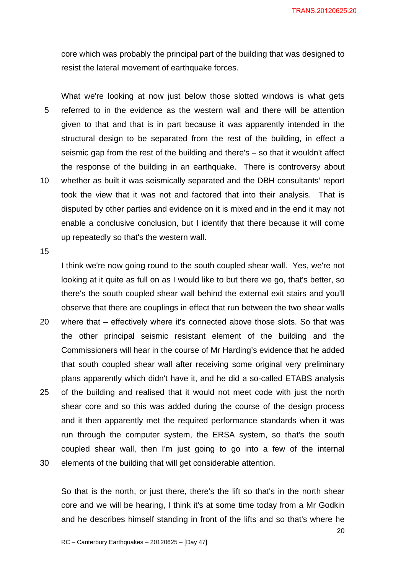core which was probably the principal part of the building that was designed to resist the lateral movement of earthquake forces.

What we're looking at now just below those slotted windows is what gets 5 referred to in the evidence as the western wall and there will be attention given to that and that is in part because it was apparently intended in the structural design to be separated from the rest of the building, in effect a seismic gap from the rest of the building and there's – so that it wouldn't affect the response of the building in an earthquake. There is controversy about 10 whether as built it was seismically separated and the DBH consultants' report took the view that it was not and factored that into their analysis. That is disputed by other parties and evidence on it is mixed and in the end it may not enable a conclusive conclusion, but I identify that there because it will come up repeatedly so that's the western wall.

15

I think we're now going round to the south coupled shear wall. Yes, we're not looking at it quite as full on as I would like to but there we go, that's better, so there's the south coupled shear wall behind the external exit stairs and you'll observe that there are couplings in effect that run between the two shear walls

- 20 where that effectively where it's connected above those slots. So that was the other principal seismic resistant element of the building and the Commissioners will hear in the course of Mr Harding's evidence that he added that south coupled shear wall after receiving some original very preliminary plans apparently which didn't have it, and he did a so-called ETABS analysis
- 25 of the building and realised that it would not meet code with just the north shear core and so this was added during the course of the design process and it then apparently met the required performance standards when it was run through the computer system, the ERSA system, so that's the south coupled shear wall, then I'm just going to go into a few of the internal 30 elements of the building that will get considerable attention.

So that is the north, or just there, there's the lift so that's in the north shear core and we will be hearing, I think it's at some time today from a Mr Godkin and he describes himself standing in front of the lifts and so that's where he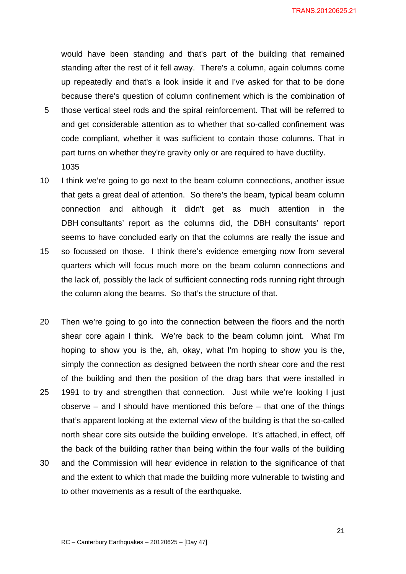would have been standing and that's part of the building that remained standing after the rest of it fell away. There's a column, again columns come up repeatedly and that's a look inside it and I've asked for that to be done because there's question of column confinement which is the combination of

- 5 those vertical steel rods and the spiral reinforcement. That will be referred to and get considerable attention as to whether that so-called confinement was code compliant, whether it was sufficient to contain those columns. That in part turns on whether they're gravity only or are required to have ductility. 1035
- 10 I think we're going to go next to the beam column connections, another issue that gets a great deal of attention. So there's the beam, typical beam column connection and although it didn't get as much attention in the DBH consultants' report as the columns did, the DBH consultants' report seems to have concluded early on that the columns are really the issue and
- 15 so focussed on those. I think there's evidence emerging now from several quarters which will focus much more on the beam column connections and the lack of, possibly the lack of sufficient connecting rods running right through the column along the beams. So that's the structure of that.
- 20 Then we're going to go into the connection between the floors and the north shear core again I think. We're back to the beam column joint. What I'm hoping to show you is the, ah, okay, what I'm hoping to show you is the, simply the connection as designed between the north shear core and the rest of the building and then the position of the drag bars that were installed in 25 1991 to try and strengthen that connection. Just while we're looking I just observe – and I should have mentioned this before – that one of the things that's apparent looking at the external view of the building is that the so-called north shear core sits outside the building envelope. It's attached, in effect, off the back of the building rather than being within the four walls of the building
- 30 and the Commission will hear evidence in relation to the significance of that and the extent to which that made the building more vulnerable to twisting and to other movements as a result of the earthquake.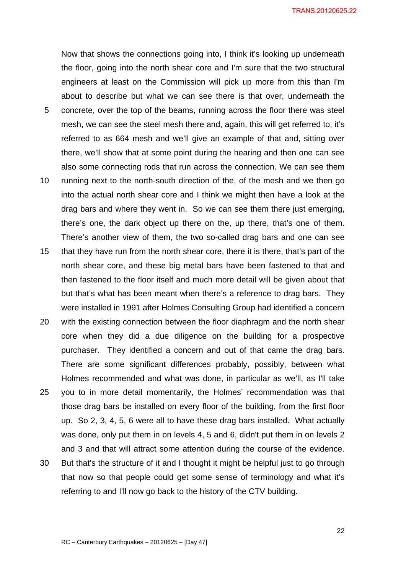Now that shows the connections going into, I think it's looking up underneath the floor, going into the north shear core and I'm sure that the two structural engineers at least on the Commission will pick up more from this than I'm about to describe but what we can see there is that over, underneath the 5 concrete, over the top of the beams, running across the floor there was steel mesh, we can see the steel mesh there and, again, this will get referred to, it's referred to as 664 mesh and we'll give an example of that and, sitting over there, we'll show that at some point during the hearing and then one can see also some connecting rods that run across the connection. We can see them 10 running next to the north-south direction of the, of the mesh and we then go into the actual north shear core and I think we might then have a look at the

- drag bars and where they went in. So we can see them there just emerging, there's one, the dark object up there on the, up there, that's one of them. There's another view of them, the two so-called drag bars and one can see
- 15 that they have run from the north shear core, there it is there, that's part of the north shear core, and these big metal bars have been fastened to that and then fastened to the floor itself and much more detail will be given about that but that's what has been meant when there's a reference to drag bars. They were installed in 1991 after Holmes Consulting Group had identified a concern
- 20 with the existing connection between the floor diaphragm and the north shear core when they did a due diligence on the building for a prospective purchaser. They identified a concern and out of that came the drag bars. There are some significant differences probably, possibly, between what Holmes recommended and what was done, in particular as we'll, as I'll take
- 25 you to in more detail momentarily, the Holmes' recommendation was that those drag bars be installed on every floor of the building, from the first floor up. So 2, 3, 4, 5, 6 were all to have these drag bars installed. What actually was done, only put them in on levels 4, 5 and 6, didn't put them in on levels 2 and 3 and that will attract some attention during the course of the evidence.
- 30 But that's the structure of it and I thought it might be helpful just to go through that now so that people could get some sense of terminology and what it's referring to and I'll now go back to the history of the CTV building.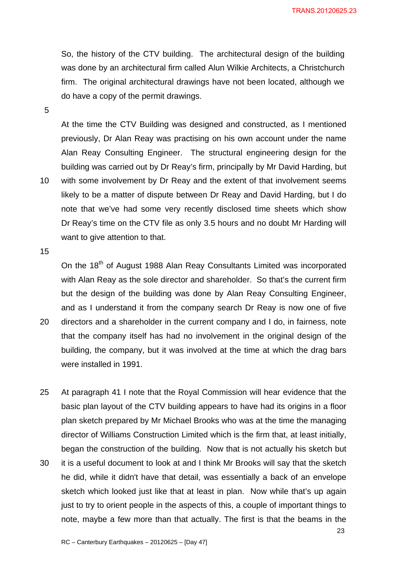So, the history of the CTV building. The architectural design of the building was done by an architectural firm called Alun Wilkie Architects, a Christchurch firm. The original architectural drawings have not been located, although we do have a copy of the permit drawings.

5

At the time the CTV Building was designed and constructed, as I mentioned previously, Dr Alan Reay was practising on his own account under the name Alan Reay Consulting Engineer. The structural engineering design for the building was carried out by Dr Reay's firm, principally by Mr David Harding, but 10 with some involvement by Dr Reay and the extent of that involvement seems likely to be a matter of dispute between Dr Reay and David Harding, but I do note that we've had some very recently disclosed time sheets which show Dr Reay's time on the CTV file as only 3.5 hours and no doubt Mr Harding will want to give attention to that.

15

On the 18<sup>th</sup> of August 1988 Alan Reay Consultants Limited was incorporated with Alan Reay as the sole director and shareholder. So that's the current firm but the design of the building was done by Alan Reay Consulting Engineer, and as I understand it from the company search Dr Reay is now one of five 20 directors and a shareholder in the current company and I do, in fairness, note

- that the company itself has had no involvement in the original design of the building, the company, but it was involved at the time at which the drag bars were installed in 1991.
- 25 At paragraph 41 I note that the Royal Commission will hear evidence that the basic plan layout of the CTV building appears to have had its origins in a floor plan sketch prepared by Mr Michael Brooks who was at the time the managing director of Williams Construction Limited which is the firm that, at least initially, began the construction of the building. Now that is not actually his sketch but
- 30 it is a useful document to look at and I think Mr Brooks will say that the sketch he did, while it didn't have that detail, was essentially a back of an envelope sketch which looked just like that at least in plan. Now while that's up again just to try to orient people in the aspects of this, a couple of important things to note, maybe a few more than that actually. The first is that the beams in the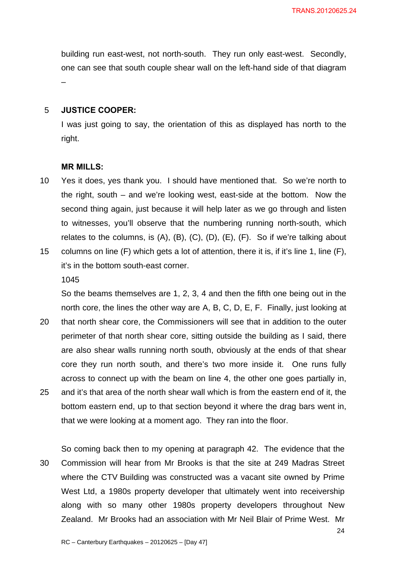building run east-west, not north-south. They run only east-west. Secondly, one can see that south couple shear wall on the left-hand side of that diagram –

# 5 **JUSTICE COOPER:**

I was just going to say, the orientation of this as displayed has north to the right.

#### **MR MILLS:**

- 10 Yes it does, yes thank you. I should have mentioned that. So we're north to the right, south – and we're looking west, east-side at the bottom. Now the second thing again, just because it will help later as we go through and listen to witnesses, you'll observe that the numbering running north-south, which relates to the columns, is  $(A)$ ,  $(B)$ ,  $(C)$ ,  $(D)$ ,  $(E)$ ,  $(F)$ . So if we're talking about
- 15 columns on line (F) which gets a lot of attention, there it is, if it's line 1, line (F), it's in the bottom south-east corner.

1045

So the beams themselves are 1, 2, 3, 4 and then the fifth one being out in the north core, the lines the other way are A, B, C, D, E, F. Finally, just looking at

20 that north shear core, the Commissioners will see that in addition to the outer perimeter of that north shear core, sitting outside the building as I said, there are also shear walls running north south, obviously at the ends of that shear core they run north south, and there's two more inside it. One runs fully across to connect up with the beam on line 4, the other one goes partially in, 25 and it's that area of the north shear wall which is from the eastern end of it, the bottom eastern end, up to that section beyond it where the drag bars went in, that we were looking at a moment ago. They ran into the floor.

So coming back then to my opening at paragraph 42. The evidence that the 30 Commission will hear from Mr Brooks is that the site at 249 Madras Street where the CTV Building was constructed was a vacant site owned by Prime West Ltd, a 1980s property developer that ultimately went into receivership along with so many other 1980s property developers throughout New Zealand. Mr Brooks had an association with Mr Neil Blair of Prime West. Mr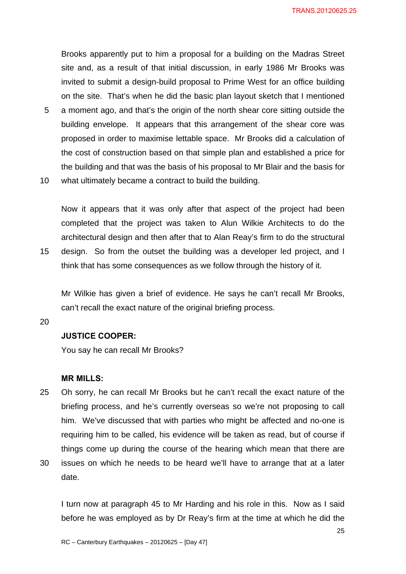Brooks apparently put to him a proposal for a building on the Madras Street site and, as a result of that initial discussion, in early 1986 Mr Brooks was invited to submit a design-build proposal to Prime West for an office building on the site. That's when he did the basic plan layout sketch that I mentioned 5 a moment ago, and that's the origin of the north shear core sitting outside the

- building envelope. It appears that this arrangement of the shear core was proposed in order to maximise lettable space. Mr Brooks did a calculation of the cost of construction based on that simple plan and established a price for the building and that was the basis of his proposal to Mr Blair and the basis for
- 10 what ultimately became a contract to build the building.

Now it appears that it was only after that aspect of the project had been completed that the project was taken to Alun Wilkie Architects to do the architectural design and then after that to Alan Reay's firm to do the structural 15 design. So from the outset the building was a developer led project, and I

think that has some consequences as we follow through the history of it.

Mr Wilkie has given a brief of evidence. He says he can't recall Mr Brooks, can't recall the exact nature of the original briefing process.

20

# **JUSTICE COOPER:**

You say he can recall Mr Brooks?

#### **MR MILLS:**

- 25 Oh sorry, he can recall Mr Brooks but he can't recall the exact nature of the briefing process, and he's currently overseas so we're not proposing to call him. We've discussed that with parties who might be affected and no-one is requiring him to be called, his evidence will be taken as read, but of course if things come up during the course of the hearing which mean that there are 30 issues on which he needs to be heard we'll have to arrange that at a later
- date.

I turn now at paragraph 45 to Mr Harding and his role in this. Now as I said before he was employed as by Dr Reay's firm at the time at which he did the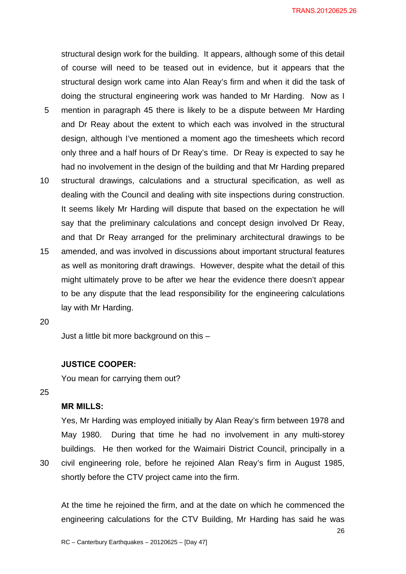structural design work for the building. It appears, although some of this detail of course will need to be teased out in evidence, but it appears that the structural design work came into Alan Reay's firm and when it did the task of doing the structural engineering work was handed to Mr Harding. Now as I

- 5 mention in paragraph 45 there is likely to be a dispute between Mr Harding and Dr Reay about the extent to which each was involved in the structural design, although I've mentioned a moment ago the timesheets which record only three and a half hours of Dr Reay's time. Dr Reay is expected to say he had no involvement in the design of the building and that Mr Harding prepared
- 10 structural drawings, calculations and a structural specification, as well as dealing with the Council and dealing with site inspections during construction. It seems likely Mr Harding will dispute that based on the expectation he will say that the preliminary calculations and concept design involved Dr Reay, and that Dr Reay arranged for the preliminary architectural drawings to be
- 15 amended, and was involved in discussions about important structural features as well as monitoring draft drawings. However, despite what the detail of this might ultimately prove to be after we hear the evidence there doesn't appear to be any dispute that the lead responsibility for the engineering calculations lay with Mr Harding.
- 20

Just a little bit more background on this –

#### **JUSTICE COOPER:**

You mean for carrying them out?

25

# **MR MILLS:**

Yes, Mr Harding was employed initially by Alan Reay's firm between 1978 and May 1980. During that time he had no involvement in any multi-storey buildings. He then worked for the Waimairi District Council, principally in a 30 civil engineering role, before he rejoined Alan Reay's firm in August 1985, shortly before the CTV project came into the firm.

At the time he rejoined the firm, and at the date on which he commenced the engineering calculations for the CTV Building, Mr Harding has said he was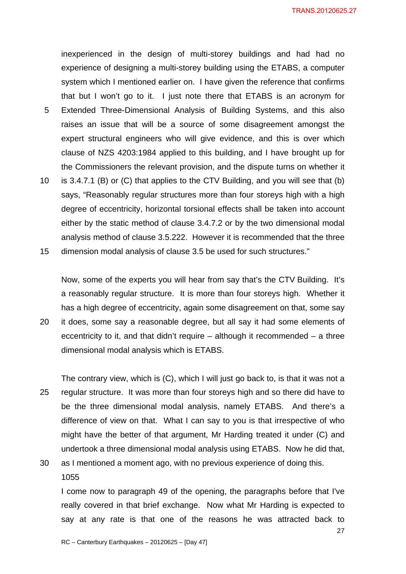inexperienced in the design of multi-storey buildings and had had no experience of designing a multi-storey building using the ETABS, a computer system which I mentioned earlier on. I have given the reference that confirms that but I won't go to it. I just note there that ETABS is an acronym for

- 5 Extended Three-Dimensional Analysis of Building Systems, and this also raises an issue that will be a source of some disagreement amongst the expert structural engineers who will give evidence, and this is over which clause of NZS 4203:1984 applied to this building, and I have brought up for the Commissioners the relevant provision, and the dispute turns on whether it
- 10 is 3.4.7.1 (B) or (C) that applies to the CTV Building, and you will see that (b) says, "Reasonably regular structures more than four storeys high with a high degree of eccentricity, horizontal torsional effects shall be taken into account either by the static method of clause 3.4.7.2 or by the two dimensional modal analysis method of clause 3.5.222. However it is recommended that the three
- 15 dimension modal analysis of clause 3.5 be used for such structures."

Now, some of the experts you will hear from say that's the CTV Building. It's a reasonably regular structure. It is more than four storeys high. Whether it has a high degree of eccentricity, again some disagreement on that, some say

20 it does, some say a reasonable degree, but all say it had some elements of eccentricity to it, and that didn't require – although it recommended – a three dimensional modal analysis which is ETABS.

The contrary view, which is (C), which I will just go back to, is that it was not a 25 regular structure. It was more than four storeys high and so there did have to be the three dimensional modal analysis, namely ETABS. And there's a difference of view on that. What I can say to you is that irrespective of who might have the better of that argument, Mr Harding treated it under (C) and undertook a three dimensional modal analysis using ETABS. Now he did that,

30 as I mentioned a moment ago, with no previous experience of doing this. 1055

I come now to paragraph 49 of the opening, the paragraphs before that I've really covered in that brief exchange. Now what Mr Harding is expected to say at any rate is that one of the reasons he was attracted back to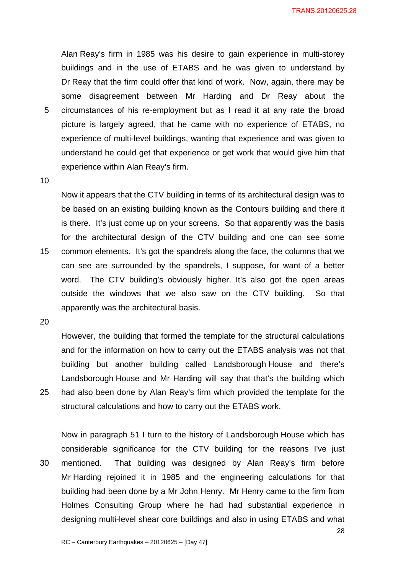Alan Reay's firm in 1985 was his desire to gain experience in multi-storey buildings and in the use of ETABS and he was given to understand by Dr Reay that the firm could offer that kind of work. Now, again, there may be some disagreement between Mr Harding and Dr Reay about the 5 circumstances of his re-employment but as I read it at any rate the broad picture is largely agreed, that he came with no experience of ETABS, no experience of multi-level buildings, wanting that experience and was given to understand he could get that experience or get work that would give him that experience within Alan Reay's firm.

10

Now it appears that the CTV building in terms of its architectural design was to be based on an existing building known as the Contours building and there it is there. It's just come up on your screens. So that apparently was the basis for the architectural design of the CTV building and one can see some 15 common elements. It's got the spandrels along the face, the columns that we can see are surrounded by the spandrels, I suppose, for want of a better word. The CTV building's obviously higher. It's also got the open areas outside the windows that we also saw on the CTV building. So that apparently was the architectural basis.

20

However, the building that formed the template for the structural calculations and for the information on how to carry out the ETABS analysis was not that building but another building called Landsborough House and there's Landsborough House and Mr Harding will say that that's the building which 25 had also been done by Alan Reay's firm which provided the template for the structural calculations and how to carry out the ETABS work.

Now in paragraph 51 I turn to the history of Landsborough House which has considerable significance for the CTV building for the reasons I've just 30 mentioned. That building was designed by Alan Reay's firm before Mr Harding rejoined it in 1985 and the engineering calculations for that building had been done by a Mr John Henry. Mr Henry came to the firm from Holmes Consulting Group where he had had substantial experience in designing multi-level shear core buildings and also in using ETABS and what

28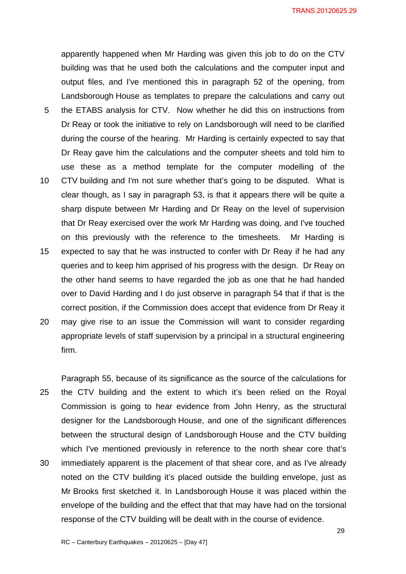apparently happened when Mr Harding was given this job to do on the CTV building was that he used both the calculations and the computer input and output files, and I've mentioned this in paragraph 52 of the opening, from Landsborough House as templates to prepare the calculations and carry out 5 the ETABS analysis for CTV. Now whether he did this on instructions from Dr Reay or took the initiative to rely on Landsborough will need to be clarified during the course of the hearing. Mr Harding is certainly expected to say that Dr Reay gave him the calculations and the computer sheets and told him to use these as a method template for the computer modelling of the 10 CTV building and I'm not sure whether that's going to be disputed. What is clear though, as I say in paragraph 53, is that it appears there will be quite a sharp dispute between Mr Harding and Dr Reay on the level of supervision that Dr Reay exercised over the work Mr Harding was doing, and I've touched on this previously with the reference to the timesheets. Mr Harding is 15 expected to say that he was instructed to confer with Dr Reay if he had any queries and to keep him apprised of his progress with the design. Dr Reay on the other hand seems to have regarded the job as one that he had handed over to David Harding and I do just observe in paragraph 54 that if that is the correct position, if the Commission does accept that evidence from Dr Reay it 20 may give rise to an issue the Commission will want to consider regarding

appropriate levels of staff supervision by a principal in a structural engineering firm.

Paragraph 55, because of its significance as the source of the calculations for 25 the CTV building and the extent to which it's been relied on the Royal Commission is going to hear evidence from John Henry, as the structural designer for the Landsborough House, and one of the significant differences between the structural design of Landsborough House and the CTV building which I've mentioned previously in reference to the north shear core that's 30 immediately apparent is the placement of that shear core, and as I've already noted on the CTV building it's placed outside the building envelope, just as Mr Brooks first sketched it. In Landsborough House it was placed within the envelope of the building and the effect that that may have had on the torsional response of the CTV building will be dealt with in the course of evidence.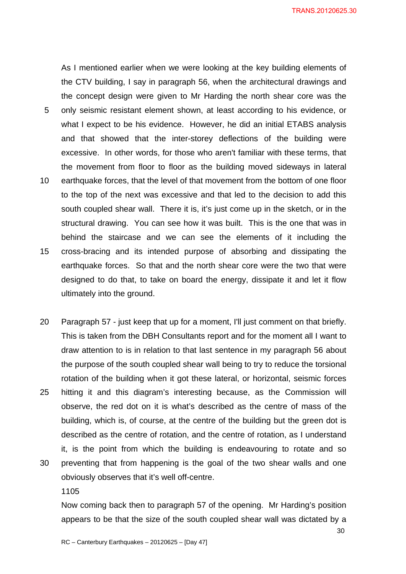As I mentioned earlier when we were looking at the key building elements of the CTV building, I say in paragraph 56, when the architectural drawings and the concept design were given to Mr Harding the north shear core was the 5 only seismic resistant element shown, at least according to his evidence, or what I expect to be his evidence. However, he did an initial ETABS analysis and that showed that the inter-storey deflections of the building were excessive. In other words, for those who aren't familiar with these terms, that the movement from floor to floor as the building moved sideways in lateral 10 earthquake forces, that the level of that movement from the bottom of one floor to the top of the next was excessive and that led to the decision to add this south coupled shear wall. There it is, it's just come up in the sketch, or in the structural drawing. You can see how it was built. This is the one that was in behind the staircase and we can see the elements of it including the 15 cross-bracing and its intended purpose of absorbing and dissipating the earthquake forces. So that and the north shear core were the two that were designed to do that, to take on board the energy, dissipate it and let it flow ultimately into the ground.

20 Paragraph 57 - just keep that up for a moment, I'll just comment on that briefly. This is taken from the DBH Consultants report and for the moment all I want to draw attention to is in relation to that last sentence in my paragraph 56 about the purpose of the south coupled shear wall being to try to reduce the torsional rotation of the building when it got these lateral, or horizontal, seismic forces 25 hitting it and this diagram's interesting because, as the Commission will observe, the red dot on it is what's described as the centre of mass of the building, which is, of course, at the centre of the building but the green dot is described as the centre of rotation, and the centre of rotation, as I understand it, is the point from which the building is endeavouring to rotate and so 30 preventing that from happening is the goal of the two shear walls and one obviously observes that it's well off-centre.

1105

Now coming back then to paragraph 57 of the opening. Mr Harding's position appears to be that the size of the south coupled shear wall was dictated by a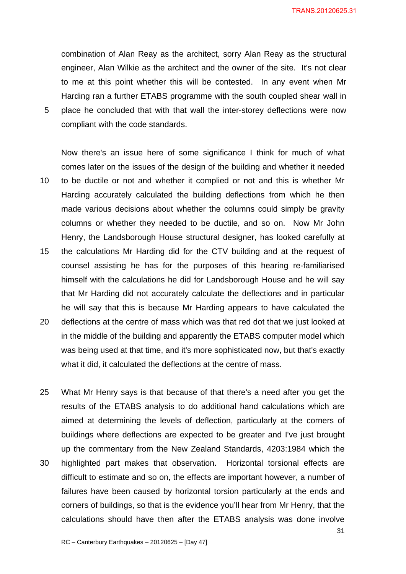combination of Alan Reay as the architect, sorry Alan Reay as the structural engineer, Alan Wilkie as the architect and the owner of the site. It's not clear to me at this point whether this will be contested. In any event when Mr Harding ran a further ETABS programme with the south coupled shear wall in 5 place he concluded that with that wall the inter-storey deflections were now compliant with the code standards.

Now there's an issue here of some significance I think for much of what comes later on the issues of the design of the building and whether it needed 10 to be ductile or not and whether it complied or not and this is whether Mr Harding accurately calculated the building deflections from which he then made various decisions about whether the columns could simply be gravity columns or whether they needed to be ductile, and so on. Now Mr John Henry, the Landsborough House structural designer, has looked carefully at

- 15 the calculations Mr Harding did for the CTV building and at the request of counsel assisting he has for the purposes of this hearing re-familiarised himself with the calculations he did for Landsborough House and he will say that Mr Harding did not accurately calculate the deflections and in particular he will say that this is because Mr Harding appears to have calculated the
- 20 deflections at the centre of mass which was that red dot that we just looked at in the middle of the building and apparently the ETABS computer model which was being used at that time, and it's more sophisticated now, but that's exactly what it did, it calculated the deflections at the centre of mass.
- 25 What Mr Henry says is that because of that there's a need after you get the results of the ETABS analysis to do additional hand calculations which are aimed at determining the levels of deflection, particularly at the corners of buildings where deflections are expected to be greater and I've just brought up the commentary from the New Zealand Standards, 4203:1984 which the
- 30 highlighted part makes that observation. Horizontal torsional effects are difficult to estimate and so on, the effects are important however, a number of failures have been caused by horizontal torsion particularly at the ends and corners of buildings, so that is the evidence you'll hear from Mr Henry, that the calculations should have then after the ETABS analysis was done involve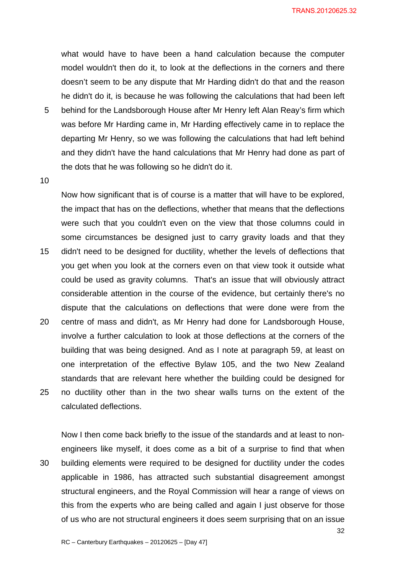what would have to have been a hand calculation because the computer model wouldn't then do it, to look at the deflections in the corners and there doesn't seem to be any dispute that Mr Harding didn't do that and the reason he didn't do it, is because he was following the calculations that had been left

5 behind for the Landsborough House after Mr Henry left Alan Reay's firm which was before Mr Harding came in, Mr Harding effectively came in to replace the departing Mr Henry, so we was following the calculations that had left behind and they didn't have the hand calculations that Mr Henry had done as part of the dots that he was following so he didn't do it.

10

Now how significant that is of course is a matter that will have to be explored, the impact that has on the deflections, whether that means that the deflections were such that you couldn't even on the view that those columns could in some circumstances be designed just to carry gravity loads and that they 15 didn't need to be designed for ductility, whether the levels of deflections that you get when you look at the corners even on that view took it outside what could be used as gravity columns. That's an issue that will obviously attract considerable attention in the course of the evidence, but certainly there's no dispute that the calculations on deflections that were done were from the 20 centre of mass and didn't, as Mr Henry had done for Landsborough House, involve a further calculation to look at those deflections at the corners of the building that was being designed. And as I note at paragraph 59, at least on one interpretation of the effective Bylaw 105, and the two New Zealand standards that are relevant here whether the building could be designed for 25 no ductility other than in the two shear walls turns on the extent of the calculated deflections.

Now I then come back briefly to the issue of the standards and at least to nonengineers like myself, it does come as a bit of a surprise to find that when 30 building elements were required to be designed for ductility under the codes applicable in 1986, has attracted such substantial disagreement amongst structural engineers, and the Royal Commission will hear a range of views on this from the experts who are being called and again I just observe for those of us who are not structural engineers it does seem surprising that on an issue

32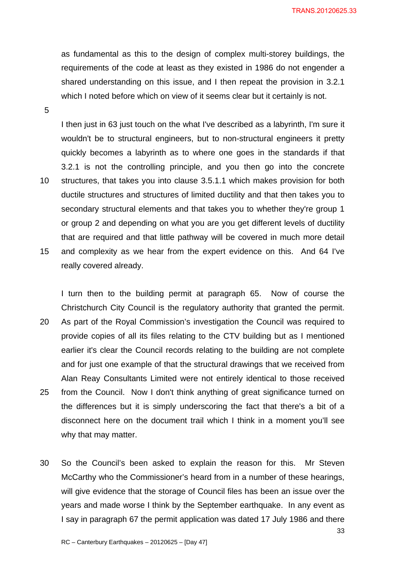as fundamental as this to the design of complex multi-storey buildings, the requirements of the code at least as they existed in 1986 do not engender a shared understanding on this issue, and I then repeat the provision in 3.2.1 which I noted before which on view of it seems clear but it certainly is not.

5

I then just in 63 just touch on the what I've described as a labyrinth, I'm sure it wouldn't be to structural engineers, but to non-structural engineers it pretty quickly becomes a labyrinth as to where one goes in the standards if that 3.2.1 is not the controlling principle, and you then go into the concrete 10 structures, that takes you into clause 3.5.1.1 which makes provision for both ductile structures and structures of limited ductility and that then takes you to secondary structural elements and that takes you to whether they're group 1 or group 2 and depending on what you are you get different levels of ductility that are required and that little pathway will be covered in much more detail 15 and complexity as we hear from the expert evidence on this. And 64 I've really covered already.

I turn then to the building permit at paragraph 65. Now of course the Christchurch City Council is the regulatory authority that granted the permit. 20 As part of the Royal Commission's investigation the Council was required to provide copies of all its files relating to the CTV building but as I mentioned earlier it's clear the Council records relating to the building are not complete and for just one example of that the structural drawings that we received from Alan Reay Consultants Limited were not entirely identical to those received 25 from the Council. Now I don't think anything of great significance turned on the differences but it is simply underscoring the fact that there's a bit of a disconnect here on the document trail which I think in a moment you'll see why that may matter.

30 So the Council's been asked to explain the reason for this. Mr Steven McCarthy who the Commissioner's heard from in a number of these hearings, will give evidence that the storage of Council files has been an issue over the years and made worse I think by the September earthquake. In any event as I say in paragraph 67 the permit application was dated 17 July 1986 and there

33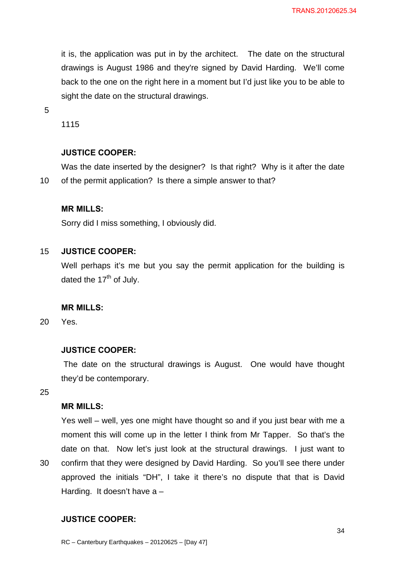it is, the application was put in by the architect. The date on the structural drawings is August 1986 and they're signed by David Harding. We'll come back to the one on the right here in a moment but I'd just like you to be able to sight the date on the structural drawings.

5

1115

# **JUSTICE COOPER:**

Was the date inserted by the designer? Is that right? Why is it after the date 10 of the permit application? Is there a simple answer to that?

# **MR MILLS:**

Sorry did I miss something, I obviously did.

# 15 **JUSTICE COOPER:**

Well perhaps it's me but you say the permit application for the building is dated the  $17<sup>th</sup>$  of July.

# **MR MILLS:**

20 Yes.

# **JUSTICE COOPER:**

 The date on the structural drawings is August. One would have thought they'd be contemporary.

25

# **MR MILLS:**

Yes well – well, yes one might have thought so and if you just bear with me a moment this will come up in the letter I think from Mr Tapper. So that's the date on that. Now let's just look at the structural drawings. I just want to 30 confirm that they were designed by David Harding. So you'll see there under approved the initials "DH", I take it there's no dispute that that is David Harding. It doesn't have a –

# **JUSTICE COOPER:**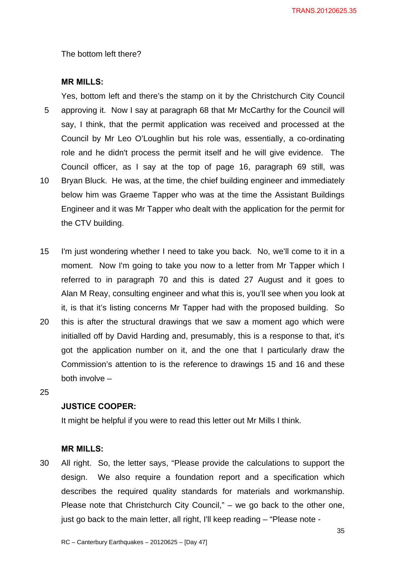The bottom left there?

# **MR MILLS:**

Yes, bottom left and there's the stamp on it by the Christchurch City Council 5 approving it. Now I say at paragraph 68 that Mr McCarthy for the Council will say, I think, that the permit application was received and processed at the Council by Mr Leo O'Loughlin but his role was, essentially, a co-ordinating role and he didn't process the permit itself and he will give evidence. The Council officer, as I say at the top of page 16, paragraph 69 still, was 10 Bryan Bluck. He was, at the time, the chief building engineer and immediately below him was Graeme Tapper who was at the time the Assistant Buildings Engineer and it was Mr Tapper who dealt with the application for the permit for the CTV building.

- 15 I'm just wondering whether I need to take you back. No, we'll come to it in a moment. Now I'm going to take you now to a letter from Mr Tapper which I referred to in paragraph 70 and this is dated 27 August and it goes to Alan M Reay, consulting engineer and what this is, you'll see when you look at it, is that it's listing concerns Mr Tapper had with the proposed building. So
- 20 this is after the structural drawings that we saw a moment ago which were initialled off by David Harding and, presumably, this is a response to that, it's got the application number on it, and the one that I particularly draw the Commission's attention to is the reference to drawings 15 and 16 and these both involve –

25

# **JUSTICE COOPER:**

It might be helpful if you were to read this letter out Mr Mills I think.

#### **MR MILLS:**

30 All right. So, the letter says, "Please provide the calculations to support the design. We also require a foundation report and a specification which describes the required quality standards for materials and workmanship. Please note that Christchurch City Council," – we go back to the other one, just go back to the main letter, all right, I'll keep reading – "Please note -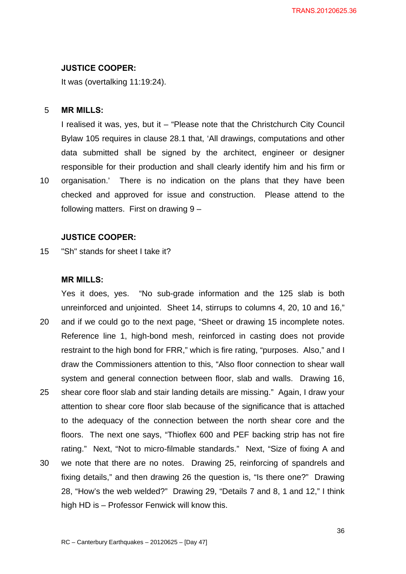#### **JUSTICE COOPER:**

It was (overtalking 11:19:24).

# 5 **MR MILLS:**

I realised it was, yes, but it – "Please note that the Christchurch City Council Bylaw 105 requires in clause 28.1 that, 'All drawings, computations and other data submitted shall be signed by the architect, engineer or designer responsible for their production and shall clearly identify him and his firm or 10 organisation.' There is no indication on the plans that they have been checked and approved for issue and construction. Please attend to the following matters. First on drawing 9 –

#### **JUSTICE COOPER:**

15 "Sh" stands for sheet I take it?

#### **MR MILLS:**

Yes it does, yes. "No sub-grade information and the 125 slab is both unreinforced and unjointed. Sheet 14, stirrups to columns 4, 20, 10 and 16," 20 and if we could go to the next page, "Sheet or drawing 15 incomplete notes. Reference line 1, high-bond mesh, reinforced in casting does not provide restraint to the high bond for FRR," which is fire rating, "purposes. Also," and I draw the Commissioners attention to this, "Also floor connection to shear wall system and general connection between floor, slab and walls. Drawing 16, 25 shear core floor slab and stair landing details are missing." Again, I draw your attention to shear core floor slab because of the significance that is attached to the adequacy of the connection between the north shear core and the floors. The next one says, "Thioflex 600 and PEF backing strip has not fire rating." Next, "Not to micro-filmable standards." Next, "Size of fixing A and 30 we note that there are no notes. Drawing 25, reinforcing of spandrels and fixing details," and then drawing 26 the question is, "Is there one?" Drawing 28, "How's the web welded?" Drawing 29, "Details 7 and 8, 1 and 12," I think high HD is – Professor Fenwick will know this.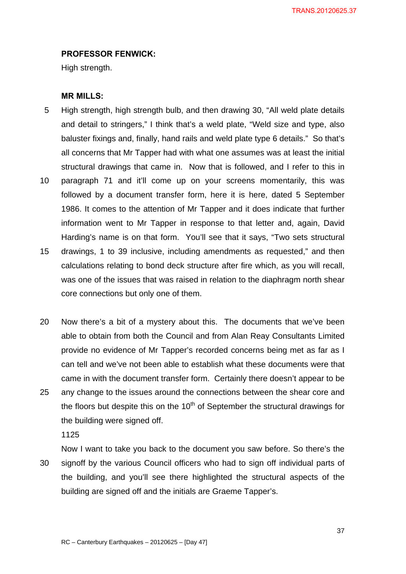TRANS.20120625.37

# **PROFESSOR FENWICK:**

High strength.

### **MR MILLS:**

- 5 High strength, high strength bulb, and then drawing 30, "All weld plate details and detail to stringers," I think that's a weld plate, "Weld size and type, also baluster fixings and, finally, hand rails and weld plate type 6 details." So that's all concerns that Mr Tapper had with what one assumes was at least the initial structural drawings that came in. Now that is followed, and I refer to this in
- 10 paragraph 71 and it'll come up on your screens momentarily, this was followed by a document transfer form, here it is here, dated 5 September 1986. It comes to the attention of Mr Tapper and it does indicate that further information went to Mr Tapper in response to that letter and, again, David Harding's name is on that form. You'll see that it says, "Two sets structural
- 15 drawings, 1 to 39 inclusive, including amendments as requested," and then calculations relating to bond deck structure after fire which, as you will recall, was one of the issues that was raised in relation to the diaphragm north shear core connections but only one of them.
- 20 Now there's a bit of a mystery about this. The documents that we've been able to obtain from both the Council and from Alan Reay Consultants Limited provide no evidence of Mr Tapper's recorded concerns being met as far as I can tell and we've not been able to establish what these documents were that came in with the document transfer form. Certainly there doesn't appear to be 25 any change to the issues around the connections between the shear core and the floors but despite this on the  $10<sup>th</sup>$  of September the structural drawings for

the building were signed off.

1125

Now I want to take you back to the document you saw before. So there's the 30 signoff by the various Council officers who had to sign off individual parts of the building, and you'll see there highlighted the structural aspects of the building are signed off and the initials are Graeme Tapper's.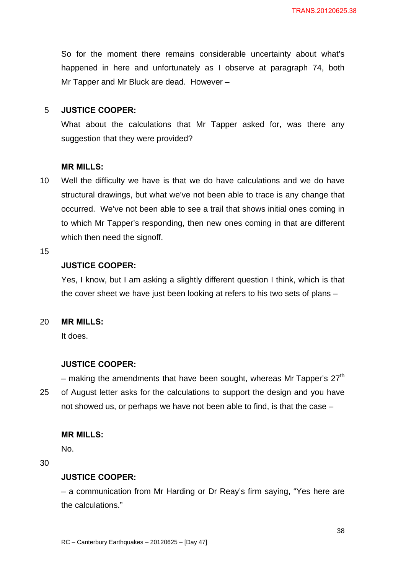So for the moment there remains considerable uncertainty about what's happened in here and unfortunately as I observe at paragraph 74, both Mr Tapper and Mr Bluck are dead. However –

# 5 **JUSTICE COOPER:**

What about the calculations that Mr Tapper asked for, was there any suggestion that they were provided?

### **MR MILLS:**

10 Well the difficulty we have is that we do have calculations and we do have structural drawings, but what we've not been able to trace is any change that occurred. We've not been able to see a trail that shows initial ones coming in to which Mr Tapper's responding, then new ones coming in that are different which then need the signoff.

### 15

# **JUSTICE COOPER:**

Yes, I know, but I am asking a slightly different question I think, which is that the cover sheet we have just been looking at refers to his two sets of plans –

### 20 **MR MILLS:**

It does.

# **JUSTICE COOPER:**

– making the amendments that have been sought, whereas Mr Tapper's  $27<sup>th</sup>$ 25 of August letter asks for the calculations to support the design and you have not showed us, or perhaps we have not been able to find, is that the case –

### **MR MILLS:**

No.

30

### **JUSTICE COOPER:**

– a communication from Mr Harding or Dr Reay's firm saying, "Yes here are the calculations."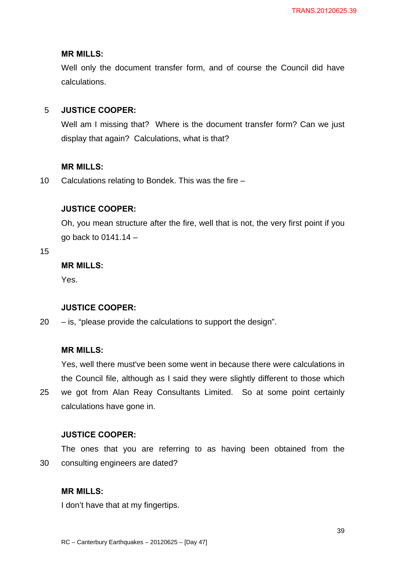Well only the document transfer form, and of course the Council did have calculations.

# 5 **JUSTICE COOPER:**

Well am I missing that? Where is the document transfer form? Can we just display that again? Calculations, what is that?

### **MR MILLS:**

10 Calculations relating to Bondek. This was the fire –

# **JUSTICE COOPER:**

Oh, you mean structure after the fire, well that is not, the very first point if you go back to 0141.14 –

15

# **MR MILLS:**

Yes.

# **JUSTICE COOPER:**

20 – is, "please provide the calculations to support the design".

### **MR MILLS:**

Yes, well there must've been some went in because there were calculations in the Council file, although as I said they were slightly different to those which 25 we got from Alan Reay Consultants Limited. So at some point certainly calculations have gone in.

### **JUSTICE COOPER:**

The ones that you are referring to as having been obtained from the 30 consulting engineers are dated?

# **MR MILLS:**

I don't have that at my fingertips.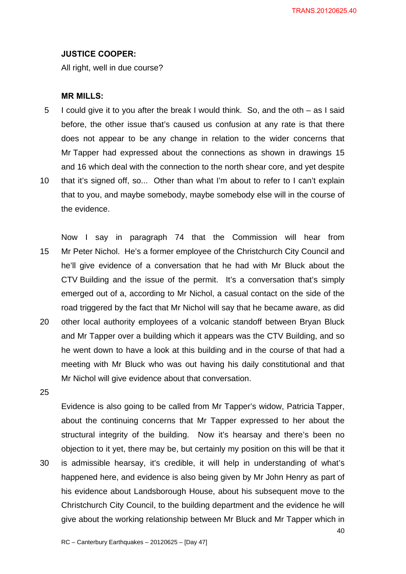### **JUSTICE COOPER:**

All right, well in due course?

#### **MR MILLS:**

- 5 I could give it to you after the break I would think. So, and the oth as I said before, the other issue that's caused us confusion at any rate is that there does not appear to be any change in relation to the wider concerns that Mr Tapper had expressed about the connections as shown in drawings 15 and 16 which deal with the connection to the north shear core, and yet despite
- 10 that it's signed off, so... Other than what I'm about to refer to I can't explain that to you, and maybe somebody, maybe somebody else will in the course of the evidence.

Now I say in paragraph 74 that the Commission will hear from 15 Mr Peter Nichol. He's a former employee of the Christchurch City Council and he'll give evidence of a conversation that he had with Mr Bluck about the CTV Building and the issue of the permit. It's a conversation that's simply emerged out of a, according to Mr Nichol, a casual contact on the side of the road triggered by the fact that Mr Nichol will say that he became aware, as did 20 other local authority employees of a volcanic standoff between Bryan Bluck and Mr Tapper over a building which it appears was the CTV Building, and so he went down to have a look at this building and in the course of that had a meeting with Mr Bluck who was out having his daily constitutional and that Mr Nichol will give evidence about that conversation.

25

Evidence is also going to be called from Mr Tapper's widow, Patricia Tapper, about the continuing concerns that Mr Tapper expressed to her about the structural integrity of the building. Now it's hearsay and there's been no objection to it yet, there may be, but certainly my position on this will be that it 30 is admissible hearsay, it's credible, it will help in understanding of what's happened here, and evidence is also being given by Mr John Henry as part of his evidence about Landsborough House, about his subsequent move to the

Christchurch City Council, to the building department and the evidence he will give about the working relationship between Mr Bluck and Mr Tapper which in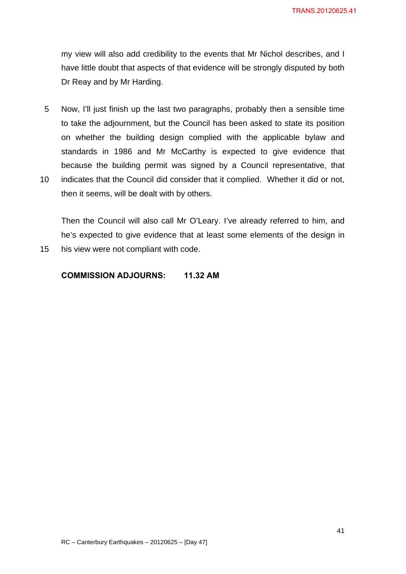my view will also add credibility to the events that Mr Nichol describes, and I have little doubt that aspects of that evidence will be strongly disputed by both Dr Reay and by Mr Harding.

- 5 Now, I'll just finish up the last two paragraphs, probably then a sensible time to take the adjournment, but the Council has been asked to state its position on whether the building design complied with the applicable bylaw and standards in 1986 and Mr McCarthy is expected to give evidence that because the building permit was signed by a Council representative, that
- 10 indicates that the Council did consider that it complied. Whether it did or not, then it seems, will be dealt with by others.

Then the Council will also call Mr O'Leary. I've already referred to him, and he's expected to give evidence that at least some elements of the design in 15 his view were not compliant with code.

# **COMMISSION ADJOURNS: 11.32 AM**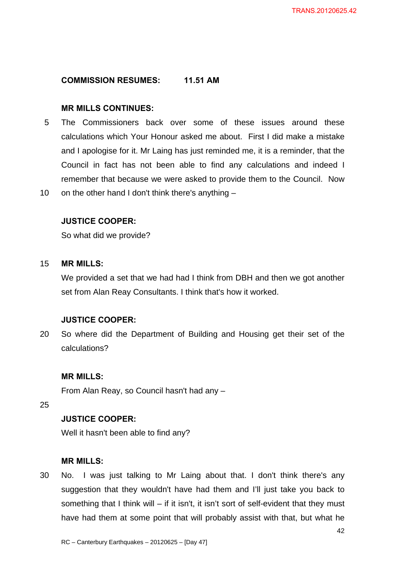# **COMMISSION RESUMES: 11.51 AM**

# **MR MILLS CONTINUES:**

5 The Commissioners back over some of these issues around these calculations which Your Honour asked me about. First I did make a mistake and I apologise for it. Mr Laing has just reminded me, it is a reminder, that the Council in fact has not been able to find any calculations and indeed I remember that because we were asked to provide them to the Council. Now 10 on the other hand I don't think there's anything –

# **JUSTICE COOPER:**

So what did we provide?

### 15 **MR MILLS:**

We provided a set that we had had I think from DBH and then we got another set from Alan Reay Consultants. I think that's how it worked.

### **JUSTICE COOPER:**

20 So where did the Department of Building and Housing get their set of the calculations?

# **MR MILLS:**

From Alan Reay, so Council hasn't had any –

25

# **JUSTICE COOPER:**

Well it hasn't been able to find any?

### **MR MILLS:**

30 No. I was just talking to Mr Laing about that. I don't think there's any suggestion that they wouldn't have had them and I'll just take you back to something that I think will  $-$  if it isn't, it isn't sort of self-evident that they must have had them at some point that will probably assist with that, but what he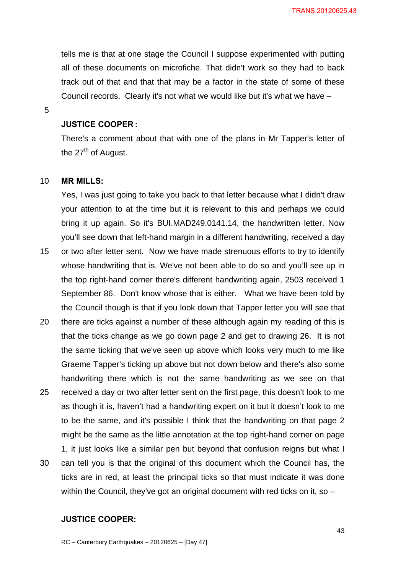tells me is that at one stage the Council I suppose experimented with putting all of these documents on microfiche. That didn't work so they had to back track out of that and that that may be a factor in the state of some of these Council records. Clearly it's not what we would like but it's what we have –

5

# **JUSTICE COOPER :**

There's a comment about that with one of the plans in Mr Tapper's letter of the  $27<sup>th</sup>$  of August.

### 10 **MR MILLS:**

Yes, I was just going to take you back to that letter because what I didn't draw your attention to at the time but it is relevant to this and perhaps we could bring it up again. So it's BUI.MAD249.0141.14, the handwritten letter. Now you'll see down that left-hand margin in a different handwriting, received a day

- 15 or two after letter sent. Now we have made strenuous efforts to try to identify whose handwriting that is. We've not been able to do so and you'll see up in the top right-hand corner there's different handwriting again, 2503 received 1 September 86. Don't know whose that is either. What we have been told by the Council though is that if you look down that Tapper letter you will see that
- 20 there are ticks against a number of these although again my reading of this is that the ticks change as we go down page 2 and get to drawing 26. It is not the same ticking that we've seen up above which looks very much to me like Graeme Tapper's ticking up above but not down below and there's also some handwriting there which is not the same handwriting as we see on that 25 received a day or two after letter sent on the first page, this doesn't look to me as though it is, haven't had a handwriting expert on it but it doesn't look to me to be the same, and it's possible I think that the handwriting on that page 2 might be the same as the little annotation at the top right-hand corner on page 1, it just looks like a similar pen but beyond that confusion reigns but what I
- 30 can tell you is that the original of this document which the Council has, the ticks are in red, at least the principal ticks so that must indicate it was done within the Council, they've got an original document with red ticks on it, so –

# **JUSTICE COOPER:**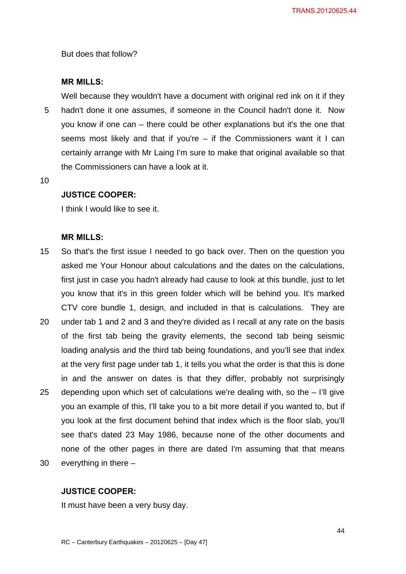But does that follow?

### **MR MILLS:**

Well because they wouldn't have a document with original red ink on it if they 5 hadn't done it one assumes, if someone in the Council hadn't done it. Now you know if one can – there could be other explanations but it's the one that seems most likely and that if you're – if the Commissioners want it I can certainly arrange with Mr Laing I'm sure to make that original available so that the Commissioners can have a look at it.

10

# **JUSTICE COOPER:**

I think I would like to see it.

### **MR MILLS:**

- 15 So that's the first issue I needed to go back over. Then on the question you asked me Your Honour about calculations and the dates on the calculations, first just in case you hadn't already had cause to look at this bundle, just to let you know that it's in this green folder which will be behind you. It's marked CTV core bundle 1, design, and included in that is calculations. They are
- 20 under tab 1 and 2 and 3 and they're divided as I recall at any rate on the basis of the first tab being the gravity elements, the second tab being seismic loading analysis and the third tab being foundations, and you'll see that index at the very first page under tab 1, it tells you what the order is that this is done in and the answer on dates is that they differ, probably not surprisingly 25 depending upon which set of calculations we're dealing with, so the – I'll give you an example of this, I'll take you to a bit more detail if you wanted to, but if you look at the first document behind that index which is the floor slab, you'll see that's dated 23 May 1986, because none of the other documents and none of the other pages in there are dated I'm assuming that that means 30 everything in there –
	-

# **JUSTICE COOPER:**

It must have been a very busy day.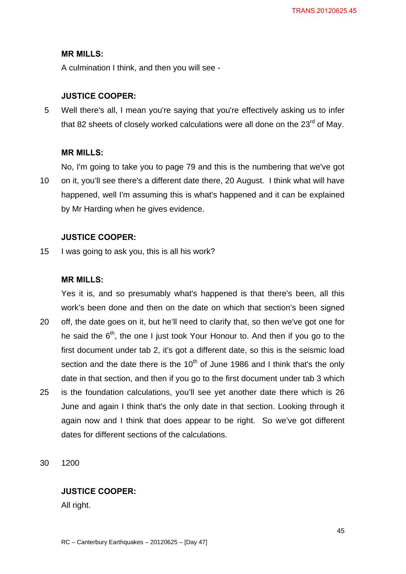A culmination I think, and then you will see -

### **JUSTICE COOPER:**

5 Well there's all, I mean you're saying that you're effectively asking us to infer that 82 sheets of closely worked calculations were all done on the  $23<sup>rd</sup>$  of May.

### **MR MILLS:**

No, I'm going to take you to page 79 and this is the numbering that we've got 10 on it, you'll see there's a different date there, 20 August. I think what will have happened, well I'm assuming this is what's happened and it can be explained by Mr Harding when he gives evidence.

### **JUSTICE COOPER:**

15 I was going to ask you, this is all his work?

### **MR MILLS:**

Yes it is, and so presumably what's happened is that there's been, all this work's been done and then on the date on which that section's been signed

- 20 off, the date goes on it, but he'll need to clarify that, so then we've got one for he said the  $6<sup>th</sup>$ , the one I just took Your Honour to. And then if you go to the first document under tab 2, it's got a different date, so this is the seismic load section and the date there is the  $10<sup>th</sup>$  of June 1986 and I think that's the only date in that section, and then if you go to the first document under tab 3 which 25 is the foundation calculations, you'll see yet another date there which is 26
- June and again I think that's the only date in that section. Looking through it again now and I think that does appear to be right. So we've got different dates for different sections of the calculations.

30 1200

### **JUSTICE COOPER:**

All right.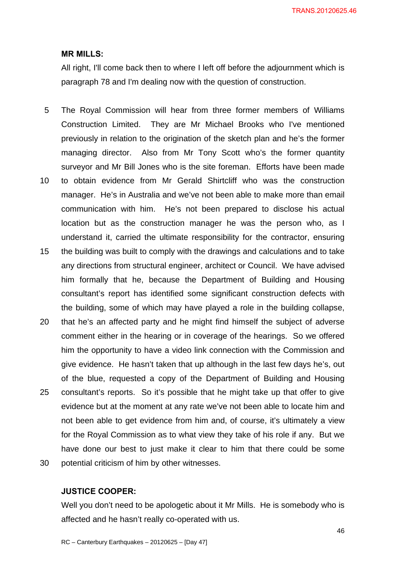All right, I'll come back then to where I left off before the adjournment which is paragraph 78 and I'm dealing now with the question of construction.

- 5 The Royal Commission will hear from three former members of Williams Construction Limited. They are Mr Michael Brooks who I've mentioned previously in relation to the origination of the sketch plan and he's the former managing director. Also from Mr Tony Scott who's the former quantity surveyor and Mr Bill Jones who is the site foreman. Efforts have been made
- 10 to obtain evidence from Mr Gerald Shirtcliff who was the construction manager. He's in Australia and we've not been able to make more than email communication with him. He's not been prepared to disclose his actual location but as the construction manager he was the person who, as I understand it, carried the ultimate responsibility for the contractor, ensuring
- 15 the building was built to comply with the drawings and calculations and to take any directions from structural engineer, architect or Council. We have advised him formally that he, because the Department of Building and Housing consultant's report has identified some significant construction defects with the building, some of which may have played a role in the building collapse,
- 20 that he's an affected party and he might find himself the subject of adverse comment either in the hearing or in coverage of the hearings. So we offered him the opportunity to have a video link connection with the Commission and give evidence. He hasn't taken that up although in the last few days he's, out of the blue, requested a copy of the Department of Building and Housing 25 consultant's reports. So it's possible that he might take up that offer to give evidence but at the moment at any rate we've not been able to locate him and not been able to get evidence from him and, of course, it's ultimately a view for the Royal Commission as to what view they take of his role if any. But we have done our best to just make it clear to him that there could be some 30 potential criticism of him by other witnesses.

### **JUSTICE COOPER:**

Well you don't need to be apologetic about it Mr Mills. He is somebody who is affected and he hasn't really co-operated with us.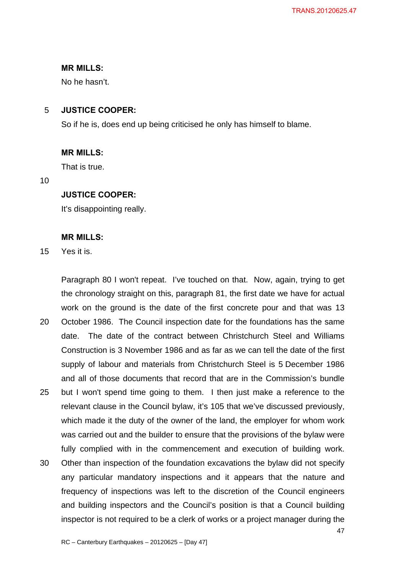No he hasn't.

# 5 **JUSTICE COOPER:**

So if he is, does end up being criticised he only has himself to blame.

### **MR MILLS:**

That is true.

10

# **JUSTICE COOPER:**

It's disappointing really.

### **MR MILLS:**

15 Yes it is.

Paragraph 80 I won't repeat. I've touched on that. Now, again, trying to get the chronology straight on this, paragraph 81, the first date we have for actual work on the ground is the date of the first concrete pour and that was 13

- 20 October 1986. The Council inspection date for the foundations has the same date. The date of the contract between Christchurch Steel and Williams Construction is 3 November 1986 and as far as we can tell the date of the first supply of labour and materials from Christchurch Steel is 5 December 1986 and all of those documents that record that are in the Commission's bundle
- 25 but I won't spend time going to them. I then just make a reference to the relevant clause in the Council bylaw, it's 105 that we've discussed previously, which made it the duty of the owner of the land, the employer for whom work was carried out and the builder to ensure that the provisions of the bylaw were fully complied with in the commencement and execution of building work.
- 30 Other than inspection of the foundation excavations the bylaw did not specify any particular mandatory inspections and it appears that the nature and frequency of inspections was left to the discretion of the Council engineers and building inspectors and the Council's position is that a Council building inspector is not required to be a clerk of works or a project manager during the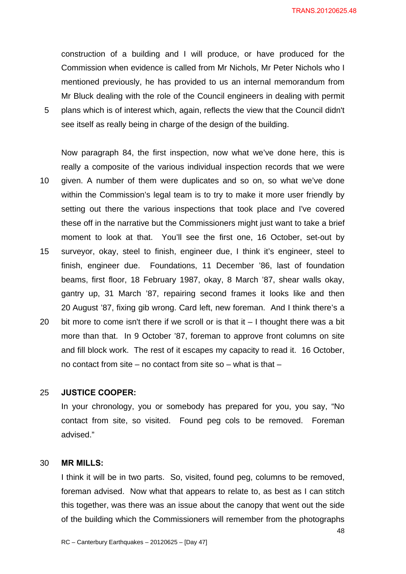TRANS.20120625.48

construction of a building and I will produce, or have produced for the Commission when evidence is called from Mr Nichols, Mr Peter Nichols who I mentioned previously, he has provided to us an internal memorandum from Mr Bluck dealing with the role of the Council engineers in dealing with permit 5 plans which is of interest which, again, reflects the view that the Council didn't see itself as really being in charge of the design of the building.

Now paragraph 84, the first inspection, now what we've done here, this is really a composite of the various individual inspection records that we were 10 given. A number of them were duplicates and so on, so what we've done within the Commission's legal team is to try to make it more user friendly by setting out there the various inspections that took place and I've covered these off in the narrative but the Commissioners might just want to take a brief moment to look at that. You'll see the first one, 16 October, set-out by 15 surveyor, okay, steel to finish, engineer due, I think it's engineer, steel to finish, engineer due. Foundations, 11 December '86, last of foundation beams, first floor, 18 February 1987, okay, 8 March '87, shear walls okay, gantry up, 31 March '87, repairing second frames it looks like and then 20 August '87, fixing gib wrong. Card left, new foreman. And I think there's a 20 bit more to come isn't there if we scroll or is that it  $-1$  thought there was a bit more than that. In 9 October '87, foreman to approve front columns on site and fill block work. The rest of it escapes my capacity to read it. 16 October,

# no contact from site – no contact from site so – what is that –

# 25 **JUSTICE COOPER:**

In your chronology, you or somebody has prepared for you, you say, "No contact from site, so visited. Found peg cols to be removed. Foreman advised."

# 30 **MR MILLS:**

I think it will be in two parts. So, visited, found peg, columns to be removed, foreman advised. Now what that appears to relate to, as best as I can stitch this together, was there was an issue about the canopy that went out the side of the building which the Commissioners will remember from the photographs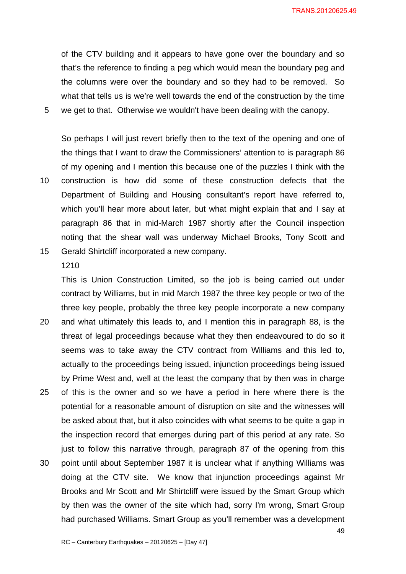of the CTV building and it appears to have gone over the boundary and so that's the reference to finding a peg which would mean the boundary peg and the columns were over the boundary and so they had to be removed. So what that tells us is we're well towards the end of the construction by the time 5 we get to that. Otherwise we wouldn't have been dealing with the canopy.

So perhaps I will just revert briefly then to the text of the opening and one of the things that I want to draw the Commissioners' attention to is paragraph 86 of my opening and I mention this because one of the puzzles I think with the 10 construction is how did some of these construction defects that the Department of Building and Housing consultant's report have referred to, which you'll hear more about later, but what might explain that and I say at paragraph 86 that in mid-March 1987 shortly after the Council inspection noting that the shear wall was underway Michael Brooks, Tony Scott and

15 Gerald Shirtcliff incorporated a new company. 1210

This is Union Construction Limited, so the job is being carried out under contract by Williams, but in mid March 1987 the three key people or two of the three key people, probably the three key people incorporate a new company

- 20 and what ultimately this leads to, and I mention this in paragraph 88, is the threat of legal proceedings because what they then endeavoured to do so it seems was to take away the CTV contract from Williams and this led to, actually to the proceedings being issued, injunction proceedings being issued by Prime West and, well at the least the company that by then was in charge
- 25 of this is the owner and so we have a period in here where there is the potential for a reasonable amount of disruption on site and the witnesses will be asked about that, but it also coincides with what seems to be quite a gap in the inspection record that emerges during part of this period at any rate. So just to follow this narrative through, paragraph 87 of the opening from this
- 30 point until about September 1987 it is unclear what if anything Williams was doing at the CTV site. We know that injunction proceedings against Mr Brooks and Mr Scott and Mr Shirtcliff were issued by the Smart Group which by then was the owner of the site which had, sorry I'm wrong, Smart Group had purchased Williams. Smart Group as you'll remember was a development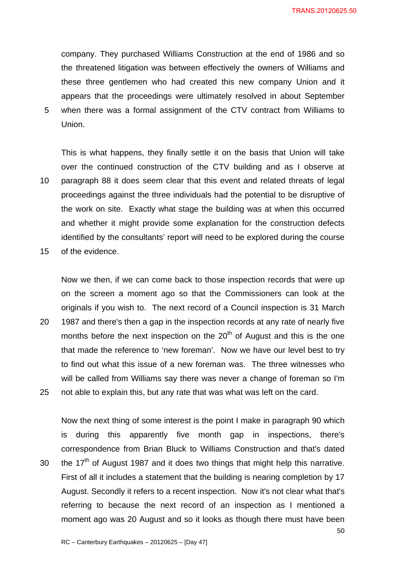company. They purchased Williams Construction at the end of 1986 and so the threatened litigation was between effectively the owners of Williams and these three gentlemen who had created this new company Union and it appears that the proceedings were ultimately resolved in about September 5 when there was a formal assignment of the CTV contract from Williams to Union.

This is what happens, they finally settle it on the basis that Union will take over the continued construction of the CTV building and as I observe at 10 paragraph 88 it does seem clear that this event and related threats of legal proceedings against the three individuals had the potential to be disruptive of the work on site. Exactly what stage the building was at when this occurred and whether it might provide some explanation for the construction defects identified by the consultants' report will need to be explored during the course

15 of the evidence.

Now we then, if we can come back to those inspection records that were up on the screen a moment ago so that the Commissioners can look at the originals if you wish to. The next record of a Council inspection is 31 March

20 1987 and there's then a gap in the inspection records at any rate of nearly five months before the next inspection on the  $20<sup>th</sup>$  of August and this is the one that made the reference to 'new foreman'. Now we have our level best to try to find out what this issue of a new foreman was. The three witnesses who will be called from Williams say there was never a change of foreman so I'm 25 not able to explain this, but any rate that was what was left on the card.

Now the next thing of some interest is the point I make in paragraph 90 which is during this apparently five month gap in inspections, there's correspondence from Brian Bluck to Williams Construction and that's dated 30 the  $17<sup>th</sup>$  of August 1987 and it does two things that might help this narrative. First of all it includes a statement that the building is nearing completion by 17

August. Secondly it refers to a recent inspection. Now it's not clear what that's referring to because the next record of an inspection as I mentioned a moment ago was 20 August and so it looks as though there must have been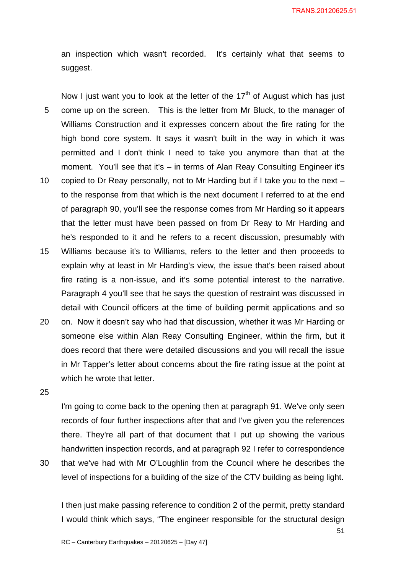an inspection which wasn't recorded. It's certainly what that seems to suggest.

Now I just want you to look at the letter of the  $17<sup>th</sup>$  of August which has just 5 come up on the screen. This is the letter from Mr Bluck, to the manager of Williams Construction and it expresses concern about the fire rating for the high bond core system. It says it wasn't built in the way in which it was permitted and I don't think I need to take you anymore than that at the moment. You'll see that it's – in terms of Alan Reay Consulting Engineer it's 10 copied to Dr Reay personally, not to Mr Harding but if I take you to the next – to the response from that which is the next document I referred to at the end of paragraph 90, you'll see the response comes from Mr Harding so it appears that the letter must have been passed on from Dr Reay to Mr Harding and

15 Williams because it's to Williams, refers to the letter and then proceeds to explain why at least in Mr Harding's view, the issue that's been raised about fire rating is a non-issue, and it's some potential interest to the narrative. Paragraph 4 you'll see that he says the question of restraint was discussed in detail with Council officers at the time of building permit applications and so

he's responded to it and he refers to a recent discussion, presumably with

20 on. Now it doesn't say who had that discussion, whether it was Mr Harding or someone else within Alan Reay Consulting Engineer, within the firm, but it does record that there were detailed discussions and you will recall the issue in Mr Tapper's letter about concerns about the fire rating issue at the point at which he wrote that letter.

25

I'm going to come back to the opening then at paragraph 91. We've only seen records of four further inspections after that and I've given you the references there. They're all part of that document that I put up showing the various handwritten inspection records, and at paragraph 92 I refer to correspondence 30 that we've had with Mr O'Loughlin from the Council where he describes the

level of inspections for a building of the size of the CTV building as being light.

I then just make passing reference to condition 2 of the permit, pretty standard I would think which says, "The engineer responsible for the structural design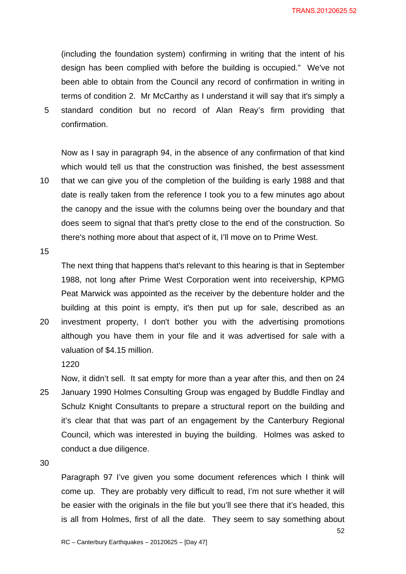(including the foundation system) confirming in writing that the intent of his design has been complied with before the building is occupied." We've not been able to obtain from the Council any record of confirmation in writing in terms of condition 2. Mr McCarthy as I understand it will say that it's simply a 5 standard condition but no record of Alan Reay's firm providing that confirmation.

Now as I say in paragraph 94, in the absence of any confirmation of that kind which would tell us that the construction was finished, the best assessment 10 that we can give you of the completion of the building is early 1988 and that date is really taken from the reference I took you to a few minutes ago about the canopy and the issue with the columns being over the boundary and that does seem to signal that that's pretty close to the end of the construction. So

there's nothing more about that aspect of it, I'll move on to Prime West.

15

The next thing that happens that's relevant to this hearing is that in September 1988, not long after Prime West Corporation went into receivership, KPMG Peat Marwick was appointed as the receiver by the debenture holder and the building at this point is empty, it's then put up for sale, described as an 20 investment property, I don't bother you with the advertising promotions

although you have them in your file and it was advertised for sale with a valuation of \$4.15 million.

1220

Now, it didn't sell. It sat empty for more than a year after this, and then on 24 25 January 1990 Holmes Consulting Group was engaged by Buddle Findlay and Schulz Knight Consultants to prepare a structural report on the building and it's clear that that was part of an engagement by the Canterbury Regional Council, which was interested in buying the building. Holmes was asked to conduct a due diligence.

30

Paragraph 97 I've given you some document references which I think will come up. They are probably very difficult to read, I'm not sure whether it will be easier with the originals in the file but you'll see there that it's headed, this is all from Holmes, first of all the date. They seem to say something about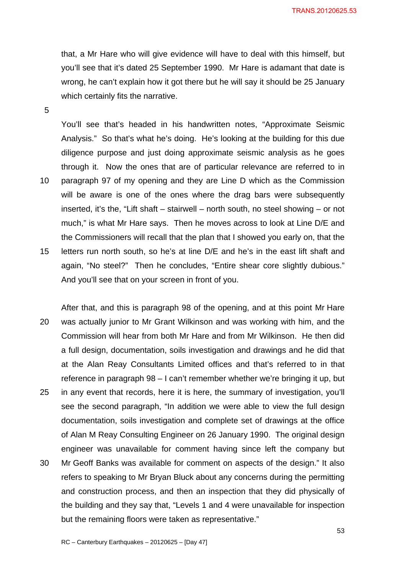that, a Mr Hare who will give evidence will have to deal with this himself, but you'll see that it's dated 25 September 1990. Mr Hare is adamant that date is wrong, he can't explain how it got there but he will say it should be 25 January which certainly fits the narrative.

5

You'll see that's headed in his handwritten notes, "Approximate Seismic Analysis." So that's what he's doing. He's looking at the building for this due diligence purpose and just doing approximate seismic analysis as he goes through it. Now the ones that are of particular relevance are referred to in 10 paragraph 97 of my opening and they are Line D which as the Commission will be aware is one of the ones where the drag bars were subsequently inserted, it's the, "Lift shaft – stairwell – north south, no steel showing – or not much," is what Mr Hare says. Then he moves across to look at Line D/E and the Commissioners will recall that the plan that I showed you early on, that the 15 letters run north south, so he's at line D/E and he's in the east lift shaft and again, "No steel?" Then he concludes, "Entire shear core slightly dubious." And you'll see that on your screen in front of you.

After that, and this is paragraph 98 of the opening, and at this point Mr Hare 20 was actually junior to Mr Grant Wilkinson and was working with him, and the Commission will hear from both Mr Hare and from Mr Wilkinson. He then did a full design, documentation, soils investigation and drawings and he did that at the Alan Reay Consultants Limited offices and that's referred to in that reference in paragraph 98 – I can't remember whether we're bringing it up, but 25 in any event that records, here it is here, the summary of investigation, you'll see the second paragraph, "In addition we were able to view the full design documentation, soils investigation and complete set of drawings at the office of Alan M Reay Consulting Engineer on 26 January 1990. The original design engineer was unavailable for comment having since left the company but 30 Mr Geoff Banks was available for comment on aspects of the design." It also refers to speaking to Mr Bryan Bluck about any concerns during the permitting and construction process, and then an inspection that they did physically of the building and they say that, "Levels 1 and 4 were unavailable for inspection

but the remaining floors were taken as representative."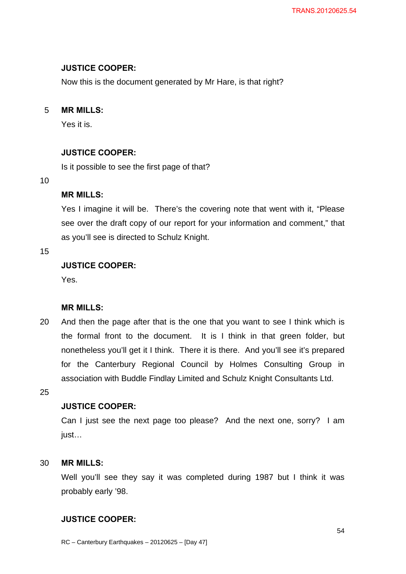# **JUSTICE COOPER:**

Now this is the document generated by Mr Hare, is that right?

# 5 **MR MILLS:**

Yes it is.

# **JUSTICE COOPER:**

Is it possible to see the first page of that?

### 10

# **MR MILLS:**

Yes I imagine it will be. There's the covering note that went with it, "Please see over the draft copy of our report for your information and comment," that as you'll see is directed to Schulz Knight.

# 15

# **JUSTICE COOPER:**

Yes.

# **MR MILLS:**

20 And then the page after that is the one that you want to see I think which is the formal front to the document. It is I think in that green folder, but nonetheless you'll get it I think. There it is there. And you'll see it's prepared for the Canterbury Regional Council by Holmes Consulting Group in association with Buddle Findlay Limited and Schulz Knight Consultants Ltd.

25

# **JUSTICE COOPER:**

Can I just see the next page too please? And the next one, sorry? I am just…

# 30 **MR MILLS:**

Well you'll see they say it was completed during 1987 but I think it was probably early '98.

# **JUSTICE COOPER:**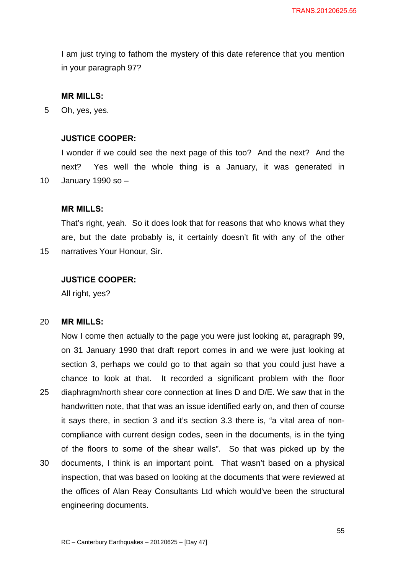I am just trying to fathom the mystery of this date reference that you mention in your paragraph 97?

### **MR MILLS:**

5 Oh, yes, yes.

# **JUSTICE COOPER:**

I wonder if we could see the next page of this too? And the next? And the next? Yes well the whole thing is a January, it was generated in 10 January 1990 so –

### **MR MILLS:**

That's right, yeah. So it does look that for reasons that who knows what they are, but the date probably is, it certainly doesn't fit with any of the other 15 narratives Your Honour, Sir.

### **JUSTICE COOPER:**

All right, yes?

### 20 **MR MILLS:**

Now I come then actually to the page you were just looking at, paragraph 99, on 31 January 1990 that draft report comes in and we were just looking at section 3, perhaps we could go to that again so that you could just have a chance to look at that. It recorded a significant problem with the floor 25 diaphragm/north shear core connection at lines D and D/E. We saw that in the handwritten note, that that was an issue identified early on, and then of course it says there, in section 3 and it's section 3.3 there is, "a vital area of noncompliance with current design codes, seen in the documents, is in the tying of the floors to some of the shear walls". So that was picked up by the 30 documents, I think is an important point. That wasn't based on a physical inspection, that was based on looking at the documents that were reviewed at the offices of Alan Reay Consultants Ltd which would've been the structural engineering documents.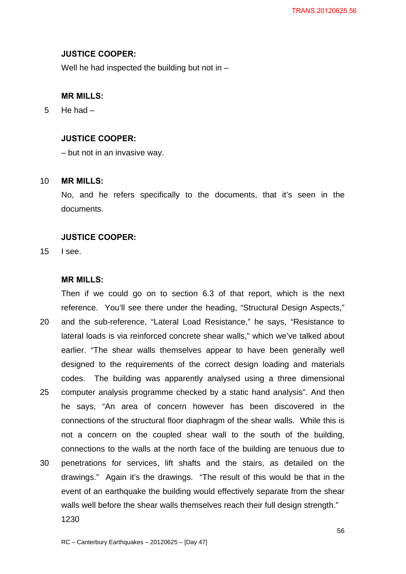### **JUSTICE COOPER:**

Well he had inspected the building but not in –

### **MR MILLS:**

5 He had –

# **JUSTICE COOPER:**

– but not in an invasive way.

### 10 **MR MILLS:**

No, and he refers specifically to the documents, that it's seen in the documents.

### **JUSTICE COOPER:**

15 I see.

### **MR MILLS:**

Then if we could go on to section 6.3 of that report, which is the next reference. You'll see there under the heading, "Structural Design Aspects," 20 and the sub-reference, "Lateral Load Resistance," he says, "Resistance to lateral loads is via reinforced concrete shear walls," which we've talked about earlier. "The shear walls themselves appear to have been generally well designed to the requirements of the correct design loading and materials codes. The building was apparently analysed using a three dimensional 25 computer analysis programme checked by a static hand analysis". And then he says, "An area of concern however has been discovered in the connections of the structural floor diaphragm of the shear walls. While this is not a concern on the coupled shear wall to the south of the building, connections to the walls at the north face of the building are tenuous due to 30 penetrations for services, lift shafts and the stairs, as detailed on the drawings." Again it's the drawings. "The result of this would be that in the event of an earthquake the building would effectively separate from the shear walls well before the shear walls themselves reach their full design strength."

1230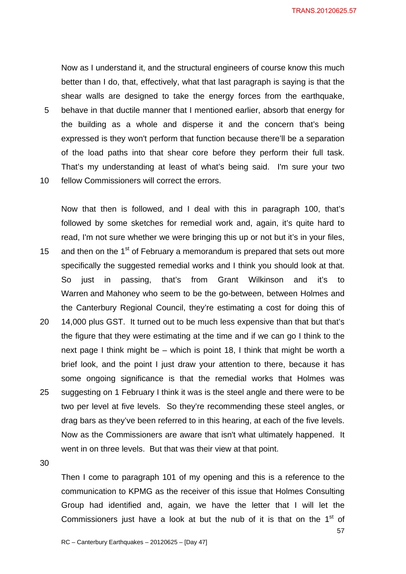Now as I understand it, and the structural engineers of course know this much better than I do, that, effectively, what that last paragraph is saying is that the shear walls are designed to take the energy forces from the earthquake, 5 behave in that ductile manner that I mentioned earlier, absorb that energy for the building as a whole and disperse it and the concern that's being expressed is they won't perform that function because there'll be a separation

of the load paths into that shear core before they perform their full task.

That's my understanding at least of what's being said. I'm sure your two

10 fellow Commissioners will correct the errors.

Now that then is followed, and I deal with this in paragraph 100, that's followed by some sketches for remedial work and, again, it's quite hard to read, I'm not sure whether we were bringing this up or not but it's in your files, 15 and then on the 1<sup>st</sup> of February a memorandum is prepared that sets out more specifically the suggested remedial works and I think you should look at that. So just in passing, that's from Grant Wilkinson and it's to Warren and Mahoney who seem to be the go-between, between Holmes and the Canterbury Regional Council, they're estimating a cost for doing this of 20 14,000 plus GST. It turned out to be much less expensive than that but that's the figure that they were estimating at the time and if we can go I think to the next page I think might be – which is point 18, I think that might be worth a brief look, and the point I just draw your attention to there, because it has some ongoing significance is that the remedial works that Holmes was 25 suggesting on 1 February I think it was is the steel angle and there were to be two per level at five levels. So they're recommending these steel angles, or drag bars as they've been referred to in this hearing, at each of the five levels. Now as the Commissioners are aware that isn't what ultimately happened. It

30

Then I come to paragraph 101 of my opening and this is a reference to the communication to KPMG as the receiver of this issue that Holmes Consulting Group had identified and, again, we have the letter that I will let the Commissioners just have a look at but the nub of it is that on the  $1<sup>st</sup>$  of

went in on three levels. But that was their view at that point.

57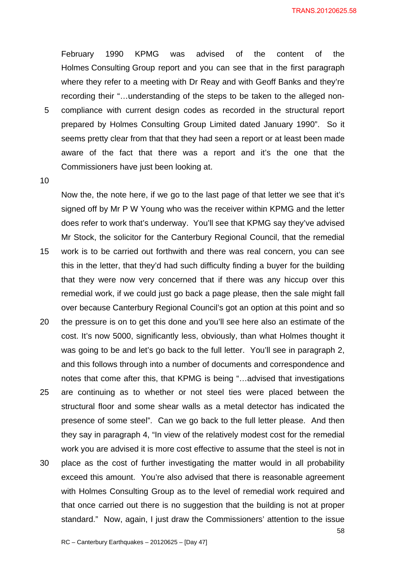February 1990 KPMG was advised of the content of the Holmes Consulting Group report and you can see that in the first paragraph where they refer to a meeting with Dr Reay and with Geoff Banks and they're recording their "…understanding of the steps to be taken to the alleged non-5 compliance with current design codes as recorded in the structural report prepared by Holmes Consulting Group Limited dated January 1990". So it seems pretty clear from that that they had seen a report or at least been made aware of the fact that there was a report and it's the one that the Commissioners have just been looking at.

10

Now the, the note here, if we go to the last page of that letter we see that it's signed off by Mr P W Young who was the receiver within KPMG and the letter does refer to work that's underway. You'll see that KPMG say they've advised Mr Stock, the solicitor for the Canterbury Regional Council, that the remedial

- 15 work is to be carried out forthwith and there was real concern, you can see this in the letter, that they'd had such difficulty finding a buyer for the building that they were now very concerned that if there was any hiccup over this remedial work, if we could just go back a page please, then the sale might fall over because Canterbury Regional Council's got an option at this point and so
- 20 the pressure is on to get this done and you'll see here also an estimate of the cost. It's now 5000, significantly less, obviously, than what Holmes thought it was going to be and let's go back to the full letter. You'll see in paragraph 2, and this follows through into a number of documents and correspondence and notes that come after this, that KPMG is being "…advised that investigations
- 25 are continuing as to whether or not steel ties were placed between the structural floor and some shear walls as a metal detector has indicated the presence of some steel". Can we go back to the full letter please. And then they say in paragraph 4, "In view of the relatively modest cost for the remedial work you are advised it is more cost effective to assume that the steel is not in
- 30 place as the cost of further investigating the matter would in all probability exceed this amount. You're also advised that there is reasonable agreement with Holmes Consulting Group as to the level of remedial work required and that once carried out there is no suggestion that the building is not at proper standard." Now, again, I just draw the Commissioners' attention to the issue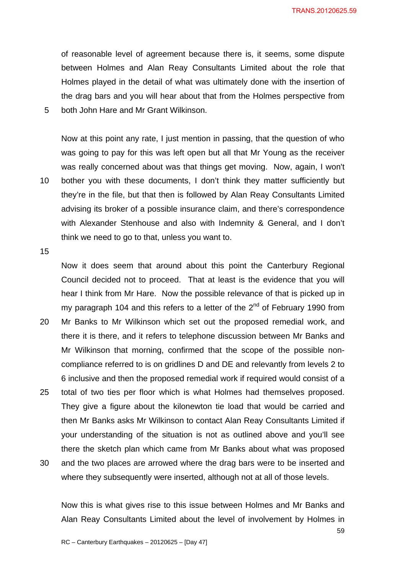of reasonable level of agreement because there is, it seems, some dispute between Holmes and Alan Reay Consultants Limited about the role that Holmes played in the detail of what was ultimately done with the insertion of the drag bars and you will hear about that from the Holmes perspective from 5 both John Hare and Mr Grant Wilkinson.

Now at this point any rate, I just mention in passing, that the question of who was going to pay for this was left open but all that Mr Young as the receiver was really concerned about was that things get moving. Now, again, I won't 10 bother you with these documents, I don't think they matter sufficiently but they're in the file, but that then is followed by Alan Reay Consultants Limited advising its broker of a possible insurance claim, and there's correspondence with Alexander Stenhouse and also with Indemnity & General, and I don't think we need to go to that, unless you want to.

15

Now it does seem that around about this point the Canterbury Regional Council decided not to proceed. That at least is the evidence that you will hear I think from Mr Hare. Now the possible relevance of that is picked up in my paragraph 104 and this refers to a letter of the  $2<sup>nd</sup>$  of February 1990 from

- 20 Mr Banks to Mr Wilkinson which set out the proposed remedial work, and there it is there, and it refers to telephone discussion between Mr Banks and Mr Wilkinson that morning, confirmed that the scope of the possible noncompliance referred to is on gridlines D and DE and relevantly from levels 2 to 6 inclusive and then the proposed remedial work if required would consist of a
- 25 total of two ties per floor which is what Holmes had themselves proposed. They give a figure about the kilonewton tie load that would be carried and then Mr Banks asks Mr Wilkinson to contact Alan Reay Consultants Limited if your understanding of the situation is not as outlined above and you'll see there the sketch plan which came from Mr Banks about what was proposed
- 30 and the two places are arrowed where the drag bars were to be inserted and where they subsequently were inserted, although not at all of those levels.

Now this is what gives rise to this issue between Holmes and Mr Banks and Alan Reay Consultants Limited about the level of involvement by Holmes in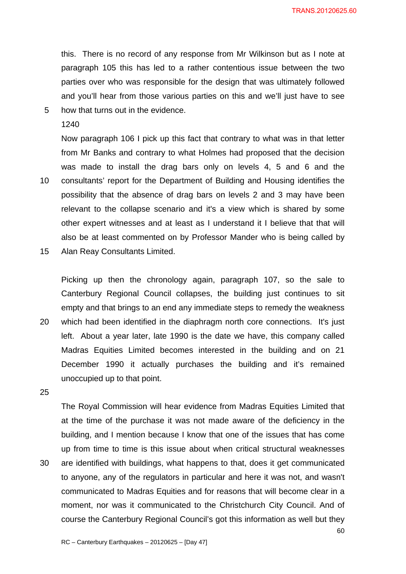this. There is no record of any response from Mr Wilkinson but as I note at paragraph 105 this has led to a rather contentious issue between the two parties over who was responsible for the design that was ultimately followed and you'll hear from those various parties on this and we'll just have to see

5 how that turns out in the evidence.

### 1240

Now paragraph 106 I pick up this fact that contrary to what was in that letter from Mr Banks and contrary to what Holmes had proposed that the decision was made to install the drag bars only on levels 4, 5 and 6 and the 10 consultants' report for the Department of Building and Housing identifies the possibility that the absence of drag bars on levels 2 and 3 may have been relevant to the collapse scenario and it's a view which is shared by some other expert witnesses and at least as I understand it I believe that that will also be at least commented on by Professor Mander who is being called by

15 Alan Reay Consultants Limited.

Picking up then the chronology again, paragraph 107, so the sale to Canterbury Regional Council collapses, the building just continues to sit empty and that brings to an end any immediate steps to remedy the weakness

20 which had been identified in the diaphragm north core connections. It's just left. About a year later, late 1990 is the date we have, this company called Madras Equities Limited becomes interested in the building and on 21 December 1990 it actually purchases the building and it's remained unoccupied up to that point.

25

The Royal Commission will hear evidence from Madras Equities Limited that at the time of the purchase it was not made aware of the deficiency in the building, and I mention because I know that one of the issues that has come up from time to time is this issue about when critical structural weaknesses 30 are identified with buildings, what happens to that, does it get communicated to anyone, any of the regulators in particular and here it was not, and wasn't communicated to Madras Equities and for reasons that will become clear in a moment, nor was it communicated to the Christchurch City Council. And of course the Canterbury Regional Council's got this information as well but they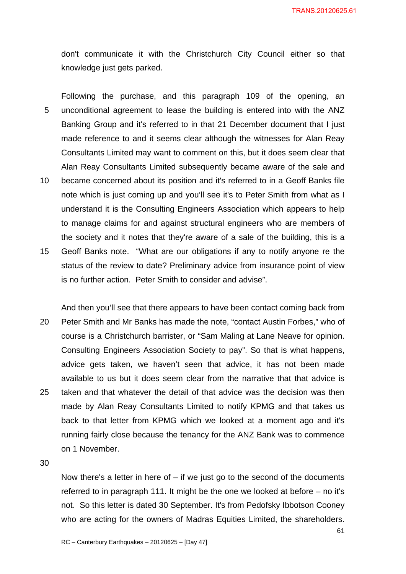don't communicate it with the Christchurch City Council either so that knowledge just gets parked.

Following the purchase, and this paragraph 109 of the opening, an 5 unconditional agreement to lease the building is entered into with the ANZ Banking Group and it's referred to in that 21 December document that I just made reference to and it seems clear although the witnesses for Alan Reay Consultants Limited may want to comment on this, but it does seem clear that Alan Reay Consultants Limited subsequently became aware of the sale and

- 10 became concerned about its position and it's referred to in a Geoff Banks file note which is just coming up and you'll see it's to Peter Smith from what as I understand it is the Consulting Engineers Association which appears to help to manage claims for and against structural engineers who are members of the society and it notes that they're aware of a sale of the building, this is a
- 15 Geoff Banks note. "What are our obligations if any to notify anyone re the status of the review to date? Preliminary advice from insurance point of view is no further action. Peter Smith to consider and advise".
- And then you'll see that there appears to have been contact coming back from 20 Peter Smith and Mr Banks has made the note, "contact Austin Forbes," who of course is a Christchurch barrister, or "Sam Maling at Lane Neave for opinion. Consulting Engineers Association Society to pay". So that is what happens, advice gets taken, we haven't seen that advice, it has not been made available to us but it does seem clear from the narrative that that advice is 25 taken and that whatever the detail of that advice was the decision was then made by Alan Reay Consultants Limited to notify KPMG and that takes us back to that letter from KPMG which we looked at a moment ago and it's running fairly close because the tenancy for the ANZ Bank was to commence on 1 November.

30

Now there's a letter in here of  $-$  if we just go to the second of the documents referred to in paragraph 111. It might be the one we looked at before – no it's not. So this letter is dated 30 September. It's from Pedofsky Ibbotson Cooney who are acting for the owners of Madras Equities Limited, the shareholders.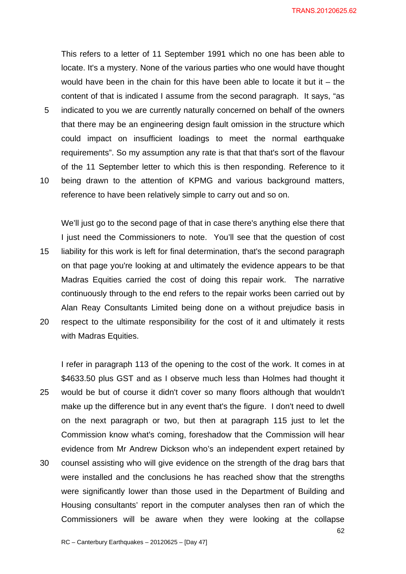TRANS.20120625.62

This refers to a letter of 11 September 1991 which no one has been able to locate. It's a mystery. None of the various parties who one would have thought would have been in the chain for this have been able to locate it but it  $-$  the content of that is indicated I assume from the second paragraph. It says, "as 5 indicated to you we are currently naturally concerned on behalf of the owners that there may be an engineering design fault omission in the structure which could impact on insufficient loadings to meet the normal earthquake requirements". So my assumption any rate is that that that's sort of the flavour of the 11 September letter to which this is then responding. Reference to it 10 being drawn to the attention of KPMG and various background matters, reference to have been relatively simple to carry out and so on.

We'll just go to the second page of that in case there's anything else there that I just need the Commissioners to note. You'll see that the question of cost 15 liability for this work is left for final determination, that's the second paragraph on that page you're looking at and ultimately the evidence appears to be that Madras Equities carried the cost of doing this repair work. The narrative continuously through to the end refers to the repair works been carried out by Alan Reay Consultants Limited being done on a without prejudice basis in 20 respect to the ultimate responsibility for the cost of it and ultimately it rests with Madras Equities.

I refer in paragraph 113 of the opening to the cost of the work. It comes in at \$4633.50 plus GST and as I observe much less than Holmes had thought it 25 would be but of course it didn't cover so many floors although that wouldn't make up the difference but in any event that's the figure. I don't need to dwell on the next paragraph or two, but then at paragraph 115 just to let the Commission know what's coming, foreshadow that the Commission will hear evidence from Mr Andrew Dickson who's an independent expert retained by 30 counsel assisting who will give evidence on the strength of the drag bars that were installed and the conclusions he has reached show that the strengths were significantly lower than those used in the Department of Building and Housing consultants' report in the computer analyses then ran of which the Commissioners will be aware when they were looking at the collapse

62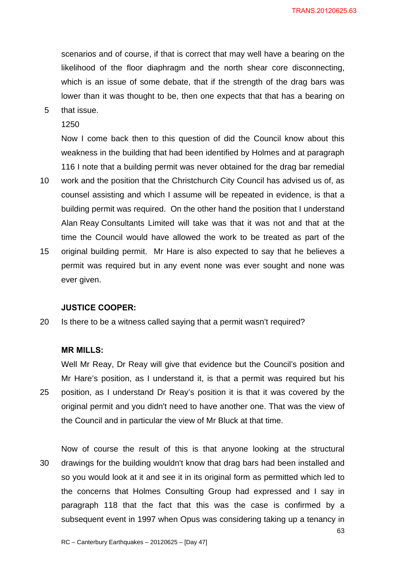scenarios and of course, if that is correct that may well have a bearing on the likelihood of the floor diaphragm and the north shear core disconnecting, which is an issue of some debate, that if the strength of the drag bars was lower than it was thought to be, then one expects that that has a bearing on

5 that issue.

### 1250

Now I come back then to this question of did the Council know about this weakness in the building that had been identified by Holmes and at paragraph 116 I note that a building permit was never obtained for the drag bar remedial

- 10 work and the position that the Christchurch City Council has advised us of, as counsel assisting and which I assume will be repeated in evidence, is that a building permit was required. On the other hand the position that I understand Alan Reay Consultants Limited will take was that it was not and that at the time the Council would have allowed the work to be treated as part of the
- 15 original building permit. Mr Hare is also expected to say that he believes a permit was required but in any event none was ever sought and none was ever given.

### **JUSTICE COOPER:**

20 Is there to be a witness called saying that a permit wasn't required?

### **MR MILLS:**

Well Mr Reay, Dr Reay will give that evidence but the Council's position and Mr Hare's position, as I understand it, is that a permit was required but his 25 position, as I understand Dr Reay's position it is that it was covered by the original permit and you didn't need to have another one. That was the view of the Council and in particular the view of Mr Bluck at that time.

Now of course the result of this is that anyone looking at the structural 30 drawings for the building wouldn't know that drag bars had been installed and so you would look at it and see it in its original form as permitted which led to the concerns that Holmes Consulting Group had expressed and I say in paragraph 118 that the fact that this was the case is confirmed by a subsequent event in 1997 when Opus was considering taking up a tenancy in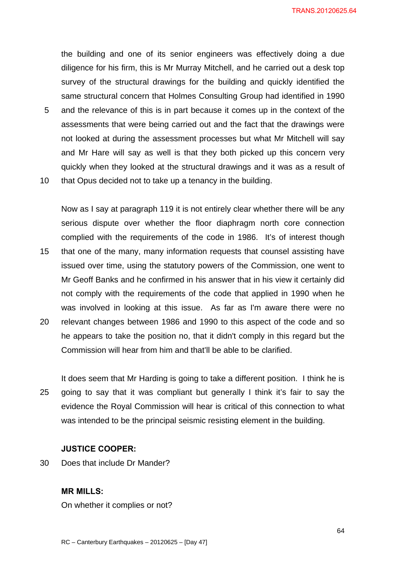TRANS.20120625.64

the building and one of its senior engineers was effectively doing a due diligence for his firm, this is Mr Murray Mitchell, and he carried out a desk top survey of the structural drawings for the building and quickly identified the same structural concern that Holmes Consulting Group had identified in 1990

- 5 and the relevance of this is in part because it comes up in the context of the assessments that were being carried out and the fact that the drawings were not looked at during the assessment processes but what Mr Mitchell will say and Mr Hare will say as well is that they both picked up this concern very quickly when they looked at the structural drawings and it was as a result of
- 10 that Opus decided not to take up a tenancy in the building.

Now as I say at paragraph 119 it is not entirely clear whether there will be any serious dispute over whether the floor diaphragm north core connection complied with the requirements of the code in 1986. It's of interest though 15 that one of the many, many information requests that counsel assisting have issued over time, using the statutory powers of the Commission, one went to Mr Geoff Banks and he confirmed in his answer that in his view it certainly did not comply with the requirements of the code that applied in 1990 when he was involved in looking at this issue. As far as I'm aware there were no 20 relevant changes between 1986 and 1990 to this aspect of the code and so he appears to take the position no, that it didn't comply in this regard but the

- Commission will hear from him and that'll be able to be clarified. It does seem that Mr Harding is going to take a different position. I think he is
- 25 going to say that it was compliant but generally I think it's fair to say the evidence the Royal Commission will hear is critical of this connection to what was intended to be the principal seismic resisting element in the building.

# **JUSTICE COOPER:**

30 Does that include Dr Mander?

### **MR MILLS:**

On whether it complies or not?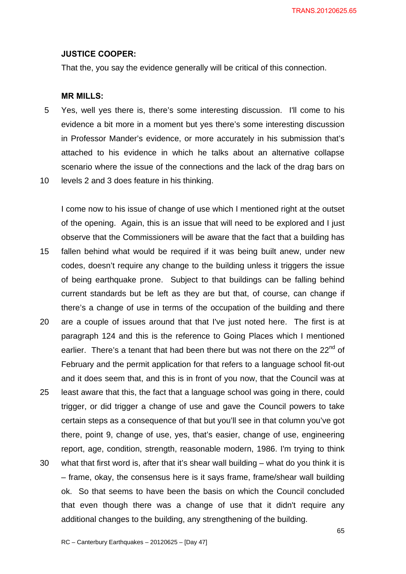#### **JUSTICE COOPER:**

That the, you say the evidence generally will be critical of this connection.

### **MR MILLS:**

- 5 Yes, well yes there is, there's some interesting discussion. I'll come to his evidence a bit more in a moment but yes there's some interesting discussion in Professor Mander's evidence, or more accurately in his submission that's attached to his evidence in which he talks about an alternative collapse scenario where the issue of the connections and the lack of the drag bars on
- 10 levels 2 and 3 does feature in his thinking.

I come now to his issue of change of use which I mentioned right at the outset of the opening. Again, this is an issue that will need to be explored and I just observe that the Commissioners will be aware that the fact that a building has 15 fallen behind what would be required if it was being built anew, under new codes, doesn't require any change to the building unless it triggers the issue of being earthquake prone. Subject to that buildings can be falling behind current standards but be left as they are but that, of course, can change if there's a change of use in terms of the occupation of the building and there 20 are a couple of issues around that that I've just noted here. The first is at

- paragraph 124 and this is the reference to Going Places which I mentioned earlier. There's a tenant that had been there but was not there on the  $22<sup>nd</sup>$  of February and the permit application for that refers to a language school fit-out and it does seem that, and this is in front of you now, that the Council was at
- 25 least aware that this, the fact that a language school was going in there, could trigger, or did trigger a change of use and gave the Council powers to take certain steps as a consequence of that but you'll see in that column you've got there, point 9, change of use, yes, that's easier, change of use, engineering report, age, condition, strength, reasonable modern, 1986. I'm trying to think 30 what that first word is, after that it's shear wall building – what do you think it is
- frame, okay, the consensus here is it says frame, frame/shear wall building ok. So that seems to have been the basis on which the Council concluded that even though there was a change of use that it didn't require any additional changes to the building, any strengthening of the building.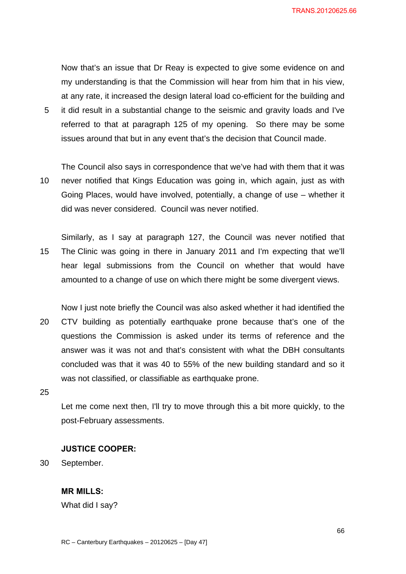Now that's an issue that Dr Reay is expected to give some evidence on and my understanding is that the Commission will hear from him that in his view, at any rate, it increased the design lateral load co-efficient for the building and 5 it did result in a substantial change to the seismic and gravity loads and I've referred to that at paragraph 125 of my opening. So there may be some

The Council also says in correspondence that we've had with them that it was 10 never notified that Kings Education was going in, which again, just as with Going Places, would have involved, potentially, a change of use – whether it did was never considered. Council was never notified.

issues around that but in any event that's the decision that Council made.

Similarly, as I say at paragraph 127, the Council was never notified that 15 The Clinic was going in there in January 2011 and I'm expecting that we'll hear legal submissions from the Council on whether that would have amounted to a change of use on which there might be some divergent views.

Now I just note briefly the Council was also asked whether it had identified the 20 CTV building as potentially earthquake prone because that's one of the questions the Commission is asked under its terms of reference and the answer was it was not and that's consistent with what the DBH consultants concluded was that it was 40 to 55% of the new building standard and so it was not classified, or classifiable as earthquake prone.

25

Let me come next then, I'll try to move through this a bit more quickly, to the post-February assessments.

# **JUSTICE COOPER:**

30 September.

# **MR MILLS:**

What did I say?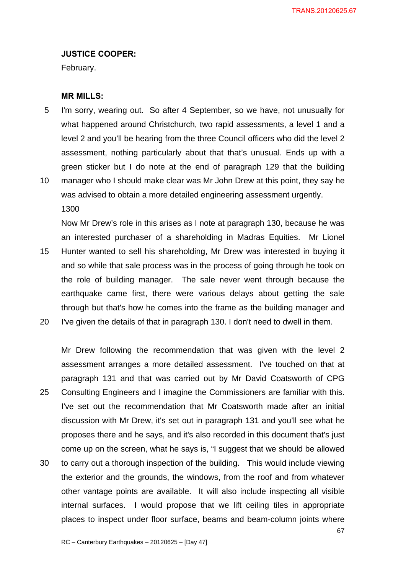### **JUSTICE COOPER:**

February.

### **MR MILLS:**

- 5 I'm sorry, wearing out. So after 4 September, so we have, not unusually for what happened around Christchurch, two rapid assessments, a level 1 and a level 2 and you'll be hearing from the three Council officers who did the level 2 assessment, nothing particularly about that that's unusual. Ends up with a green sticker but I do note at the end of paragraph 129 that the building
- 10 manager who I should make clear was Mr John Drew at this point, they say he was advised to obtain a more detailed engineering assessment urgently. 1300

Now Mr Drew's role in this arises as I note at paragraph 130, because he was an interested purchaser of a shareholding in Madras Equities. Mr Lionel 15 Hunter wanted to sell his shareholding, Mr Drew was interested in buying it and so while that sale process was in the process of going through he took on the role of building manager. The sale never went through because the earthquake came first, there were various delays about getting the sale through but that's how he comes into the frame as the building manager and 20 I've given the details of that in paragraph 130. I don't need to dwell in them.

Mr Drew following the recommendation that was given with the level 2 assessment arranges a more detailed assessment. I've touched on that at paragraph 131 and that was carried out by Mr David Coatsworth of CPG 25 Consulting Engineers and I imagine the Commissioners are familiar with this. I've set out the recommendation that Mr Coatsworth made after an initial discussion with Mr Drew, it's set out in paragraph 131 and you'll see what he proposes there and he says, and it's also recorded in this document that's just come up on the screen, what he says is, "I suggest that we should be allowed 30 to carry out a thorough inspection of the building. This would include viewing

the exterior and the grounds, the windows, from the roof and from whatever other vantage points are available. It will also include inspecting all visible internal surfaces. I would propose that we lift ceiling tiles in appropriate places to inspect under floor surface, beams and beam-column joints where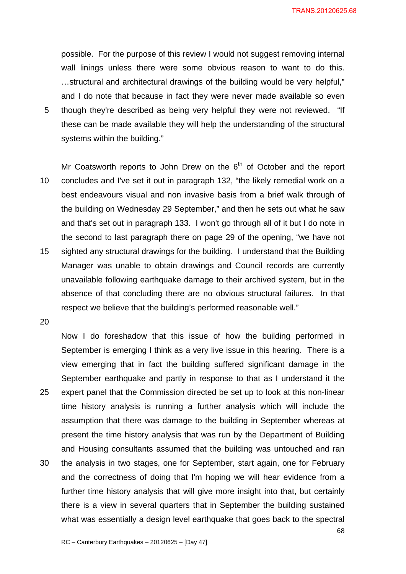TRANS.20120625.68

possible. For the purpose of this review I would not suggest removing internal wall linings unless there were some obvious reason to want to do this. …structural and architectural drawings of the building would be very helpful," and I do note that because in fact they were never made available so even 5 though they're described as being very helpful they were not reviewed. "If these can be made available they will help the understanding of the structural systems within the building."

Mr Coatsworth reports to John Drew on the  $6<sup>th</sup>$  of October and the report 10 concludes and I've set it out in paragraph 132, "the likely remedial work on a best endeavours visual and non invasive basis from a brief walk through of the building on Wednesday 29 September," and then he sets out what he saw and that's set out in paragraph 133. I won't go through all of it but I do note in the second to last paragraph there on page 29 of the opening, "we have not 15 sighted any structural drawings for the building. I understand that the Building Manager was unable to obtain drawings and Council records are currently unavailable following earthquake damage to their archived system, but in the absence of that concluding there are no obvious structural failures. In that respect we believe that the building's performed reasonable well."

20

Now I do foreshadow that this issue of how the building performed in September is emerging I think as a very live issue in this hearing. There is a view emerging that in fact the building suffered significant damage in the September earthquake and partly in response to that as I understand it the 25 expert panel that the Commission directed be set up to look at this non-linear time history analysis is running a further analysis which will include the assumption that there was damage to the building in September whereas at present the time history analysis that was run by the Department of Building and Housing consultants assumed that the building was untouched and ran 30 the analysis in two stages, one for September, start again, one for February and the correctness of doing that I'm hoping we will hear evidence from a further time history analysis that will give more insight into that, but certainly there is a view in several quarters that in September the building sustained what was essentially a design level earthquake that goes back to the spectral

68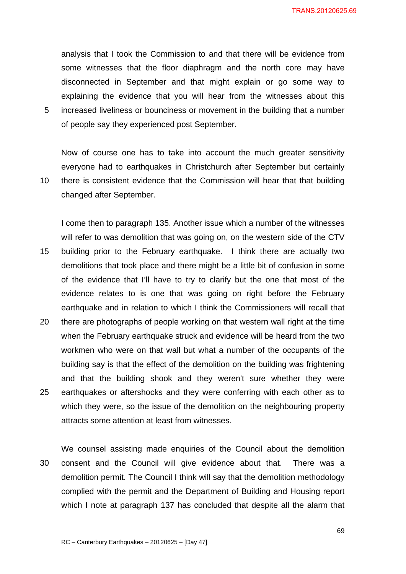analysis that I took the Commission to and that there will be evidence from some witnesses that the floor diaphragm and the north core may have disconnected in September and that might explain or go some way to explaining the evidence that you will hear from the witnesses about this 5 increased liveliness or bounciness or movement in the building that a number of people say they experienced post September.

Now of course one has to take into account the much greater sensitivity everyone had to earthquakes in Christchurch after September but certainly 10 there is consistent evidence that the Commission will hear that that building changed after September.

I come then to paragraph 135. Another issue which a number of the witnesses will refer to was demolition that was going on, on the western side of the CTV 15 building prior to the February earthquake. I think there are actually two demolitions that took place and there might be a little bit of confusion in some of the evidence that I'll have to try to clarify but the one that most of the evidence relates to is one that was going on right before the February earthquake and in relation to which I think the Commissioners will recall that 20 there are photographs of people working on that western wall right at the time when the February earthquake struck and evidence will be heard from the two workmen who were on that wall but what a number of the occupants of the building say is that the effect of the demolition on the building was frightening and that the building shook and they weren't sure whether they were 25 earthquakes or aftershocks and they were conferring with each other as to which they were, so the issue of the demolition on the neighbouring property attracts some attention at least from witnesses.

We counsel assisting made enquiries of the Council about the demolition 30 consent and the Council will give evidence about that. There was a demolition permit. The Council I think will say that the demolition methodology complied with the permit and the Department of Building and Housing report which I note at paragraph 137 has concluded that despite all the alarm that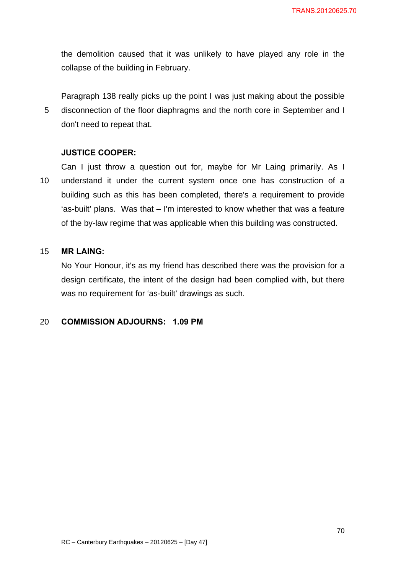the demolition caused that it was unlikely to have played any role in the collapse of the building in February.

Paragraph 138 really picks up the point I was just making about the possible 5 disconnection of the floor diaphragms and the north core in September and I don't need to repeat that.

### **JUSTICE COOPER:**

Can I just throw a question out for, maybe for Mr Laing primarily. As I 10 understand it under the current system once one has construction of a building such as this has been completed, there's a requirement to provide 'as-built' plans. Was that – I'm interested to know whether that was a feature of the by-law regime that was applicable when this building was constructed.

### 15 **MR LAING:**

No Your Honour, it's as my friend has described there was the provision for a design certificate, the intent of the design had been complied with, but there was no requirement for 'as-built' drawings as such.

### 20 **COMMISSION ADJOURNS: 1.09 PM**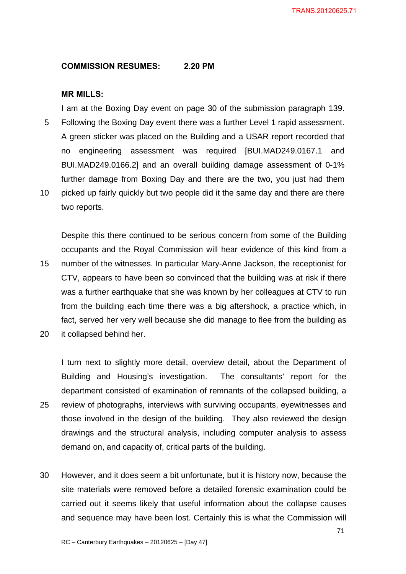### **COMMISSION RESUMES: 2.20 PM**

### **MR MILLS:**

I am at the Boxing Day event on page 30 of the submission paragraph 139. 5 Following the Boxing Day event there was a further Level 1 rapid assessment. A green sticker was placed on the Building and a USAR report recorded that no engineering assessment was required [BUI.MAD249.0167.1 and BUI.MAD249.0166.2] and an overall building damage assessment of 0-1% further damage from Boxing Day and there are the two, you just had them 10 picked up fairly quickly but two people did it the same day and there are there two reports.

Despite this there continued to be serious concern from some of the Building occupants and the Royal Commission will hear evidence of this kind from a 15 number of the witnesses. In particular Mary-Anne Jackson, the receptionist for CTV, appears to have been so convinced that the building was at risk if there was a further earthquake that she was known by her colleagues at CTV to run from the building each time there was a big aftershock, a practice which, in fact, served her very well because she did manage to flee from the building as 20 it collapsed behind her.

I turn next to slightly more detail, overview detail, about the Department of Building and Housing's investigation. The consultants' report for the department consisted of examination of remnants of the collapsed building, a 25 review of photographs, interviews with surviving occupants, eyewitnesses and those involved in the design of the building. They also reviewed the design drawings and the structural analysis, including computer analysis to assess demand on, and capacity of, critical parts of the building.

30 However, and it does seem a bit unfortunate, but it is history now, because the site materials were removed before a detailed forensic examination could be carried out it seems likely that useful information about the collapse causes and sequence may have been lost. Certainly this is what the Commission will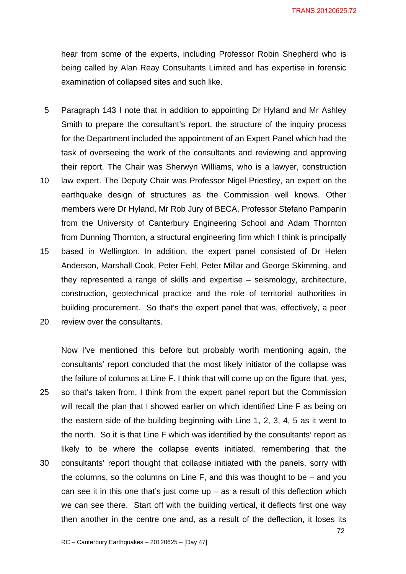hear from some of the experts, including Professor Robin Shepherd who is being called by Alan Reay Consultants Limited and has expertise in forensic examination of collapsed sites and such like.

- 5 Paragraph 143 I note that in addition to appointing Dr Hyland and Mr Ashley Smith to prepare the consultant's report, the structure of the inquiry process for the Department included the appointment of an Expert Panel which had the task of overseeing the work of the consultants and reviewing and approving their report. The Chair was Sherwyn Williams, who is a lawyer, construction
- 10 law expert. The Deputy Chair was Professor Nigel Priestley, an expert on the earthquake design of structures as the Commission well knows. Other members were Dr Hyland, Mr Rob Jury of BECA, Professor Stefano Pampanin from the University of Canterbury Engineering School and Adam Thornton from Dunning Thornton, a structural engineering firm which I think is principally
- 15 based in Wellington. In addition, the expert panel consisted of Dr Helen Anderson, Marshall Cook, Peter Fehl, Peter Millar and George Skimming, and they represented a range of skills and expertise – seismology, architecture, construction, geotechnical practice and the role of territorial authorities in building procurement. So that's the expert panel that was, effectively, a peer
- 20 review over the consultants.

Now I've mentioned this before but probably worth mentioning again, the consultants' report concluded that the most likely initiator of the collapse was the failure of columns at Line F. I think that will come up on the figure that, yes, 25 so that's taken from, I think from the expert panel report but the Commission will recall the plan that I showed earlier on which identified Line F as being on the eastern side of the building beginning with Line 1, 2, 3, 4, 5 as it went to the north. So it is that Line F which was identified by the consultants' report as likely to be where the collapse events initiated, remembering that the 30 consultants' report thought that collapse initiated with the panels, sorry with the columns, so the columns on Line F, and this was thought to be – and you can see it in this one that's just come  $up - as a$  result of this deflection which we can see there. Start off with the building vertical, it deflects first one way then another in the centre one and, as a result of the deflection, it loses its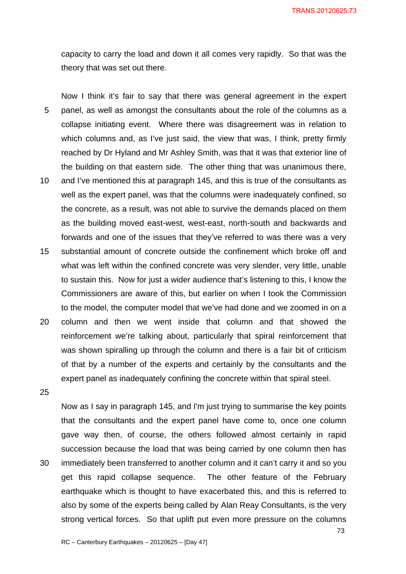capacity to carry the load and down it all comes very rapidly. So that was the theory that was set out there.

Now I think it's fair to say that there was general agreement in the expert 5 panel, as well as amongst the consultants about the role of the columns as a collapse initiating event. Where there was disagreement was in relation to which columns and, as I've just said, the view that was, I think, pretty firmly reached by Dr Hyland and Mr Ashley Smith, was that it was that exterior line of the building on that eastern side. The other thing that was unanimous there, 10 and I've mentioned this at paragraph 145, and this is true of the consultants as well as the expert panel, was that the columns were inadequately confined, so the concrete, as a result, was not able to survive the demands placed on them as the building moved east-west, west-east, north-south and backwards and forwards and one of the issues that they've referred to was there was a very 15 substantial amount of concrete outside the confinement which broke off and what was left within the confined concrete was very slender, very little, unable to sustain this. Now for just a wider audience that's listening to this, I know the

to the model, the computer model that we've had done and we zoomed in on a 20 column and then we went inside that column and that showed the reinforcement we're talking about, particularly that spiral reinforcement that was shown spiralling up through the column and there is a fair bit of criticism of that by a number of the experts and certainly by the consultants and the expert panel as inadequately confining the concrete within that spiral steel.

Commissioners are aware of this, but earlier on when I took the Commission

25

Now as I say in paragraph 145, and I'm just trying to summarise the key points that the consultants and the expert panel have come to, once one column gave way then, of course, the others followed almost certainly in rapid succession because the load that was being carried by one column then has 30 immediately been transferred to another column and it can't carry it and so you get this rapid collapse sequence. The other feature of the February earthquake which is thought to have exacerbated this, and this is referred to also by some of the experts being called by Alan Reay Consultants, is the very strong vertical forces. So that uplift put even more pressure on the columns

73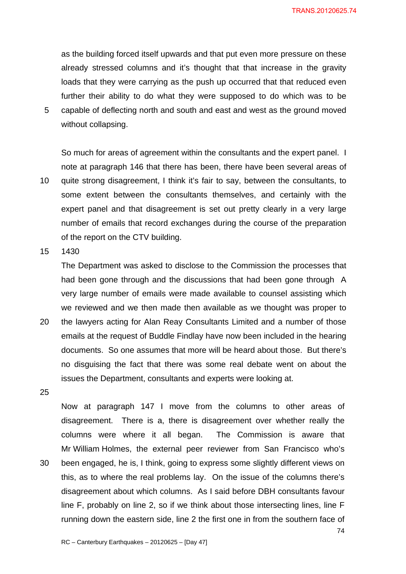as the building forced itself upwards and that put even more pressure on these already stressed columns and it's thought that that increase in the gravity loads that they were carrying as the push up occurred that that reduced even further their ability to do what they were supposed to do which was to be 5 capable of deflecting north and south and east and west as the ground moved without collapsing.

So much for areas of agreement within the consultants and the expert panel. I note at paragraph 146 that there has been, there have been several areas of 10 quite strong disagreement, I think it's fair to say, between the consultants, to some extent between the consultants themselves, and certainly with the expert panel and that disagreement is set out pretty clearly in a very large number of emails that record exchanges during the course of the preparation of the report on the CTV building.

15 1430

The Department was asked to disclose to the Commission the processes that had been gone through and the discussions that had been gone through A very large number of emails were made available to counsel assisting which we reviewed and we then made then available as we thought was proper to

- 20 the lawyers acting for Alan Reay Consultants Limited and a number of those emails at the request of Buddle Findlay have now been included in the hearing documents. So one assumes that more will be heard about those. But there's no disguising the fact that there was some real debate went on about the issues the Department, consultants and experts were looking at.
- 25

Now at paragraph 147 I move from the columns to other areas of disagreement. There is a, there is disagreement over whether really the columns were where it all began. The Commission is aware that Mr William Holmes, the external peer reviewer from San Francisco who's 30 been engaged, he is, I think, going to express some slightly different views on this, as to where the real problems lay. On the issue of the columns there's disagreement about which columns. As I said before DBH consultants favour line F, probably on line 2, so if we think about those intersecting lines, line F running down the eastern side, line 2 the first one in from the southern face of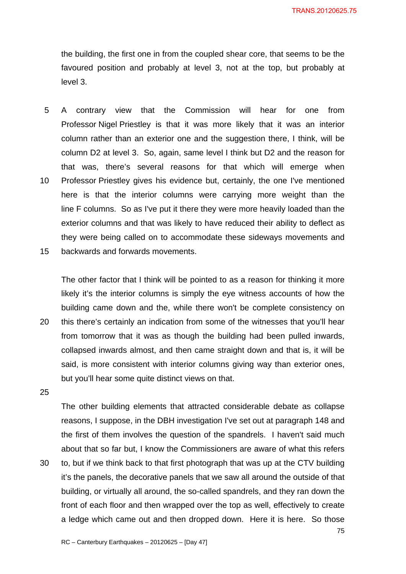the building, the first one in from the coupled shear core, that seems to be the favoured position and probably at level 3, not at the top, but probably at level 3.

- 5 A contrary view that the Commission will hear for one from Professor Nigel Priestley is that it was more likely that it was an interior column rather than an exterior one and the suggestion there, I think, will be column D2 at level 3. So, again, same level I think but D2 and the reason for that was, there's several reasons for that which will emerge when 10 Professor Priestley gives his evidence but, certainly, the one I've mentioned here is that the interior columns were carrying more weight than the line F columns. So as I've put it there they were more heavily loaded than the exterior columns and that was likely to have reduced their ability to deflect as they were being called on to accommodate these sideways movements and
- 15 backwards and forwards movements.

The other factor that I think will be pointed to as a reason for thinking it more likely it's the interior columns is simply the eye witness accounts of how the building came down and the, while there won't be complete consistency on

- 20 this there's certainly an indication from some of the witnesses that you'll hear from tomorrow that it was as though the building had been pulled inwards, collapsed inwards almost, and then came straight down and that is, it will be said, is more consistent with interior columns giving way than exterior ones, but you'll hear some quite distinct views on that.
- 25

The other building elements that attracted considerable debate as collapse reasons, I suppose, in the DBH investigation I've set out at paragraph 148 and the first of them involves the question of the spandrels. I haven't said much about that so far but, I know the Commissioners are aware of what this refers 30 to, but if we think back to that first photograph that was up at the CTV building it's the panels, the decorative panels that we saw all around the outside of that building, or virtually all around, the so-called spandrels, and they ran down the front of each floor and then wrapped over the top as well, effectively to create a ledge which came out and then dropped down. Here it is here. So those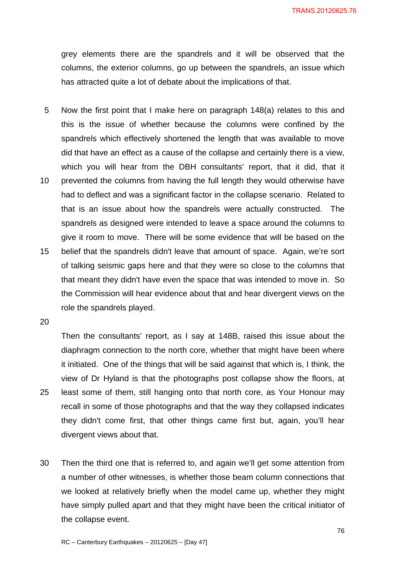grey elements there are the spandrels and it will be observed that the columns, the exterior columns, go up between the spandrels, an issue which has attracted quite a lot of debate about the implications of that.

- 5 Now the first point that I make here on paragraph 148(a) relates to this and this is the issue of whether because the columns were confined by the spandrels which effectively shortened the length that was available to move did that have an effect as a cause of the collapse and certainly there is a view, which you will hear from the DBH consultants' report, that it did, that it
- 10 prevented the columns from having the full length they would otherwise have had to deflect and was a significant factor in the collapse scenario. Related to that is an issue about how the spandrels were actually constructed. The spandrels as designed were intended to leave a space around the columns to give it room to move. There will be some evidence that will be based on the 15 belief that the spandrels didn't leave that amount of space. Again, we're sort
- of talking seismic gaps here and that they were so close to the columns that that meant they didn't have even the space that was intended to move in. So the Commission will hear evidence about that and hear divergent views on the role the spandrels played.
- 20

Then the consultants' report, as I say at 148B, raised this issue about the diaphragm connection to the north core, whether that might have been where it initiated. One of the things that will be said against that which is, I think, the view of Dr Hyland is that the photographs post collapse show the floors, at 25 least some of them, still hanging onto that north core, as Your Honour may recall in some of those photographs and that the way they collapsed indicates they didn't come first, that other things came first but, again, you'll hear divergent views about that.

30 Then the third one that is referred to, and again we'll get some attention from a number of other witnesses, is whether those beam column connections that we looked at relatively briefly when the model came up, whether they might have simply pulled apart and that they might have been the critical initiator of the collapse event.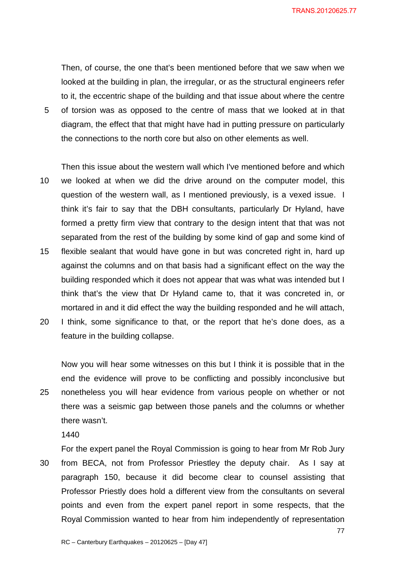TRANS.20120625.77

Then, of course, the one that's been mentioned before that we saw when we looked at the building in plan, the irregular, or as the structural engineers refer to it, the eccentric shape of the building and that issue about where the centre 5 of torsion was as opposed to the centre of mass that we looked at in that diagram, the effect that that might have had in putting pressure on particularly the connections to the north core but also on other elements as well.

Then this issue about the western wall which I've mentioned before and which 10 we looked at when we did the drive around on the computer model, this question of the western wall, as I mentioned previously, is a vexed issue. I think it's fair to say that the DBH consultants, particularly Dr Hyland, have formed a pretty firm view that contrary to the design intent that that was not separated from the rest of the building by some kind of gap and some kind of 15 flexible sealant that would have gone in but was concreted right in, hard up

- against the columns and on that basis had a significant effect on the way the building responded which it does not appear that was what was intended but I think that's the view that Dr Hyland came to, that it was concreted in, or mortared in and it did effect the way the building responded and he will attach,
- 20 I think, some significance to that, or the report that he's done does, as a feature in the building collapse.

Now you will hear some witnesses on this but I think it is possible that in the end the evidence will prove to be conflicting and possibly inconclusive but 25 nonetheless you will hear evidence from various people on whether or not there was a seismic gap between those panels and the columns or whether there wasn't.

1440

For the expert panel the Royal Commission is going to hear from Mr Rob Jury 30 from BECA, not from Professor Priestley the deputy chair. As I say at paragraph 150, because it did become clear to counsel assisting that Professor Priestly does hold a different view from the consultants on several points and even from the expert panel report in some respects, that the Royal Commission wanted to hear from him independently of representation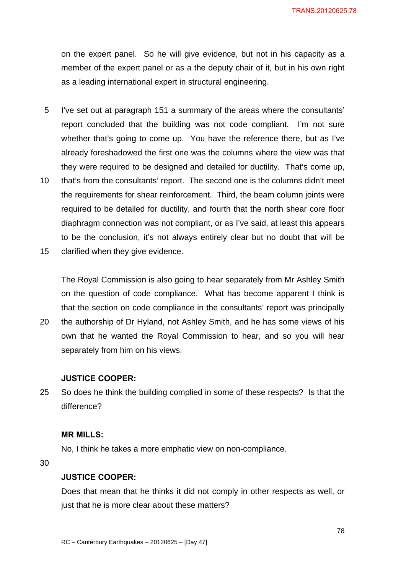on the expert panel. So he will give evidence, but not in his capacity as a member of the expert panel or as a the deputy chair of it, but in his own right as a leading international expert in structural engineering.

- 5 I've set out at paragraph 151 a summary of the areas where the consultants' report concluded that the building was not code compliant. I'm not sure whether that's going to come up. You have the reference there, but as I've already foreshadowed the first one was the columns where the view was that they were required to be designed and detailed for ductility. That's come up,
- 10 that's from the consultants' report. The second one is the columns didn't meet the requirements for shear reinforcement. Third, the beam column joints were required to be detailed for ductility, and fourth that the north shear core floor diaphragm connection was not compliant, or as I've said, at least this appears to be the conclusion, it's not always entirely clear but no doubt that will be
- 15 clarified when they give evidence.

The Royal Commission is also going to hear separately from Mr Ashley Smith on the question of code compliance. What has become apparent I think is that the section on code compliance in the consultants' report was principally

20 the authorship of Dr Hyland, not Ashley Smith, and he has some views of his own that he wanted the Royal Commission to hear, and so you will hear separately from him on his views.

### **JUSTICE COOPER:**

25 So does he think the building complied in some of these respects? Is that the difference?

#### **MR MILLS:**

No, I think he takes a more emphatic view on non-compliance.

30

### **JUSTICE COOPER:**

Does that mean that he thinks it did not comply in other respects as well, or just that he is more clear about these matters?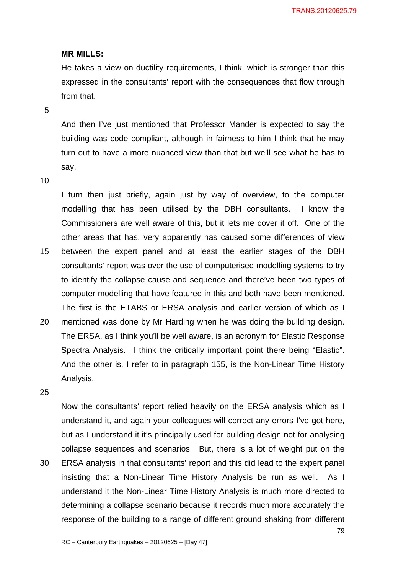#### **MR MILLS:**

He takes a view on ductility requirements, I think, which is stronger than this expressed in the consultants' report with the consequences that flow through from that.

5

And then I've just mentioned that Professor Mander is expected to say the building was code compliant, although in fairness to him I think that he may turn out to have a more nuanced view than that but we'll see what he has to say.

#### 10

I turn then just briefly, again just by way of overview, to the computer modelling that has been utilised by the DBH consultants. I know the Commissioners are well aware of this, but it lets me cover it off. One of the other areas that has, very apparently has caused some differences of view 15 between the expert panel and at least the earlier stages of the DBH consultants' report was over the use of computerised modelling systems to try to identify the collapse cause and sequence and there've been two types of

computer modelling that have featured in this and both have been mentioned.

The first is the ETABS or ERSA analysis and earlier version of which as I 20 mentioned was done by Mr Harding when he was doing the building design. The ERSA, as I think you'll be well aware, is an acronym for Elastic Response Spectra Analysis. I think the critically important point there being "Elastic".

And the other is, I refer to in paragraph 155, is the Non-Linear Time History Analysis.

25

Now the consultants' report relied heavily on the ERSA analysis which as I understand it, and again your colleagues will correct any errors I've got here, but as I understand it it's principally used for building design not for analysing collapse sequences and scenarios. But, there is a lot of weight put on the 30 ERSA analysis in that consultants' report and this did lead to the expert panel

insisting that a Non-Linear Time History Analysis be run as well. As I understand it the Non-Linear Time History Analysis is much more directed to determining a collapse scenario because it records much more accurately the response of the building to a range of different ground shaking from different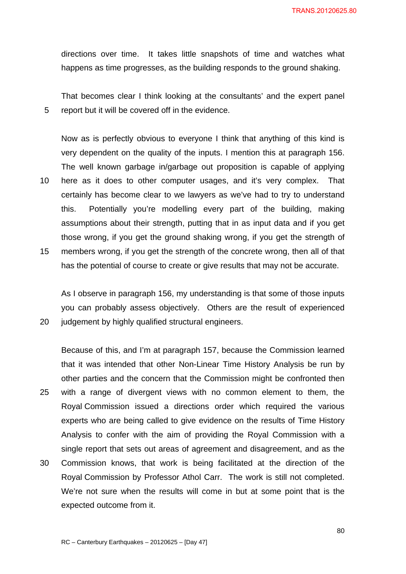directions over time. It takes little snapshots of time and watches what happens as time progresses, as the building responds to the ground shaking.

That becomes clear I think looking at the consultants' and the expert panel 5 report but it will be covered off in the evidence.

Now as is perfectly obvious to everyone I think that anything of this kind is very dependent on the quality of the inputs. I mention this at paragraph 156. The well known garbage in/garbage out proposition is capable of applying 10 here as it does to other computer usages, and it's very complex. That certainly has become clear to we lawyers as we've had to try to understand this. Potentially you're modelling every part of the building, making assumptions about their strength, putting that in as input data and if you get those wrong, if you get the ground shaking wrong, if you get the strength of 15 members wrong, if you get the strength of the concrete wrong, then all of that has the potential of course to create or give results that may not be accurate.

As I observe in paragraph 156, my understanding is that some of those inputs you can probably assess objectively. Others are the result of experienced 20 judgement by highly qualified structural engineers.

Because of this, and I'm at paragraph 157, because the Commission learned that it was intended that other Non-Linear Time History Analysis be run by other parties and the concern that the Commission might be confronted then 25 with a range of divergent views with no common element to them, the Royal Commission issued a directions order which required the various experts who are being called to give evidence on the results of Time History Analysis to confer with the aim of providing the Royal Commission with a single report that sets out areas of agreement and disagreement, and as the 30 Commission knows, that work is being facilitated at the direction of the Royal Commission by Professor Athol Carr. The work is still not completed. We're not sure when the results will come in but at some point that is the expected outcome from it.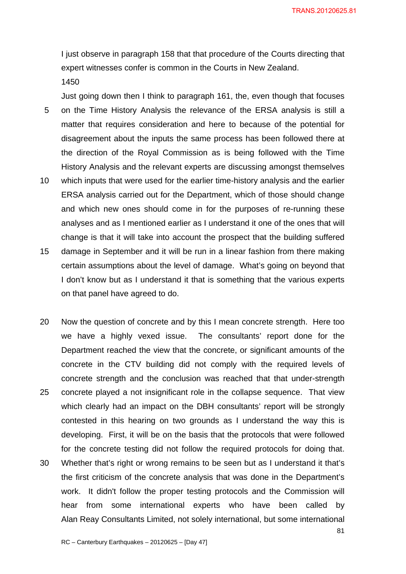I just observe in paragraph 158 that that procedure of the Courts directing that expert witnesses confer is common in the Courts in New Zealand.

1450

Just going down then I think to paragraph 161, the, even though that focuses 5 on the Time History Analysis the relevance of the ERSA analysis is still a matter that requires consideration and here to because of the potential for disagreement about the inputs the same process has been followed there at the direction of the Royal Commission as is being followed with the Time History Analysis and the relevant experts are discussing amongst themselves

- 10 which inputs that were used for the earlier time-history analysis and the earlier ERSA analysis carried out for the Department, which of those should change and which new ones should come in for the purposes of re-running these analyses and as I mentioned earlier as I understand it one of the ones that will change is that it will take into account the prospect that the building suffered
- 15 damage in September and it will be run in a linear fashion from there making certain assumptions about the level of damage. What's going on beyond that I don't know but as I understand it that is something that the various experts on that panel have agreed to do.
- 20 Now the question of concrete and by this I mean concrete strength. Here too we have a highly vexed issue. The consultants' report done for the Department reached the view that the concrete, or significant amounts of the concrete in the CTV building did not comply with the required levels of concrete strength and the conclusion was reached that that under-strength 25 concrete played a not insignificant role in the collapse sequence. That view which clearly had an impact on the DBH consultants' report will be strongly contested in this hearing on two grounds as I understand the way this is developing. First, it will be on the basis that the protocols that were followed for the concrete testing did not follow the required protocols for doing that. 30 Whether that's right or wrong remains to be seen but as I understand it that's the first criticism of the concrete analysis that was done in the Department's work. It didn't follow the proper testing protocols and the Commission will
	- Alan Reay Consultants Limited, not solely international, but some international

hear from some international experts who have been called by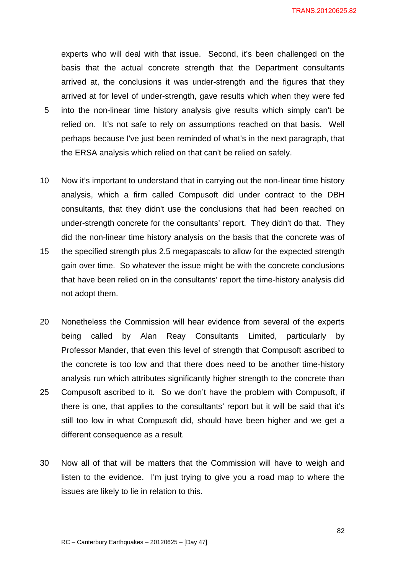TRANS.20120625.82

experts who will deal with that issue. Second, it's been challenged on the basis that the actual concrete strength that the Department consultants arrived at, the conclusions it was under-strength and the figures that they arrived at for level of under-strength, gave results which when they were fed

- 5 into the non-linear time history analysis give results which simply can't be relied on. It's not safe to rely on assumptions reached on that basis. Well perhaps because I've just been reminded of what's in the next paragraph, that the ERSA analysis which relied on that can't be relied on safely.
- 10 Now it's important to understand that in carrying out the non-linear time history analysis, which a firm called Compusoft did under contract to the DBH consultants, that they didn't use the conclusions that had been reached on under-strength concrete for the consultants' report. They didn't do that. They did the non-linear time history analysis on the basis that the concrete was of
- 15 the specified strength plus 2.5 megapascals to allow for the expected strength gain over time. So whatever the issue might be with the concrete conclusions that have been relied on in the consultants' report the time-history analysis did not adopt them.
- 20 Nonetheless the Commission will hear evidence from several of the experts being called by Alan Reay Consultants Limited, particularly by Professor Mander, that even this level of strength that Compusoft ascribed to the concrete is too low and that there does need to be another time-history analysis run which attributes significantly higher strength to the concrete than 25 Compusoft ascribed to it. So we don't have the problem with Compusoft, if there is one, that applies to the consultants' report but it will be said that it's still too low in what Compusoft did, should have been higher and we get a different consequence as a result.
- 30 Now all of that will be matters that the Commission will have to weigh and listen to the evidence. I'm just trying to give you a road map to where the issues are likely to lie in relation to this.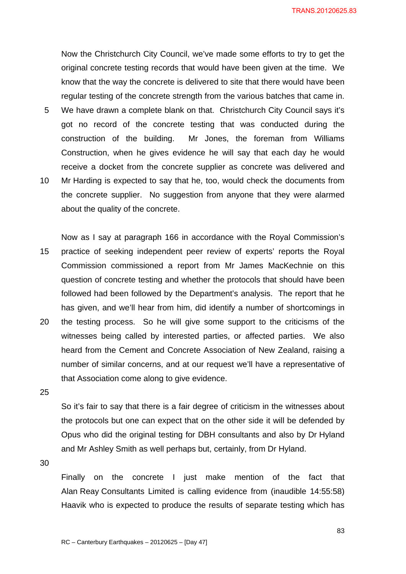TRANS.20120625.83

Now the Christchurch City Council, we've made some efforts to try to get the original concrete testing records that would have been given at the time. We know that the way the concrete is delivered to site that there would have been regular testing of the concrete strength from the various batches that came in. 5 We have drawn a complete blank on that. Christchurch City Council says it's got no record of the concrete testing that was conducted during the construction of the building. Mr Jones, the foreman from Williams Construction, when he gives evidence he will say that each day he would receive a docket from the concrete supplier as concrete was delivered and 10 Mr Harding is expected to say that he, too, would check the documents from the concrete supplier. No suggestion from anyone that they were alarmed

Now as I say at paragraph 166 in accordance with the Royal Commission's 15 practice of seeking independent peer review of experts' reports the Royal Commission commissioned a report from Mr James MacKechnie on this question of concrete testing and whether the protocols that should have been followed had been followed by the Department's analysis. The report that he has given, and we'll hear from him, did identify a number of shortcomings in 20 the testing process. So he will give some support to the criticisms of the witnesses being called by interested parties, or affected parties. We also

heard from the Cement and Concrete Association of New Zealand, raising a number of similar concerns, and at our request we'll have a representative of that Association come along to give evidence.

25

So it's fair to say that there is a fair degree of criticism in the witnesses about the protocols but one can expect that on the other side it will be defended by Opus who did the original testing for DBH consultants and also by Dr Hyland and Mr Ashley Smith as well perhaps but, certainly, from Dr Hyland.

30

Finally on the concrete I just make mention of the fact that Alan Reay Consultants Limited is calling evidence from (inaudible 14:55:58) Haavik who is expected to produce the results of separate testing which has

about the quality of the concrete.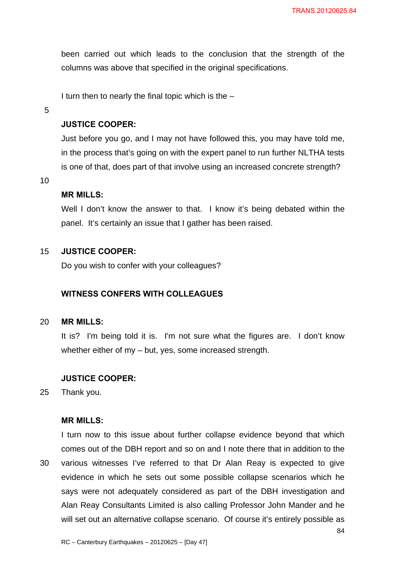been carried out which leads to the conclusion that the strength of the columns was above that specified in the original specifications.

I turn then to nearly the final topic which is the  $-$ 

5

## **JUSTICE COOPER:**

Just before you go, and I may not have followed this, you may have told me, in the process that's going on with the expert panel to run further NLTHA tests is one of that, does part of that involve using an increased concrete strength?

10

#### **MR MILLS:**

Well I don't know the answer to that. I know it's being debated within the panel. It's certainly an issue that I gather has been raised.

### 15 **JUSTICE COOPER:**

Do you wish to confer with your colleagues?

### **WITNESS CONFERS WITH COLLEAGUES**

#### 20 **MR MILLS:**

It is? I'm being told it is. I'm not sure what the figures are. I don't know whether either of my – but, yes, some increased strength.

### **JUSTICE COOPER:**

25 Thank you.

### **MR MILLS:**

I turn now to this issue about further collapse evidence beyond that which comes out of the DBH report and so on and I note there that in addition to the 30 various witnesses I've referred to that Dr Alan Reay is expected to give evidence in which he sets out some possible collapse scenarios which he says were not adequately considered as part of the DBH investigation and Alan Reay Consultants Limited is also calling Professor John Mander and he will set out an alternative collapse scenario. Of course it's entirely possible as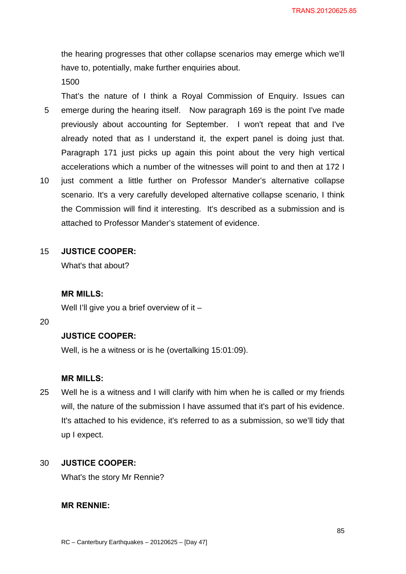the hearing progresses that other collapse scenarios may emerge which we'll have to, potentially, make further enquiries about.

1500

That's the nature of I think a Royal Commission of Enquiry. Issues can 5 emerge during the hearing itself. Now paragraph 169 is the point I've made previously about accounting for September. I won't repeat that and I've already noted that as I understand it, the expert panel is doing just that. Paragraph 171 just picks up again this point about the very high vertical accelerations which a number of the witnesses will point to and then at 172 I

10 just comment a little further on Professor Mander's alternative collapse scenario. It's a very carefully developed alternative collapse scenario, I think the Commission will find it interesting. It's described as a submission and is attached to Professor Mander's statement of evidence.

### 15 **JUSTICE COOPER:**

What's that about?

#### **MR MILLS:**

Well I'll give you a brief overview of it –

#### 20

### **JUSTICE COOPER:**

Well, is he a witness or is he (overtalking 15:01:09).

### **MR MILLS:**

25 Well he is a witness and I will clarify with him when he is called or my friends will, the nature of the submission I have assumed that it's part of his evidence. It's attached to his evidence, it's referred to as a submission, so we'll tidy that up I expect.

#### 30 **JUSTICE COOPER:**

What's the story Mr Rennie?

### **MR RENNIE:**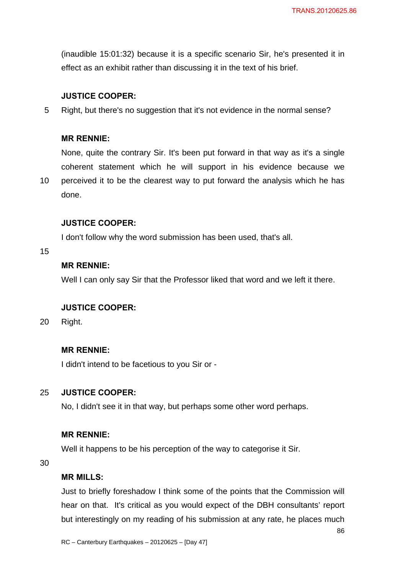(inaudible 15:01:32) because it is a specific scenario Sir, he's presented it in effect as an exhibit rather than discussing it in the text of his brief.

### **JUSTICE COOPER:**

5 Right, but there's no suggestion that it's not evidence in the normal sense?

### **MR RENNIE:**

None, quite the contrary Sir. It's been put forward in that way as it's a single coherent statement which he will support in his evidence because we

10 perceived it to be the clearest way to put forward the analysis which he has done.

### **JUSTICE COOPER:**

I don't follow why the word submission has been used, that's all.

15

# **MR RENNIE:**

Well I can only say Sir that the Professor liked that word and we left it there.

### **JUSTICE COOPER:**

20 Right.

### **MR RENNIE:**

I didn't intend to be facetious to you Sir or -

### 25 **JUSTICE COOPER:**

No, I didn't see it in that way, but perhaps some other word perhaps.

## **MR RENNIE:**

Well it happens to be his perception of the way to categorise it Sir.

30

## **MR MILLS:**

Just to briefly foreshadow I think some of the points that the Commission will hear on that. It's critical as you would expect of the DBH consultants' report but interestingly on my reading of his submission at any rate, he places much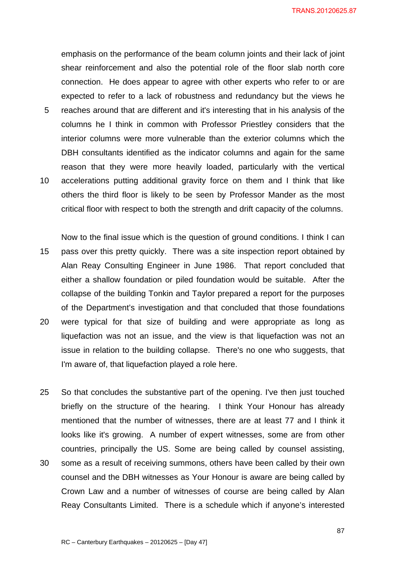TRANS.20120625.87

emphasis on the performance of the beam column joints and their lack of joint shear reinforcement and also the potential role of the floor slab north core connection. He does appear to agree with other experts who refer to or are expected to refer to a lack of robustness and redundancy but the views he 5 reaches around that are different and it's interesting that in his analysis of the columns he I think in common with Professor Priestley considers that the interior columns were more vulnerable than the exterior columns which the DBH consultants identified as the indicator columns and again for the same reason that they were more heavily loaded, particularly with the vertical 10 accelerations putting additional gravity force on them and I think that like others the third floor is likely to be seen by Professor Mander as the most critical floor with respect to both the strength and drift capacity of the columns.

Now to the final issue which is the question of ground conditions. I think I can 15 pass over this pretty quickly. There was a site inspection report obtained by Alan Reay Consulting Engineer in June 1986. That report concluded that either a shallow foundation or piled foundation would be suitable. After the collapse of the building Tonkin and Taylor prepared a report for the purposes of the Department's investigation and that concluded that those foundations 20 were typical for that size of building and were appropriate as long as liquefaction was not an issue, and the view is that liquefaction was not an issue in relation to the building collapse. There's no one who suggests, that I'm aware of, that liquefaction played a role here.

25 So that concludes the substantive part of the opening. I've then just touched briefly on the structure of the hearing. I think Your Honour has already mentioned that the number of witnesses, there are at least 77 and I think it looks like it's growing. A number of expert witnesses, some are from other countries, principally the US. Some are being called by counsel assisting, 30 some as a result of receiving summons, others have been called by their own

counsel and the DBH witnesses as Your Honour is aware are being called by Crown Law and a number of witnesses of course are being called by Alan Reay Consultants Limited. There is a schedule which if anyone's interested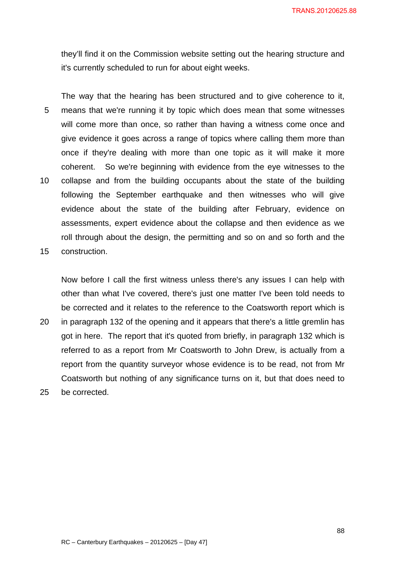they'll find it on the Commission website setting out the hearing structure and it's currently scheduled to run for about eight weeks.

The way that the hearing has been structured and to give coherence to it, 5 means that we're running it by topic which does mean that some witnesses will come more than once, so rather than having a witness come once and give evidence it goes across a range of topics where calling them more than once if they're dealing with more than one topic as it will make it more coherent. So we're beginning with evidence from the eye witnesses to the 10 collapse and from the building occupants about the state of the building following the September earthquake and then witnesses who will give evidence about the state of the building after February, evidence on assessments, expert evidence about the collapse and then evidence as we roll through about the design, the permitting and so on and so forth and the

15 construction.

Now before I call the first witness unless there's any issues I can help with other than what I've covered, there's just one matter I've been told needs to be corrected and it relates to the reference to the Coatsworth report which is

20 in paragraph 132 of the opening and it appears that there's a little gremlin has got in here. The report that it's quoted from briefly, in paragraph 132 which is referred to as a report from Mr Coatsworth to John Drew, is actually from a report from the quantity surveyor whose evidence is to be read, not from Mr Coatsworth but nothing of any significance turns on it, but that does need to 25 be corrected.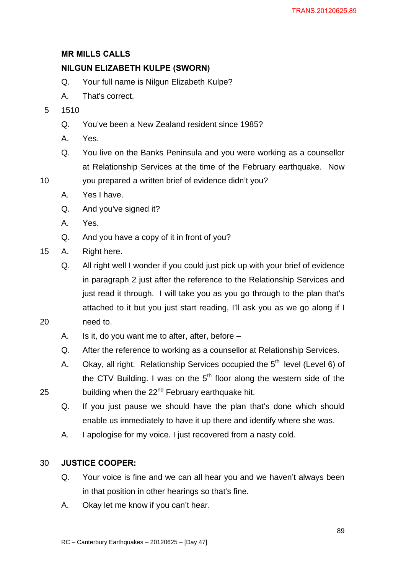# **MR MILLS CALLS**

# **NILGUN ELIZABETH KULPE (SWORN)**

- Q. Your full name is Nilgun Elizabeth Kulpe?
- A. That's correct.
- 5 1510
	- Q. You've been a New Zealand resident since 1985?
	- A. Yes.
	- Q. You live on the Banks Peninsula and you were working as a counsellor at Relationship Services at the time of the February earthquake. Now
- 10 you prepared a written brief of evidence didn't you?
	- A. Yes I have.
	- Q. And you've signed it?
	- A. Yes.
	- Q. And you have a copy of it in front of you?
- 15 A. Right here.
- Q. All right well I wonder if you could just pick up with your brief of evidence in paragraph 2 just after the reference to the Relationship Services and just read it through. I will take you as you go through to the plan that's attached to it but you just start reading, I'll ask you as we go along if I 20 need to.
	- A. Is it, do you want me to after, after, before –
	- Q. After the reference to working as a counsellor at Relationship Services.
- A. Okay, all right. Relationship Services occupied the  $5<sup>th</sup>$  level (Level 6) of the CTV Building. I was on the  $5<sup>th</sup>$  floor along the western side of the 25 building when the  $22<sup>nd</sup>$  February earthquake hit.
	- Q. If you just pause we should have the plan that's done which should enable us immediately to have it up there and identify where she was.
	- A. I apologise for my voice. I just recovered from a nasty cold.

## 30 **JUSTICE COOPER:**

- Q. Your voice is fine and we can all hear you and we haven't always been in that position in other hearings so that's fine.
- A. Okay let me know if you can't hear.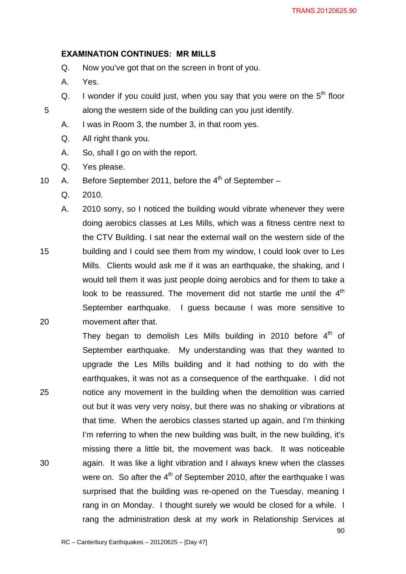### **EXAMINATION CONTINUES: MR MILLS**

- Q. Now you've got that on the screen in front of you.
- A. Yes.
- Q. I wonder if you could just, when you say that you were on the  $5<sup>th</sup>$  floor 5 along the western side of the building can you just identify.
	- A. I was in Room 3, the number 3, in that room yes.
	- Q. All right thank you.
	- A. So, shall I go on with the report.
	- Q. Yes please.
- 10 A. Before September 2011, before the  $4<sup>th</sup>$  of September
	- Q. 2010.

A. 2010 sorry, so I noticed the building would vibrate whenever they were doing aerobics classes at Les Mills, which was a fitness centre next to the CTV Building. I sat near the external wall on the western side of the 15 building and I could see them from my window, I could look over to Les Mills. Clients would ask me if it was an earthquake, the shaking, and I would tell them it was just people doing aerobics and for them to take a look to be reassured. The movement did not startle me until the  $4<sup>th</sup>$ September earthquake. I guess because I was more sensitive to 20 movement after that.

90 They began to demolish Les Mills building in 2010 before  $4<sup>th</sup>$  of September earthquake. My understanding was that they wanted to upgrade the Les Mills building and it had nothing to do with the earthquakes, it was not as a consequence of the earthquake. I did not 25 notice any movement in the building when the demolition was carried out but it was very very noisy, but there was no shaking or vibrations at that time. When the aerobics classes started up again, and I'm thinking I'm referring to when the new building was built, in the new building, it's missing there a little bit, the movement was back. It was noticeable 30 again. It was like a light vibration and I always knew when the classes were on. So after the  $4<sup>th</sup>$  of September 2010, after the earthquake I was surprised that the building was re-opened on the Tuesday, meaning I rang in on Monday. I thought surely we would be closed for a while. I rang the administration desk at my work in Relationship Services at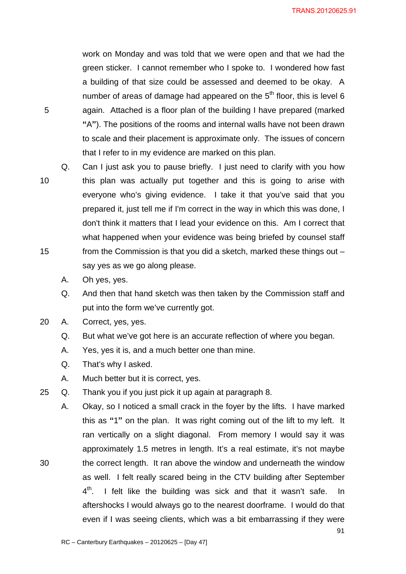work on Monday and was told that we were open and that we had the green sticker. I cannot remember who I spoke to. I wondered how fast a building of that size could be assessed and deemed to be okay. A number of areas of damage had appeared on the  $5<sup>th</sup>$  floor, this is level 6 5 again. Attached is a floor plan of the building I have prepared (marked **"**A**"**). The positions of the rooms and internal walls have not been drawn to scale and their placement is approximate only. The issues of concern that I refer to in my evidence are marked on this plan.

Q. Can I just ask you to pause briefly. I just need to clarify with you how 10 this plan was actually put together and this is going to arise with everyone who's giving evidence. I take it that you've said that you prepared it, just tell me if I'm correct in the way in which this was done, I don't think it matters that I lead your evidence on this. Am I correct that what happened when your evidence was being briefed by counsel staff 15 from the Commission is that you did a sketch, marked these things out – say yes as we go along please.

- A. Oh yes, yes.
- Q. And then that hand sketch was then taken by the Commission staff and put into the form we've currently got.
- 20 A. Correct, yes, yes.
	- Q. But what we've got here is an accurate reflection of where you began.
	- A. Yes, yes it is, and a much better one than mine.
	- Q. That's why I asked.
	- A. Much better but it is correct, yes.
- 25 Q. Thank you if you just pick it up again at paragraph 8.
- A. Okay, so I noticed a small crack in the foyer by the lifts. I have marked this as **"**1**"** on the plan. It was right coming out of the lift to my left. It ran vertically on a slight diagonal. From memory I would say it was approximately 1.5 metres in length. It's a real estimate, it's not maybe 30 the correct length. It ran above the window and underneath the window as well. I felt really scared being in the CTV building after September  $4<sup>th</sup>$ . I felt like the building was sick and that it wasn't safe. In aftershocks I would always go to the nearest doorframe. I would do that even if I was seeing clients, which was a bit embarrassing if they were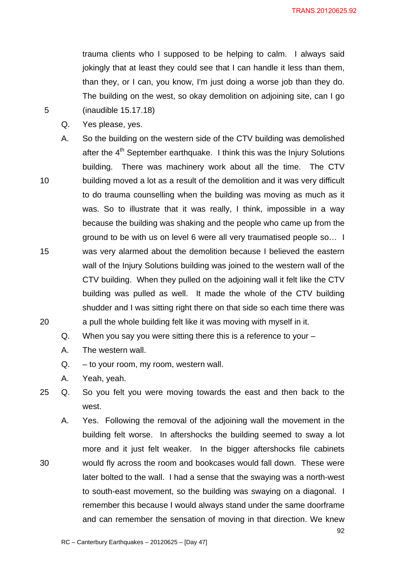92

trauma clients who I supposed to be helping to calm. I always said jokingly that at least they could see that I can handle it less than them, than they, or I can, you know, I'm just doing a worse job than they do. The building on the west, so okay demolition on adjoining site, can I go 5 (inaudible 15.17.18)

- Q. Yes please, yes.
- A. So the building on the western side of the CTV building was demolished after the  $4<sup>th</sup>$  September earthquake. I think this was the Injury Solutions building. There was machinery work about all the time. The CTV 10 building moved a lot as a result of the demolition and it was very difficult to do trauma counselling when the building was moving as much as it was. So to illustrate that it was really, I think, impossible in a way because the building was shaking and the people who came up from the ground to be with us on level 6 were all very traumatised people so… I 15 was very alarmed about the demolition because I believed the eastern wall of the Injury Solutions building was joined to the western wall of the CTV building. When they pulled on the adjoining wall it felt like the CTV building was pulled as well. It made the whole of the CTV building shudder and I was sitting right there on that side so each time there was 20 a pull the whole building felt like it was moving with myself in it.
	- Q. When you say you were sitting there this is a reference to your –
	- A. The western wall.
	- Q. to your room, my room, western wall.
	- A. Yeah, yeah.
- 25 Q. So you felt you were moving towards the east and then back to the west.
- A. Yes. Following the removal of the adjoining wall the movement in the building felt worse. In aftershocks the building seemed to sway a lot more and it just felt weaker. In the bigger aftershocks file cabinets 30 would fly across the room and bookcases would fall down. These were later bolted to the wall. I had a sense that the swaying was a north-west to south-east movement, so the building was swaying on a diagonal. I remember this because I would always stand under the same doorframe and can remember the sensation of moving in that direction. We knew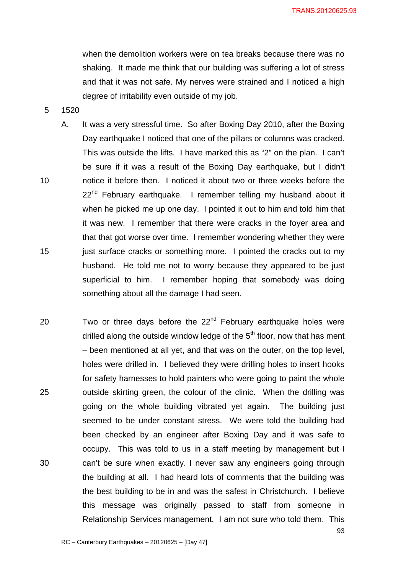when the demolition workers were on tea breaks because there was no shaking. It made me think that our building was suffering a lot of stress and that it was not safe. My nerves were strained and I noticed a high degree of irritability even outside of my job.

5 1520

- A. It was a very stressful time. So after Boxing Day 2010, after the Boxing Day earthquake I noticed that one of the pillars or columns was cracked. This was outside the lifts. I have marked this as "2" on the plan. I can't be sure if it was a result of the Boxing Day earthquake, but I didn't 10 notice it before then. I noticed it about two or three weeks before the  $22<sup>nd</sup>$  February earthquake. I remember telling my husband about it when he picked me up one day. I pointed it out to him and told him that it was new. I remember that there were cracks in the foyer area and that that got worse over time. I remember wondering whether they were 15 just surface cracks or something more. I pointed the cracks out to my husband*.* He told me not to worry because they appeared to be just superficial to him. I remember hoping that somebody was doing something about all the damage I had seen.
- 20 Two or three days before the  $22<sup>nd</sup>$  February earthquake holes were drilled along the outside window ledge of the  $5<sup>th</sup>$  floor, now that has ment – been mentioned at all yet, and that was on the outer, on the top level, holes were drilled in. I believed they were drilling holes to insert hooks for safety harnesses to hold painters who were going to paint the whole 25 outside skirting green, the colour of the clinic. When the drilling was going on the whole building vibrated yet again. The building just seemed to be under constant stress. We were told the building had been checked by an engineer after Boxing Day and it was safe to occupy. This was told to us in a staff meeting by management but I 30 can't be sure when exactly. I never saw any engineers going through the building at all. I had heard lots of comments that the building was the best building to be in and was the safest in Christchurch. I believe this message was originally passed to staff from someone in Relationship Services management. I am not sure who told them. This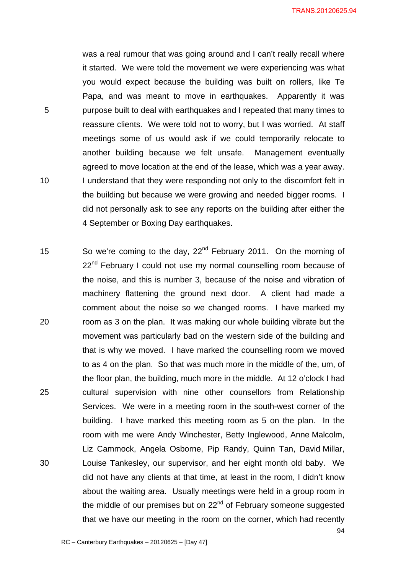was a real rumour that was going around and I can't really recall where it started. We were told the movement we were experiencing was what you would expect because the building was built on rollers, like Te Papa, and was meant to move in earthquakes. Apparently it was 5 purpose built to deal with earthquakes and I repeated that many times to reassure clients. We were told not to worry, but I was worried. At staff meetings some of us would ask if we could temporarily relocate to another building because we felt unsafe. Management eventually agreed to move location at the end of the lease, which was a year away. 10 I understand that they were responding not only to the discomfort felt in the building but because we were growing and needed bigger rooms. I did not personally ask to see any reports on the building after either the 4 September or Boxing Day earthquakes.

15 So we're coming to the day,  $22^{nd}$  February 2011. On the morning of  $22<sup>nd</sup>$  February I could not use my normal counselling room because of the noise, and this is number 3, because of the noise and vibration of machinery flattening the ground next door. A client had made a comment about the noise so we changed rooms. I have marked my 20 room as 3 on the plan. It was making our whole building vibrate but the movement was particularly bad on the western side of the building and that is why we moved. I have marked the counselling room we moved to as 4 on the plan. So that was much more in the middle of the, um, of the floor plan, the building, much more in the middle. At 12 o'clock I had 25 cultural supervision with nine other counsellors from Relationship Services. We were in a meeting room in the south-west corner of the building. I have marked this meeting room as 5 on the plan. In the room with me were Andy Winchester, Betty Inglewood, Anne Malcolm, Liz Cammock, Angela Osborne, Pip Randy, Quinn Tan, David Millar, 30 Louise Tankesley, our supervisor, and her eight month old baby. We did not have any clients at that time, at least in the room, I didn't know about the waiting area. Usually meetings were held in a group room in the middle of our premises but on  $22<sup>nd</sup>$  of February someone suggested that we have our meeting in the room on the corner, which had recently

94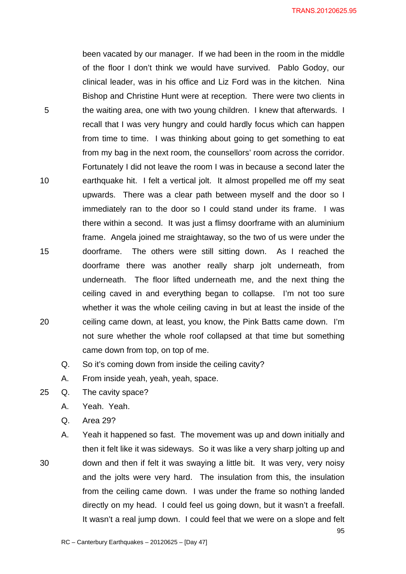TRANS.20120625.95

95

been vacated by our manager. If we had been in the room in the middle of the floor I don't think we would have survived. Pablo Godoy, our clinical leader, was in his office and Liz Ford was in the kitchen. Nina Bishop and Christine Hunt were at reception. There were two clients in 5 the waiting area, one with two young children. I knew that afterwards. I recall that I was very hungry and could hardly focus which can happen from time to time. I was thinking about going to get something to eat from my bag in the next room, the counsellors' room across the corridor. Fortunately I did not leave the room I was in because a second later the 10 earthquake hit. I felt a vertical jolt. It almost propelled me off my seat upwards. There was a clear path between myself and the door so I immediately ran to the door so I could stand under its frame. I was there within a second. It was just a flimsy doorframe with an aluminium frame. Angela joined me straightaway, so the two of us were under the 15 doorframe. The others were still sitting down. As I reached the doorframe there was another really sharp jolt underneath, from underneath. The floor lifted underneath me, and the next thing the ceiling caved in and everything began to collapse. I'm not too sure whether it was the whole ceiling caving in but at least the inside of the 20 ceiling came down, at least, you know, the Pink Batts came down. I'm not sure whether the whole roof collapsed at that time but something came down from top, on top of me.

Q. So it's coming down from inside the ceiling cavity?

A. From inside yeah, yeah, yeah, space.

- 25 Q. The cavity space?
	- A. Yeah. Yeah.
	- Q. Area 29?

A. Yeah it happened so fast. The movement was up and down initially and then it felt like it was sideways. So it was like a very sharp jolting up and 30 down and then if felt it was swaying a little bit. It was very, very noisy and the jolts were very hard. The insulation from this, the insulation from the ceiling came down. I was under the frame so nothing landed directly on my head. I could feel us going down, but it wasn't a freefall. It wasn't a real jump down. I could feel that we were on a slope and felt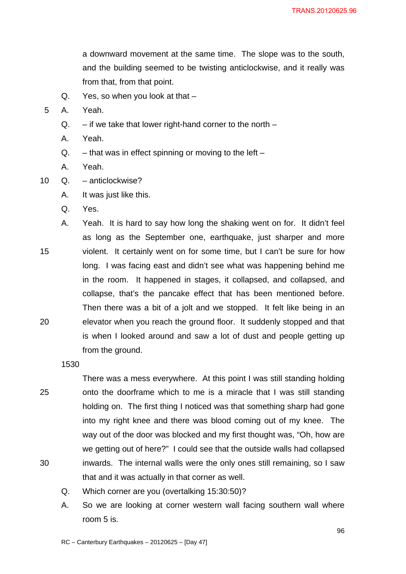a downward movement at the same time. The slope was to the south, and the building seemed to be twisting anticlockwise, and it really was from that, from that point.

Q. Yes, so when you look at that –

5 A. Yeah.

- $Q.$  if we take that lower right-hand corner to the north –
- A. Yeah.
- $Q.$  that was in effect spinning or moving to the left –
- A. Yeah.
- 10 Q. anticlockwise?
	- A. It was just like this.
	- Q. Yes.

A. Yeah. It is hard to say how long the shaking went on for. It didn't feel as long as the September one, earthquake, just sharper and more 15 violent. It certainly went on for some time, but I can't be sure for how long. I was facing east and didn't see what was happening behind me in the room. It happened in stages, it collapsed, and collapsed, and collapse, that's the pancake effect that has been mentioned before. Then there was a bit of a jolt and we stopped. It felt like being in an 20 elevator when you reach the ground floor. It suddenly stopped and that is when I looked around and saw a lot of dust and people getting up from the ground.

1530

There was a mess everywhere. At this point I was still standing holding 25 onto the doorframe which to me is a miracle that I was still standing holding on. The first thing I noticed was that something sharp had gone into my right knee and there was blood coming out of my knee. The way out of the door was blocked and my first thought was, "Oh, how are we getting out of here?" I could see that the outside walls had collapsed 30 inwards. The internal walls were the only ones still remaining, so I saw that and it was actually in that corner as well.

- Q. Which corner are you (overtalking 15:30:50)?
- A. So we are looking at corner western wall facing southern wall where room 5 is.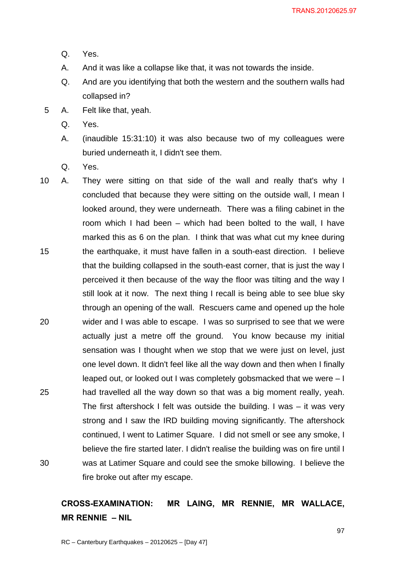- Q. Yes.
- A. And it was like a collapse like that, it was not towards the inside.
- Q. And are you identifying that both the western and the southern walls had collapsed in?
- 5 A. Felt like that, yeah.
	- Q. Yes.
	- A. (inaudible 15:31:10) it was also because two of my colleagues were buried underneath it, I didn't see them.
	- Q. Yes.
- 10 A. They were sitting on that side of the wall and really that's why I concluded that because they were sitting on the outside wall, I mean I looked around, they were underneath. There was a filing cabinet in the room which I had been – which had been bolted to the wall, I have marked this as 6 on the plan. I think that was what cut my knee during 15 the earthquake, it must have fallen in a south-east direction. I believe that the building collapsed in the south-east corner, that is just the way I perceived it then because of the way the floor was tilting and the way I still look at it now. The next thing I recall is being able to see blue sky through an opening of the wall. Rescuers came and opened up the hole 20 wider and I was able to escape. I was so surprised to see that we were actually just a metre off the ground. You know because my initial sensation was I thought when we stop that we were just on level, just one level down. It didn't feel like all the way down and then when I finally leaped out, or looked out I was completely gobsmacked that we were – I 25 had travelled all the way down so that was a big moment really, yeah. The first aftershock I felt was outside the building. I was – it was very strong and I saw the IRD building moving significantly. The aftershock continued, I went to Latimer Square. I did not smell or see any smoke, I believe the fire started later. I didn't realise the building was on fire until I 30 was at Latimer Square and could see the smoke billowing. I believe the fire broke out after my escape.

# **CROSS-EXAMINATION: MR LAING, MR RENNIE, MR WALLACE, MR RENNIE – NIL**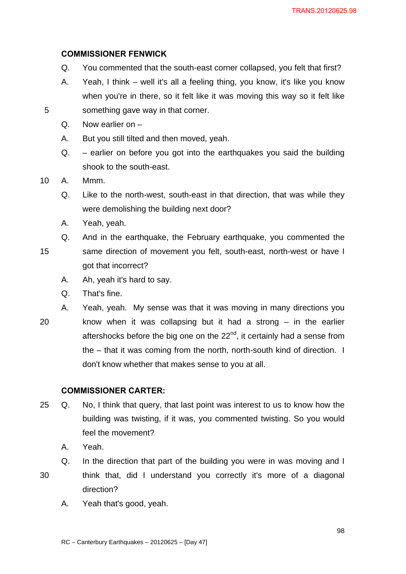### **COMMISSIONER FENWICK**

- Q. You commented that the south-east corner collapsed, you felt that first?
- A. Yeah, I think well it's all a feeling thing, you know, it's like you know when you're in there, so it felt like it was moving this way so it felt like 5 something gave way in that corner.
	- Q. Now earlier on –
	- A. But you still tilted and then moved, yeah.
	- Q. earlier on before you got into the earthquakes you said the building shook to the south-east.
- 10 A. Mmm.
	- Q. Like to the north-west, south-east in that direction, that was while they were demolishing the building next door?
	- A. Yeah, yeah.
	- Q. And in the earthquake, the February earthquake, you commented the
- 15 same direction of movement you felt, south-east, north-west or have I got that incorrect?
	- A. Ah, yeah it's hard to say.
	- Q. That's fine.

A. Yeah, yeah. My sense was that it was moving in many directions you 20 know when it was collapsing but it had a strong – in the earlier aftershocks before the big one on the  $22<sup>nd</sup>$ , it certainly had a sense from the – that it was coming from the north, north-south kind of direction. I don't know whether that makes sense to you at all.

### **COMMISSIONER CARTER:**

- 25 Q. No, I think that query, that last point was interest to us to know how the building was twisting, if it was, you commented twisting. So you would feel the movement?
	- A. Yeah.

Q. In the direction that part of the building you were in was moving and I 30 think that, did I understand you correctly it's more of a diagonal direction?

A. Yeah that's good, yeah.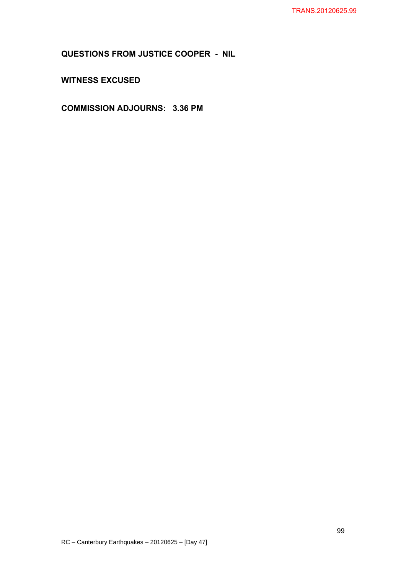**QUESTIONS FROM JUSTICE COOPER - NIL** 

**WITNESS EXCUSED** 

**COMMISSION ADJOURNS: 3.36 PM**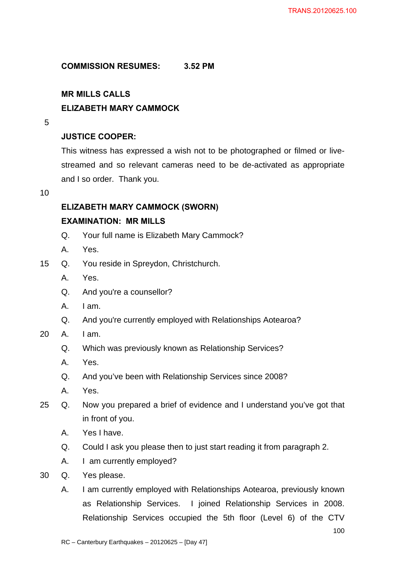## **COMMISSION RESUMES: 3.52 PM**

# **MR MILLS CALLS ELIZABETH MARY CAMMOCK**

5

# **JUSTICE COOPER:**

This witness has expressed a wish not to be photographed or filmed or livestreamed and so relevant cameras need to be de-activated as appropriate and I so order. Thank you.

10

## **ELIZABETH MARY CAMMOCK (SWORN)**

## **EXAMINATION: MR MILLS**

- Q. Your full name is Elizabeth Mary Cammock?
- A. Yes.
- 15 Q. You reside in Spreydon, Christchurch.
	- A. Yes.
	- Q. And you're a counsellor?
	- A. I am.
	- Q. And you're currently employed with Relationships Aotearoa?
- 20 A. I am.
	- Q. Which was previously known as Relationship Services?
	- A. Yes.
	- Q. And you've been with Relationship Services since 2008?
	- A. Yes.
- 25 Q. Now you prepared a brief of evidence and I understand you've got that in front of you.
	- A. Yes I have.
	- Q. Could I ask you please then to just start reading it from paragraph 2.
	- A. I am currently employed?
- 30 Q. Yes please.
	- A. I am currently employed with Relationships Aotearoa, previously known as Relationship Services. I joined Relationship Services in 2008. Relationship Services occupied the 5th floor (Level 6) of the CTV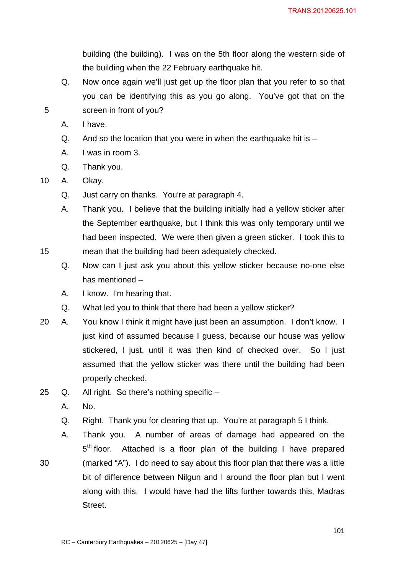building (the building). I was on the 5th floor along the western side of the building when the 22 February earthquake hit.

- Q. Now once again we'll just get up the floor plan that you refer to so that you can be identifying this as you go along. You've got that on the 5 screen in front of you?
	- A. I have.
	- $Q.$  And so the location that you were in when the earthquake hit is  $-$
	- A. I was in room 3.
	- Q. Thank you.

10 A. Okay.

- Q. Just carry on thanks. You're at paragraph 4.
- A. Thank you. I believe that the building initially had a yellow sticker after the September earthquake, but I think this was only temporary until we had been inspected. We were then given a green sticker. I took this to 15 mean that the building had been adequately checked.
	- Q. Now can I just ask you about this yellow sticker because no-one else has mentioned –
	- A. I know. I'm hearing that.
	- Q. What led you to think that there had been a yellow sticker?
- 20 A. You know I think it might have just been an assumption. I don't know. I just kind of assumed because I guess, because our house was yellow stickered, I just, until it was then kind of checked over. So I just assumed that the yellow sticker was there until the building had been properly checked.
- 25 Q. All right. So there's nothing specific
	- A. No.
	- Q. Right. Thank you for clearing that up. You're at paragraph 5 I think.
- A. Thank you. A number of areas of damage had appeared on the  $5<sup>th</sup>$  floor. Attached is a floor plan of the building I have prepared 30 (marked "A"). I do need to say about this floor plan that there was a little bit of difference between Nilgun and I around the floor plan but I went along with this. I would have had the lifts further towards this, Madras Street.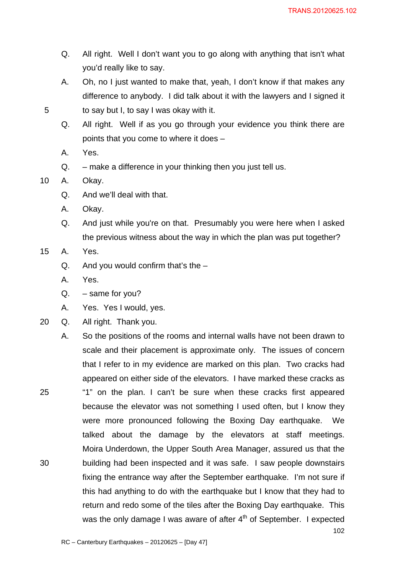- Q. All right. Well I don't want you to go along with anything that isn't what you'd really like to say.
- A. Oh, no I just wanted to make that, yeah, I don't know if that makes any difference to anybody. I did talk about it with the lawyers and I signed it 5 to say but I, to say I was okay with it.
	- Q. All right. Well if as you go through your evidence you think there are points that you come to where it does –
	- A. Yes.
	- Q. make a difference in your thinking then you just tell us.

10 A. Okay.

- Q. And we'll deal with that.
- A. Okay.
- Q. And just while you're on that. Presumably you were here when I asked the previous witness about the way in which the plan was put together?
- 15 A. Yes.
	- Q. And you would confirm that's the  $-$
	- A. Yes.
	- $Q. same for you?$
	- A. Yes. Yes I would, yes.
- 20 Q. All right. Thank you.
- 102 A. So the positions of the rooms and internal walls have not been drawn to scale and their placement is approximate only. The issues of concern that I refer to in my evidence are marked on this plan. Two cracks had appeared on either side of the elevators. I have marked these cracks as 25 "1" on the plan. I can't be sure when these cracks first appeared because the elevator was not something I used often, but I know they were more pronounced following the Boxing Day earthquake. We talked about the damage by the elevators at staff meetings. Moira Underdown, the Upper South Area Manager, assured us that the 30 building had been inspected and it was safe. I saw people downstairs fixing the entrance way after the September earthquake. I'm not sure if this had anything to do with the earthquake but I know that they had to return and redo some of the tiles after the Boxing Day earthquake. This was the only damage I was aware of after  $4<sup>th</sup>$  of September. I expected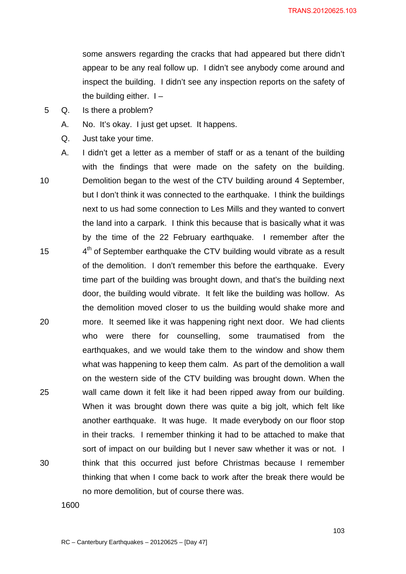some answers regarding the cracks that had appeared but there didn't appear to be any real follow up. I didn't see anybody come around and inspect the building. I didn't see any inspection reports on the safety of the building either.  $I -$ 

- 5 Q. Is there a problem?
	- A. No. It's okay. I just get upset. It happens.
	- Q. Just take your time.
- A. I didn't get a letter as a member of staff or as a tenant of the building with the findings that were made on the safety on the building. 10 Demolition began to the west of the CTV building around 4 September, but I don't think it was connected to the earthquake. I think the buildings next to us had some connection to Les Mills and they wanted to convert the land into a carpark. I think this because that is basically what it was by the time of the 22 February earthquake. I remember after the 15  $4<sup>th</sup>$  of September earthquake the CTV building would vibrate as a result of the demolition. I don't remember this before the earthquake. Every time part of the building was brought down, and that's the building next door, the building would vibrate. It felt like the building was hollow. As the demolition moved closer to us the building would shake more and 20 more. It seemed like it was happening right next door. We had clients who were there for counselling, some traumatised from the earthquakes, and we would take them to the window and show them what was happening to keep them calm. As part of the demolition a wall on the western side of the CTV building was brought down. When the 25 wall came down it felt like it had been ripped away from our building. When it was brought down there was quite a big jolt, which felt like another earthquake. It was huge. It made everybody on our floor stop in their tracks. I remember thinking it had to be attached to make that sort of impact on our building but I never saw whether it was or not. I 30 think that this occurred just before Christmas because I remember thinking that when I come back to work after the break there would be no more demolition, but of course there was.

1600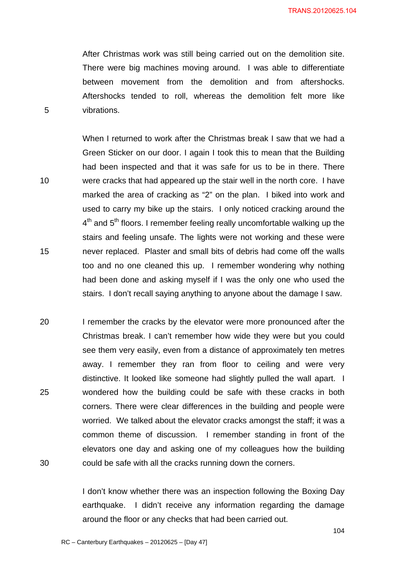After Christmas work was still being carried out on the demolition site. There were big machines moving around. I was able to differentiate between movement from the demolition and from aftershocks. Aftershocks tended to roll, whereas the demolition felt more like 5 vibrations.

When I returned to work after the Christmas break I saw that we had a Green Sticker on our door. I again I took this to mean that the Building had been inspected and that it was safe for us to be in there. There 10 were cracks that had appeared up the stair well in the north core. I have marked the area of cracking as "2" on the plan. I biked into work and used to carry my bike up the stairs. I only noticed cracking around the  $4<sup>th</sup>$  and  $5<sup>th</sup>$  floors. I remember feeling really uncomfortable walking up the stairs and feeling unsafe. The lights were not working and these were 15 never replaced. Plaster and small bits of debris had come off the walls too and no one cleaned this up. I remember wondering why nothing had been done and asking myself if I was the only one who used the stairs. I don't recall saying anything to anyone about the damage I saw.

20 I remember the cracks by the elevator were more pronounced after the Christmas break. I can't remember how wide they were but you could see them very easily, even from a distance of approximately ten metres away. I remember they ran from floor to ceiling and were very distinctive. It looked like someone had slightly pulled the wall apart. I 25 wondered how the building could be safe with these cracks in both corners. There were clear differences in the building and people were worried. We talked about the elevator cracks amongst the staff; it was a common theme of discussion. I remember standing in front of the elevators one day and asking one of my colleagues how the building 30 could be safe with all the cracks running down the corners.

> I don't know whether there was an inspection following the Boxing Day earthquake. I didn't receive any information regarding the damage around the floor or any checks that had been carried out.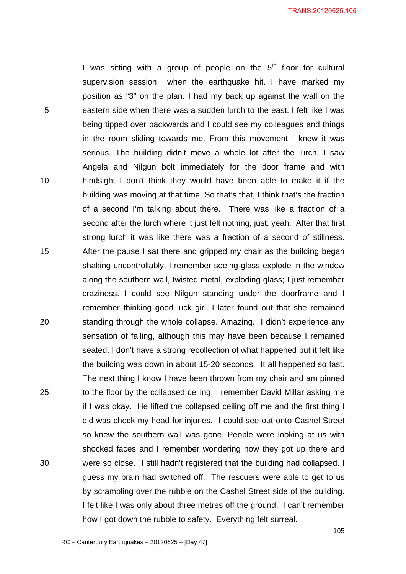I was sitting with a group of people on the  $5<sup>th</sup>$  floor for cultural supervision session when the earthquake hit. I have marked my position as "3" on the plan. I had my back up against the wall on the 5 eastern side when there was a sudden lurch to the east. I felt like I was being tipped over backwards and I could see my colleagues and things in the room sliding towards me. From this movement I knew it was serious. The building didn't move a whole lot after the lurch. I saw Angela and Nilgun bolt immediately for the door frame and with 10 hindsight I don't think they would have been able to make it if the building was moving at that time. So that's that, I think that's the fraction of a second I'm talking about there. There was like a fraction of a second after the lurch where it just felt nothing, just, yeah. After that first strong lurch it was like there was a fraction of a second of stillness. 15 After the pause I sat there and gripped my chair as the building began shaking uncontrollably. I remember seeing glass explode in the window along the southern wall, twisted metal, exploding glass; I just remember craziness. I could see Nilgun standing under the doorframe and I remember thinking good luck girl. I later found out that she remained 20 standing through the whole collapse. Amazing. I didn't experience any sensation of falling, although this may have been because I remained seated. I don't have a strong recollection of what happened but it felt like the building was down in about 15-20 seconds. It all happened so fast. The next thing I know I have been thrown from my chair and am pinned 25 to the floor by the collapsed ceiling. I remember David Millar asking me if I was okay. He lifted the collapsed ceiling off me and the first thing I did was check my head for injuries. I could see out onto Cashel Street so knew the southern wall was gone. People were looking at us with shocked faces and I remember wondering how they got up there and 30 were so close. I still hadn't registered that the building had collapsed. I guess my brain had switched off. The rescuers were able to get to us by scrambling over the rubble on the Cashel Street side of the building. I felt like I was only about three metres off the ground. I can't remember how I got down the rubble to safety. Everything felt surreal.

105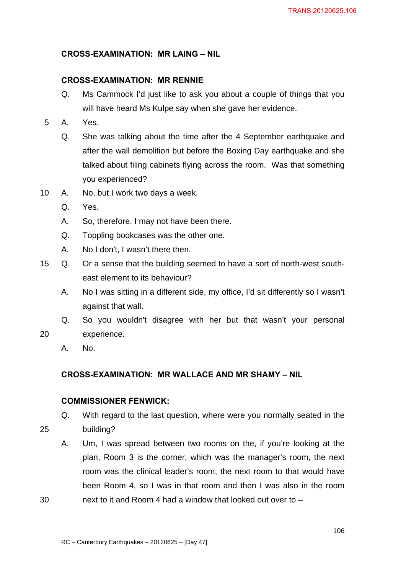### **CROSS-EXAMINATION: MR LAING – NIL**

### **CROSS-EXAMINATION: MR RENNIE**

- Q. Ms Cammock I'd just like to ask you about a couple of things that you will have heard Ms Kulpe say when she gave her evidence.
- 5 A. Yes.
	- Q. She was talking about the time after the 4 September earthquake and after the wall demolition but before the Boxing Day earthquake and she talked about filing cabinets flying across the room. Was that something you experienced?
- 10 A. No, but I work two days a week.
	- Q. Yes.
	- A. So, therefore, I may not have been there.
	- Q. Toppling bookcases was the other one.
	- A. No I don't, I wasn't there then.
- 15 Q. Or a sense that the building seemed to have a sort of north-west southeast element to its behaviour?
	- A. No I was sitting in a different side, my office, I'd sit differently so I wasn't against that wall.
- Q. So you wouldn't disagree with her but that wasn't your personal 20 experience.
	- A. No.

### **CROSS-EXAMINATION: MR WALLACE AND MR SHAMY – NIL**

### **COMMISSIONER FENWICK:**

Q. With regard to the last question, where were you normally seated in the 25 building?

A. Um, I was spread between two rooms on the, if you're looking at the plan, Room 3 is the corner, which was the manager's room, the next room was the clinical leader's room, the next room to that would have been Room 4, so I was in that room and then I was also in the room 30 next to it and Room 4 had a window that looked out over to –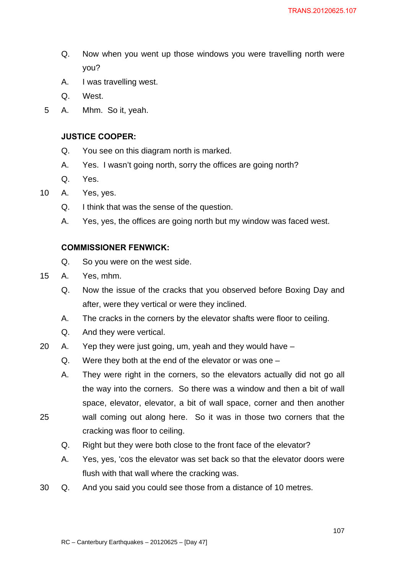- Q. Now when you went up those windows you were travelling north were you?
- A. I was travelling west.
- Q. West.
- 5 A. Mhm. So it, yeah.

### **JUSTICE COOPER:**

- Q. You see on this diagram north is marked.
- A. Yes. I wasn't going north, sorry the offices are going north?
- Q. Yes.
- 10 A. Yes, yes.
	- Q. I think that was the sense of the question.
	- A. Yes, yes, the offices are going north but my window was faced west.

### **COMMISSIONER FENWICK:**

- Q. So you were on the west side.
- 15 A. Yes, mhm.
	- Q. Now the issue of the cracks that you observed before Boxing Day and after, were they vertical or were they inclined.
	- A. The cracks in the corners by the elevator shafts were floor to ceiling.
	- Q. And they were vertical.
- 20 A. Yep they were just going, um, yeah and they would have
	- Q. Were they both at the end of the elevator or was one –

A. They were right in the corners, so the elevators actually did not go all the way into the corners. So there was a window and then a bit of wall space, elevator, elevator, a bit of wall space, corner and then another 25 wall coming out along here. So it was in those two corners that the

- 
- Q. Right but they were both close to the front face of the elevator?
- A. Yes, yes, 'cos the elevator was set back so that the elevator doors were flush with that wall where the cracking was.
- 30 Q. And you said you could see those from a distance of 10 metres.

cracking was floor to ceiling.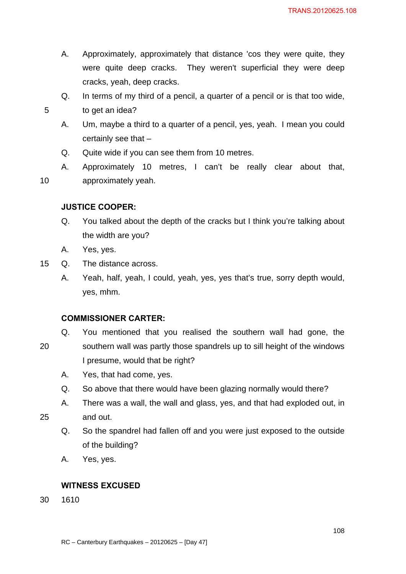- A. Approximately, approximately that distance 'cos they were quite, they were quite deep cracks. They weren't superficial they were deep cracks, yeah, deep cracks.
- Q. In terms of my third of a pencil, a quarter of a pencil or is that too wide, 5 to get an idea?
	- A. Um, maybe a third to a quarter of a pencil, yes, yeah. I mean you could certainly see that –
	- Q. Quite wide if you can see them from 10 metres.
- A. Approximately 10 metres, I can't be really clear about that, 10 approximately yeah.

## **JUSTICE COOPER:**

- Q. You talked about the depth of the cracks but I think you're talking about the width are you?
- A. Yes, yes.
- 15 Q. The distance across.
	- A. Yeah, half, yeah, I could, yeah, yes, yes that's true, sorry depth would, yes, mhm.

### **COMMISSIONER CARTER:**

- Q. You mentioned that you realised the southern wall had gone, the 20 southern wall was partly those spandrels up to sill height of the windows I presume, would that be right?
	- A. Yes, that had come, yes.
	- Q. So above that there would have been glazing normally would there?
- A. There was a wall, the wall and glass, yes, and that had exploded out, in 25 and out.
	- Q. So the spandrel had fallen off and you were just exposed to the outside of the building?
	- A. Yes, yes.

### **WITNESS EXCUSED**

30 1610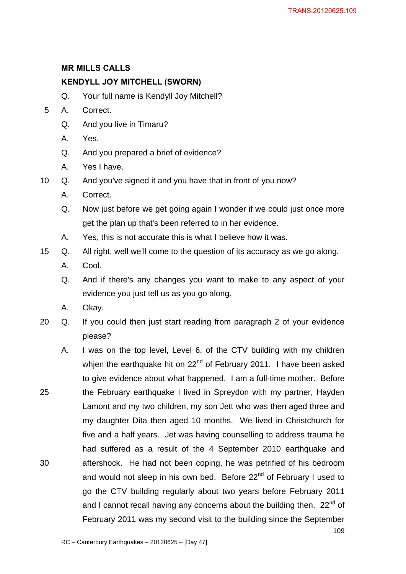### **MR MILLS CALLS**

### **KENDYLL JOY MITCHELL (SWORN)**

- Q. Your full name is Kendyll Joy Mitchell?
- 5 A. Correct.
	- Q. And you live in Timaru?
	- A. Yes.
	- Q. And you prepared a brief of evidence?
	- A. Yes I have.
- 10 Q. And you've signed it and you have that in front of you now?
	- A. Correct.
	- Q. Now just before we get going again I wonder if we could just once more get the plan up that's been referred to in her evidence.
	- A. Yes, this is not accurate this is what I believe how it was.
- 15 Q. All right, well we'll come to the question of its accuracy as we go along.
	- A. Cool.
	- Q. And if there's any changes you want to make to any aspect of your evidence you just tell us as you go along.
	- A. Okay.
- 20 Q. If you could then just start reading from paragraph 2 of your evidence please?
- 109 A. I was on the top level, Level 6, of the CTV building with my children whien the earthquake hit on 22<sup>nd</sup> of February 2011. I have been asked to give evidence about what happened. I am a full-time mother. Before 25 the February earthquake I lived in Spreydon with my partner, Hayden Lamont and my two children, my son Jett who was then aged three and my daughter Dita then aged 10 months. We lived in Christchurch for five and a half years. Jet was having counselling to address trauma he had suffered as a result of the 4 September 2010 earthquake and 30 aftershock. He had not been coping, he was petrified of his bedroom and would not sleep in his own bed. Before  $22<sup>nd</sup>$  of February I used to go the CTV building regularly about two years before February 2011 and I cannot recall having any concerns about the building then.  $22<sup>nd</sup>$  of February 2011 was my second visit to the building since the September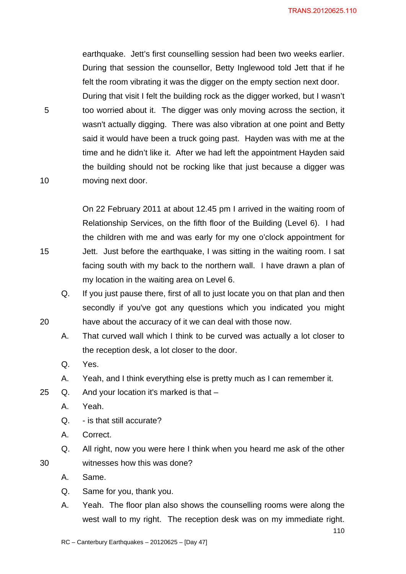110

earthquake. Jett's first counselling session had been two weeks earlier. During that session the counsellor, Betty Inglewood told Jett that if he felt the room vibrating it was the digger on the empty section next door. During that visit I felt the building rock as the digger worked, but I wasn't 5 too worried about it. The digger was only moving across the section, it wasn't actually digging. There was also vibration at one point and Betty said it would have been a truck going past. Hayden was with me at the time and he didn't like it. After we had left the appointment Hayden said the building should not be rocking like that just because a digger was 10 moving next door.

On 22 February 2011 at about 12.45 pm I arrived in the waiting room of Relationship Services, on the fifth floor of the Building (Level 6). I had the children with me and was early for my one o'clock appointment for 15 Jett. Just before the earthquake, I was sitting in the waiting room. I sat facing south with my back to the northern wall. I have drawn a plan of my location in the waiting area on Level 6.

Q. If you just pause there, first of all to just locate you on that plan and then secondly if you've got any questions which you indicated you might 20 have about the accuracy of it we can deal with those now.

- A. That curved wall which I think to be curved was actually a lot closer to the reception desk, a lot closer to the door.
- Q. Yes.
- A. Yeah, and I think everything else is pretty much as I can remember it.
- 25 Q. And your location it's marked is that
	- A. Yeah.
	- Q. is that still accurate?
	- A. Correct.
- Q. All right, now you were here I think when you heard me ask of the other 30 witnesses how this was done?
	- A. Same.
	- Q. Same for you, thank you.
	- A. Yeah. The floor plan also shows the counselling rooms were along the west wall to my right. The reception desk was on my immediate right.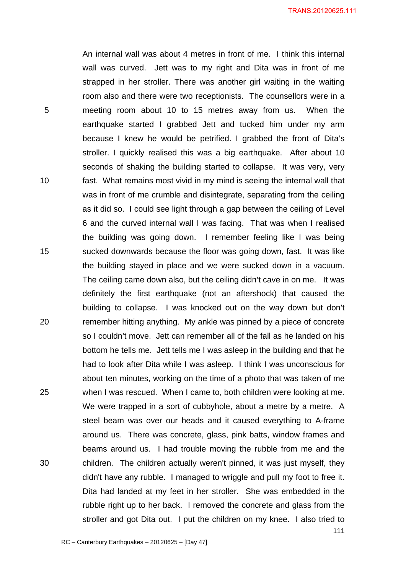111 An internal wall was about 4 metres in front of me. I think this internal wall was curved. Jett was to my right and Dita was in front of me strapped in her stroller. There was another girl waiting in the waiting room also and there were two receptionists. The counsellors were in a 5 meeting room about 10 to 15 metres away from us. When the earthquake started I grabbed Jett and tucked him under my arm because I knew he would be petrified. I grabbed the front of Dita's stroller. I quickly realised this was a big earthquake. After about 10 seconds of shaking the building started to collapse. It was very, very 10 fast. What remains most vivid in my mind is seeing the internal wall that was in front of me crumble and disintegrate, separating from the ceiling as it did so. I could see light through a gap between the ceiling of Level 6 and the curved internal wall I was facing. That was when I realised the building was going down. I remember feeling like I was being 15 sucked downwards because the floor was going down, fast. It was like the building stayed in place and we were sucked down in a vacuum. The ceiling came down also, but the ceiling didn't cave in on me. It was definitely the first earthquake (not an aftershock) that caused the building to collapse. I was knocked out on the way down but don't 20 remember hitting anything. My ankle was pinned by a piece of concrete so I couldn't move. Jett can remember all of the fall as he landed on his bottom he tells me. Jett tells me I was asleep in the building and that he had to look after Dita while I was asleep. I think I was unconscious for about ten minutes, working on the time of a photo that was taken of me 25 when I was rescued. When I came to, both children were looking at me. We were trapped in a sort of cubbyhole, about a metre by a metre. A steel beam was over our heads and it caused everything to A-frame around us. There was concrete, glass, pink batts, window frames and beams around us. I had trouble moving the rubble from me and the 30 children. The children actually weren't pinned, it was just myself, they didn't have any rubble. I managed to wriggle and pull my foot to free it. Dita had landed at my feet in her stroller. She was embedded in the rubble right up to her back. I removed the concrete and glass from the stroller and got Dita out. I put the children on my knee. I also tried to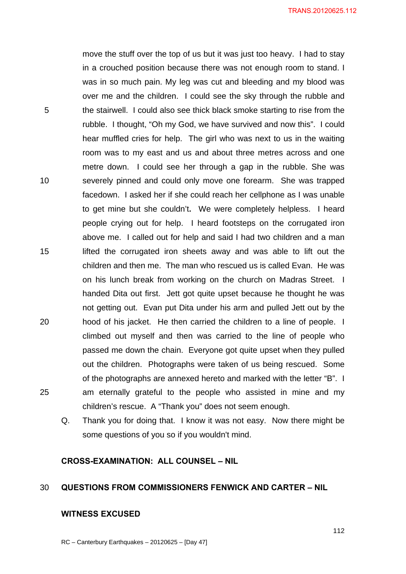move the stuff over the top of us but it was just too heavy. I had to stay in a crouched position because there was not enough room to stand. I was in so much pain. My leg was cut and bleeding and my blood was over me and the children. I could see the sky through the rubble and 5 the stairwell. I could also see thick black smoke starting to rise from the rubble. I thought, "Oh my God, we have survived and now this". I could hear muffled cries for help. The girl who was next to us in the waiting room was to my east and us and about three metres across and one metre down. I could see her through a gap in the rubble. She was 10 severely pinned and could only move one forearm. She was trapped facedown. I asked her if she could reach her cellphone as I was unable to get mine but she couldn't**.** We were completely helpless. I heard people crying out for help. I heard footsteps on the corrugated iron above me. I called out for help and said I had two children and a man 15 lifted the corrugated iron sheets away and was able to lift out the children and then me. The man who rescued us is called Evan. He was on his lunch break from working on the church on Madras Street. I handed Dita out first. Jett got quite upset because he thought he was not getting out. Evan put Dita under his arm and pulled Jett out by the 20 hood of his jacket. He then carried the children to a line of people. I climbed out myself and then was carried to the line of people who passed me down the chain. Everyone got quite upset when they pulled out the children.Photographs were taken of us being rescued. Some of the photographs are annexed hereto and marked with the letter "B". I 25 am eternally grateful to the people who assisted in mine and my children's rescue. A "Thank you" does not seem enough.

Q. Thank you for doing that. I know it was not easy. Now there might be some questions of you so if you wouldn't mind.

#### **CROSS-EXAMINATION: ALL COUNSEL – NIL**

#### 30 **QUESTIONS FROM COMMISSIONERS FENWICK AND CARTER – NIL**

#### **WITNESS EXCUSED**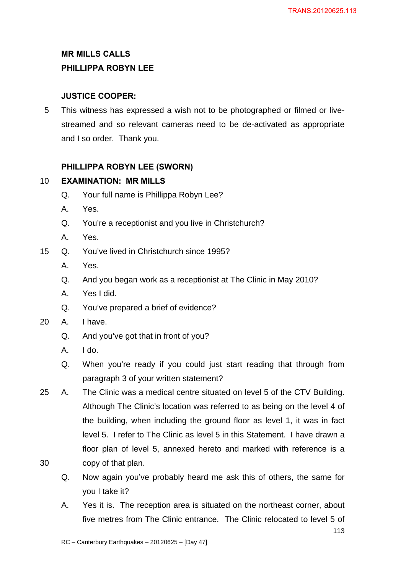# **MR MILLS CALLS PHILLIPPA ROBYN LEE**

## **JUSTICE COOPER:**

5 This witness has expressed a wish not to be photographed or filmed or livestreamed and so relevant cameras need to be de-activated as appropriate and I so order. Thank you.

## **PHILLIPPA ROBYN LEE (SWORN)**

## 10 **EXAMINATION: MR MILLS**

- Q. Your full name is Phillippa Robyn Lee?
- A. Yes.
- Q. You're a receptionist and you live in Christchurch?
- A. Yes.
- 15 Q. You've lived in Christchurch since 1995?
	- A. Yes.
	- Q. And you began work as a receptionist at The Clinic in May 2010?
	- A. Yes I did.
	- Q. You've prepared a brief of evidence?
- 20 A. I have.
	- Q. And you've got that in front of you?
	- $A.$   $I$  do.
	- Q. When you're ready if you could just start reading that through from paragraph 3 of your written statement?
- 25 A. The Clinic was a medical centre situated on level 5 of the CTV Building. Although The Clinic's location was referred to as being on the level 4 of the building, when including the ground floor as level 1, it was in fact level 5. I refer to The Clinic as level 5 in this Statement. I have drawn a floor plan of level 5, annexed hereto and marked with reference is a 30 copy of that plan.
- 
- Q. Now again you've probably heard me ask this of others, the same for you I take it?
- A. Yes it is. The reception area is situated on the northeast corner, about five metres from The Clinic entrance. The Clinic relocated to level 5 of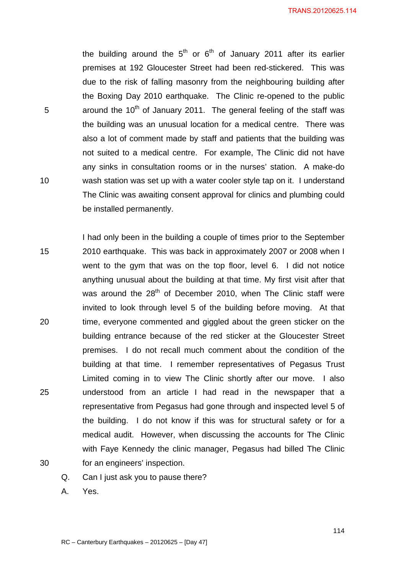TRANS.20120625.114

the building around the  $5<sup>th</sup>$  or  $6<sup>th</sup>$  of January 2011 after its earlier premises at 192 Gloucester Street had been red-stickered. This was due to the risk of falling masonry from the neighbouring building after the Boxing Day 2010 earthquake. The Clinic re-opened to the public 5  $\mu$  around the 10<sup>th</sup> of January 2011. The general feeling of the staff was the building was an unusual location for a medical centre. There was also a lot of comment made by staff and patients that the building was not suited to a medical centre. For example, The Clinic did not have any sinks in consultation rooms or in the nurses' station. A make-do 10 wash station was set up with a water cooler style tap on it. I understand The Clinic was awaiting consent approval for clinics and plumbing could be installed permanently.

I had only been in the building a couple of times prior to the September 15 2010 earthquake. This was back in approximately 2007 or 2008 when I went to the gym that was on the top floor, level 6. I did not notice anything unusual about the building at that time. My first visit after that was around the 28<sup>th</sup> of December 2010, when The Clinic staff were invited to look through level 5 of the building before moving. At that 20 time, everyone commented and giggled about the green sticker on the building entrance because of the red sticker at the Gloucester Street premises. I do not recall much comment about the condition of the building at that time. I remember representatives of Pegasus Trust Limited coming in to view The Clinic shortly after our move. I also 25 understood from an article I had read in the newspaper that a representative from Pegasus had gone through and inspected level 5 of the building. I do not know if this was for structural safety or for a medical audit. However, when discussing the accounts for The Clinic with Faye Kennedy the clinic manager, Pegasus had billed The Clinic 30 for an engineers' inspection.

Q. Can I just ask you to pause there?

A. Yes.

114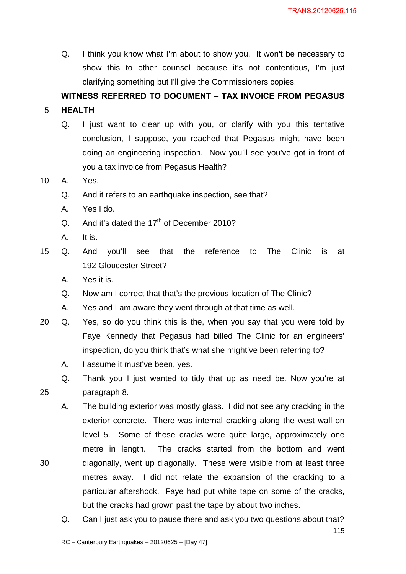Q. I think you know what I'm about to show you. It won't be necessary to show this to other counsel because it's not contentious, I'm just clarifying something but I'll give the Commissioners copies.

## **WITNESS REFERRED TO DOCUMENT – TAX INVOICE FROM PEGASUS**

## 5 **HEALTH**

Q. I just want to clear up with you, or clarify with you this tentative conclusion, I suppose, you reached that Pegasus might have been doing an engineering inspection. Now you'll see you've got in front of you a tax invoice from Pegasus Health?

## 10 A. Yes.

- Q. And it refers to an earthquake inspection, see that?
- A. Yes I do.
- Q. And it's dated the  $17<sup>th</sup>$  of December 2010?
- A. It is.
- 15 Q. And you'll see that the reference to The Clinic is at 192 Gloucester Street?
	- A. Yes it is.
	- Q. Now am I correct that that's the previous location of The Clinic?
	- A. Yes and I am aware they went through at that time as well.
- 20 Q. Yes, so do you think this is the, when you say that you were told by Faye Kennedy that Pegasus had billed The Clinic for an engineers' inspection, do you think that's what she might've been referring to?
	- A. I assume it must've been, yes.
- Q. Thank you I just wanted to tidy that up as need be. Now you're at 25 paragraph 8.
- A. The building exterior was mostly glass. I did not see any cracking in the exterior concrete. There was internal cracking along the west wall on level 5. Some of these cracks were quite large, approximately one metre in length. The cracks started from the bottom and went 30 diagonally, went up diagonally. These were visible from at least three metres away. I did not relate the expansion of the cracking to a particular aftershock. Faye had put white tape on some of the cracks, but the cracks had grown past the tape by about two inches.
	- Q. Can I just ask you to pause there and ask you two questions about that?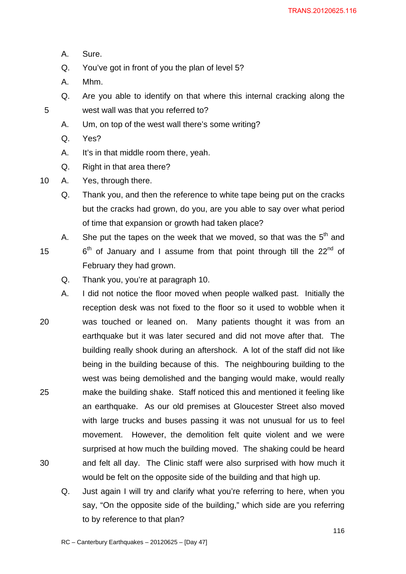- A. Sure.
- Q. You've got in front of you the plan of level 5?
- A. Mhm.
- Q. Are you able to identify on that where this internal cracking along the 5 west wall was that you referred to?
	- A. Um, on top of the west wall there's some writing?
	- Q. Yes?
	- A. It's in that middle room there, yeah.
	- Q. Right in that area there?
- 10 A. Yes, through there.

Q. Thank you, and then the reference to white tape being put on the cracks but the cracks had grown, do you, are you able to say over what period of time that expansion or growth had taken place?

- A. She put the tapes on the week that we moved, so that was the  $5<sup>th</sup>$  and
- 15  $6<sup>th</sup>$  of January and I assume from that point through till the 22<sup>nd</sup> of February they had grown.
	- Q. Thank you, you're at paragraph 10.
- A. I did not notice the floor moved when people walked past. Initially the reception desk was not fixed to the floor so it used to wobble when it 20 was touched or leaned on. Many patients thought it was from an earthquake but it was later secured and did not move after that. The building really shook during an aftershock. A lot of the staff did not like being in the building because of this. The neighbouring building to the west was being demolished and the banging would make, would really 25 make the building shake. Staff noticed this and mentioned it feeling like an earthquake. As our old premises at Gloucester Street also moved with large trucks and buses passing it was not unusual for us to feel movement. However, the demolition felt quite violent and we were surprised at how much the building moved. The shaking could be heard 30 and felt all day. The Clinic staff were also surprised with how much it would be felt on the opposite side of the building and that high up.
	- Q. Just again I will try and clarify what you're referring to here, when you say, "On the opposite side of the building," which side are you referring to by reference to that plan?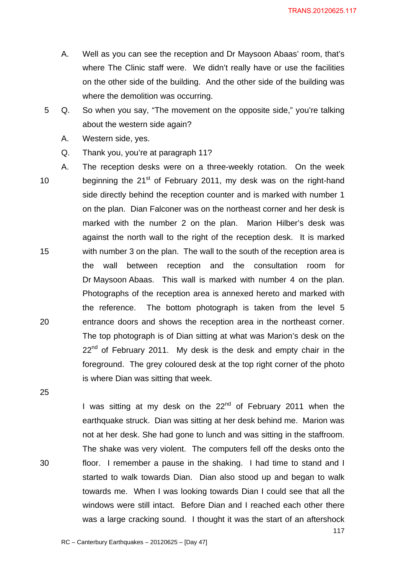- A. Well as you can see the reception and Dr Maysoon Abaas' room, that's where The Clinic staff were. We didn't really have or use the facilities on the other side of the building. And the other side of the building was where the demolition was occurring.
- 5 Q. So when you say, "The movement on the opposite side," you're talking about the western side again?
	- A. Western side, yes.
	- Q. Thank you, you're at paragraph 11?
- A. The reception desks were on a three-weekly rotation. On the week 10 beginning the  $21^{st}$  of February 2011, my desk was on the right-hand side directly behind the reception counter and is marked with number 1 on the plan. Dian Falconer was on the northeast corner and her desk is marked with the number 2 on the plan. Marion Hilber's desk was against the north wall to the right of the reception desk. It is marked 15 with number 3 on the plan. The wall to the south of the reception area is the wall between reception and the consultation room for Dr Maysoon Abaas. This wall is marked with number 4 on the plan. Photographs of the reception area is annexed hereto and marked with the reference. The bottom photograph is taken from the level 5 20 entrance doors and shows the reception area in the northeast corner. The top photograph is of Dian sitting at what was Marion's desk on the  $22<sup>nd</sup>$  of February 2011. My desk is the desk and empty chair in the foreground. The grey coloured desk at the top right corner of the photo is where Dian was sitting that week.
- 25

I was sitting at my desk on the  $22<sup>nd</sup>$  of February 2011 when the earthquake struck. Dian was sitting at her desk behind me. Marion was not at her desk. She had gone to lunch and was sitting in the staffroom. The shake was very violent. The computers fell off the desks onto the 30 floor. I remember a pause in the shaking. I had time to stand and I started to walk towards Dian. Dian also stood up and began to walk towards me. When I was looking towards Dian I could see that all the windows were still intact. Before Dian and I reached each other there was a large cracking sound. I thought it was the start of an aftershock

117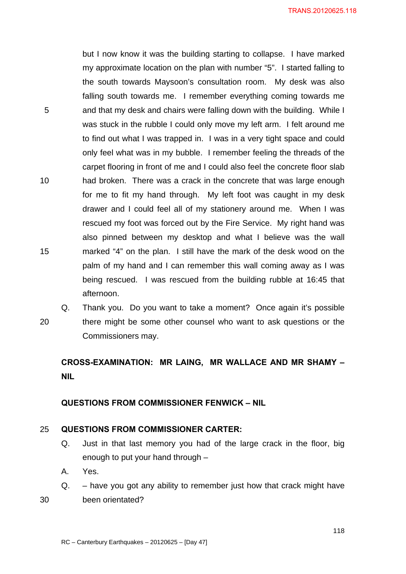but I now know it was the building starting to collapse. I have marked my approximate location on the plan with number "5". I started falling to the south towards Maysoon's consultation room. My desk was also falling south towards me. I remember everything coming towards me 5 and that my desk and chairs were falling down with the building. While I was stuck in the rubble I could only move my left arm. I felt around me to find out what I was trapped in. I was in a very tight space and could only feel what was in my bubble. I remember feeling the threads of the carpet flooring in front of me and I could also feel the concrete floor slab 10 had broken. There was a crack in the concrete that was large enough for me to fit my hand through. My left foot was caught in my desk drawer and I could feel all of my stationery around me. When I was rescued my foot was forced out by the Fire Service. My right hand was also pinned between my desktop and what I believe was the wall 15 marked "4" on the plan. I still have the mark of the desk wood on the palm of my hand and I can remember this wall coming away as I was being rescued. I was rescued from the building rubble at 16:45 that afternoon.

Q. Thank you. Do you want to take a moment? Once again it's possible 20 there might be some other counsel who want to ask questions or the Commissioners may.

## **CROSS-EXAMINATION: MR LAING, MR WALLACE AND MR SHAMY – NIL**

#### **QUESTIONS FROM COMMISSIONER FENWICK – NIL**

#### 25 **QUESTIONS FROM COMMISSIONER CARTER:**

- Q. Just in that last memory you had of the large crack in the floor, big enough to put your hand through –
- A. Yes.
- Q. have you got any ability to remember just how that crack might have 30 been orientated?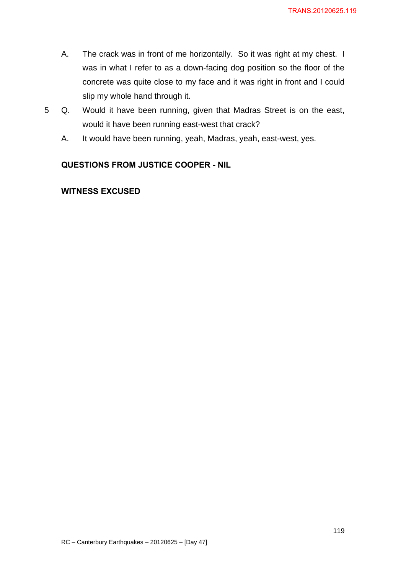- A. The crack was in front of me horizontally. So it was right at my chest. I was in what I refer to as a down-facing dog position so the floor of the concrete was quite close to my face and it was right in front and I could slip my whole hand through it.
- 5 Q. Would it have been running, given that Madras Street is on the east, would it have been running east-west that crack?
	- A. It would have been running, yeah, Madras, yeah, east-west, yes.

## **QUESTIONS FROM JUSTICE COOPER - NIL**

## **WITNESS EXCUSED**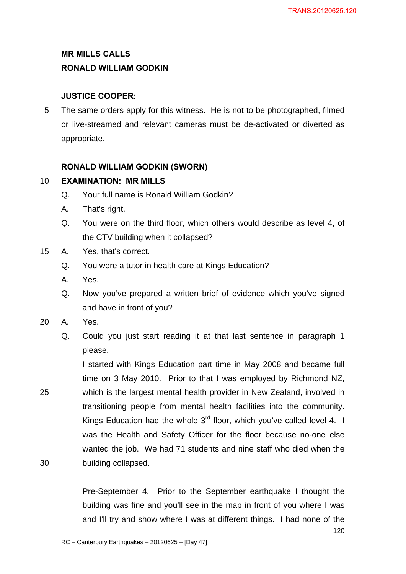# **MR MILLS CALLS RONALD WILLIAM GODKIN**

## **JUSTICE COOPER:**

5 The same orders apply for this witness. He is not to be photographed, filmed or live-streamed and relevant cameras must be de-activated or diverted as appropriate.

## **RONALD WILLIAM GODKIN (SWORN)**

## 10 **EXAMINATION: MR MILLS**

- Q. Your full name is Ronald William Godkin?
- A. That's right.
- Q. You were on the third floor, which others would describe as level 4, of the CTV building when it collapsed?
- 15 A. Yes, that's correct.
	- Q. You were a tutor in health care at Kings Education?
	- A. Yes.
	- Q. Now you've prepared a written brief of evidence which you've signed and have in front of you?
- 20 A. Yes.
	- Q. Could you just start reading it at that last sentence in paragraph 1 please.

I started with Kings Education part time in May 2008 and became full time on 3 May 2010. Prior to that I was employed by Richmond NZ, 25 which is the largest mental health provider in New Zealand, involved in transitioning people from mental health facilities into the community. Kings Education had the whole  $3<sup>rd</sup>$  floor, which you've called level 4. I was the Health and Safety Officer for the floor because no-one else wanted the job. We had 71 students and nine staff who died when the 30 building collapsed.

> Pre-September 4. Prior to the September earthquake I thought the building was fine and you'll see in the map in front of you where I was and I'll try and show where I was at different things. I had none of the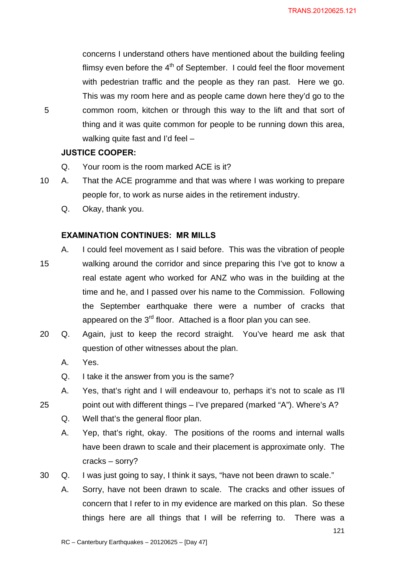concerns I understand others have mentioned about the building feeling flimsy even before the  $4<sup>th</sup>$  of September. I could feel the floor movement with pedestrian traffic and the people as they ran past. Here we go. This was my room here and as people came down here they'd go to the 5 common room, kitchen or through this way to the lift and that sort of thing and it was quite common for people to be running down this area, walking quite fast and I'd feel –

#### **JUSTICE COOPER:**

- Q. Your room is the room marked ACE is it?
- 10 A. That the ACE programme and that was where I was working to prepare people for, to work as nurse aides in the retirement industry.
	- Q. Okay, thank you.

## **EXAMINATION CONTINUES: MR MILLS**

- A. I could feel movement as I said before. This was the vibration of people 15 walking around the corridor and since preparing this I've got to know a real estate agent who worked for ANZ who was in the building at the time and he, and I passed over his name to the Commission. Following the September earthquake there were a number of cracks that appeared on the 3<sup>rd</sup> floor. Attached is a floor plan you can see.
- 20 Q. Again, just to keep the record straight. You've heard me ask that question of other witnesses about the plan.
	- A. Yes.
	- Q. I take it the answer from you is the same?
	- A. Yes, that's right and I will endeavour to, perhaps it's not to scale as I'll
- 25 point out with different things I've prepared (marked "A"). Where's A?
	- Q. Well that's the general floor plan.
	- A. Yep, that's right, okay. The positions of the rooms and internal walls have been drawn to scale and their placement is approximate only. The cracks – sorry?
- 30 Q. I was just going to say, I think it says, "have not been drawn to scale."
	- A. Sorry, have not been drawn to scale. The cracks and other issues of concern that I refer to in my evidence are marked on this plan. So these things here are all things that I will be referring to. There was a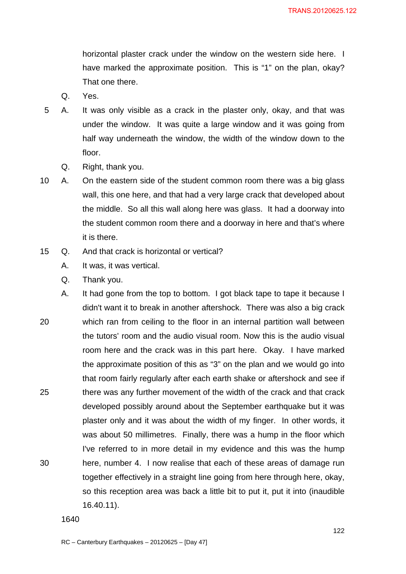horizontal plaster crack under the window on the western side here. I have marked the approximate position. This is "1" on the plan, okay? That one there.

- Q. Yes.
- 5 A. It was only visible as a crack in the plaster only, okay, and that was under the window. It was quite a large window and it was going from half way underneath the window, the width of the window down to the floor.
	- Q. Right, thank you.
- 10 A. On the eastern side of the student common room there was a big glass wall, this one here, and that had a very large crack that developed about the middle. So all this wall along here was glass. It had a doorway into the student common room there and a doorway in here and that's where it is there.
- 15 Q. And that crack is horizontal or vertical?
	- A. It was, it was vertical.
	- Q. Thank you.
- A. It had gone from the top to bottom. I got black tape to tape it because I didn't want it to break in another aftershock. There was also a big crack 20 which ran from ceiling to the floor in an internal partition wall between the tutors' room and the audio visual room. Now this is the audio visual room here and the crack was in this part here. Okay. I have marked the approximate position of this as "3" on the plan and we would go into that room fairly regularly after each earth shake or aftershock and see if 25 there was any further movement of the width of the crack and that crack developed possibly around about the September earthquake but it was plaster only and it was about the width of my finger. In other words, it was about 50 millimetres. Finally, there was a hump in the floor which I've referred to in more detail in my evidence and this was the hump 30 here, number 4. I now realise that each of these areas of damage run together effectively in a straight line going from here through here, okay, so this reception area was back a little bit to put it, put it into (inaudible 16.40.11).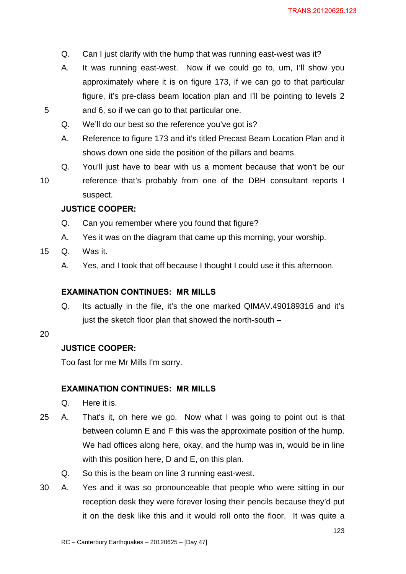- Q. Can I just clarify with the hump that was running east-west was it?
- A. It was running east-west. Now if we could go to, um, I'll show you approximately where it is on figure 173, if we can go to that particular figure, it's pre-class beam location plan and I'll be pointing to levels 2 5 and 6, so if we can go to that particular one.
	- Q. We'll do our best so the reference you've got is?
	- A. Reference to figure 173 and it's titled Precast Beam Location Plan and it shows down one side the position of the pillars and beams.
- Q. You'll just have to bear with us a moment because that won't be our 10 reference that's probably from one of the DBH consultant reports I suspect.

#### **JUSTICE COOPER:**

- Q. Can you remember where you found that figure?
- A. Yes it was on the diagram that came up this morning, your worship.
- 15 Q. Was it.
	- A. Yes, and I took that off because I thought I could use it this afternoon.

#### **EXAMINATION CONTINUES: MR MILLS**

Q. Its actually in the file, it's the one marked QIMAV.490189316 and it's just the sketch floor plan that showed the north-south –

#### 20

#### **JUSTICE COOPER:**

Too fast for me Mr Mills I'm sorry.

#### **EXAMINATION CONTINUES: MR MILLS**

- Q. Here it is.
- 25 A. That's it, oh here we go. Now what I was going to point out is that between column E and F this was the approximate position of the hump. We had offices along here, okay, and the hump was in, would be in line with this position here, D and E, on this plan.
	- Q. So this is the beam on line 3 running east-west.
- 30 A. Yes and it was so pronounceable that people who were sitting in our reception desk they were forever losing their pencils because they'd put it on the desk like this and it would roll onto the floor. It was quite a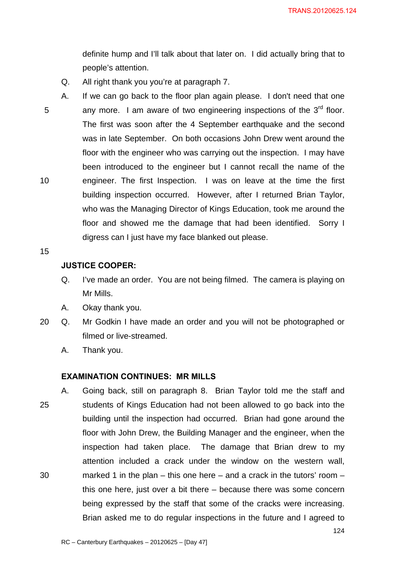definite hump and I'll talk about that later on. I did actually bring that to people's attention.

- Q. All right thank you you're at paragraph 7.
- A. If we can go back to the floor plan again please. I don't need that one  $5$  any more. I am aware of two engineering inspections of the  $3<sup>rd</sup>$  floor. The first was soon after the 4 September earthquake and the second was in late September. On both occasions John Drew went around the floor with the engineer who was carrying out the inspection. I may have been introduced to the engineer but I cannot recall the name of the 10 engineer. The first Inspection. I was on leave at the time the first building inspection occurred. However, after I returned Brian Taylor, who was the Managing Director of Kings Education, took me around the floor and showed me the damage that had been identified. Sorry I digress can I just have my face blanked out please.
- 15

#### **JUSTICE COOPER:**

- Q. I've made an order. You are not being filmed. The camera is playing on Mr Mills.
- A. Okay thank you.
- 20 Q. Mr Godkin I have made an order and you will not be photographed or filmed or live-streamed.
	- A. Thank you.

#### **EXAMINATION CONTINUES: MR MILLS**

A. Going back, still on paragraph 8. Brian Taylor told me the staff and 25 students of Kings Education had not been allowed to go back into the building until the inspection had occurred. Brian had gone around the floor with John Drew, the Building Manager and the engineer, when the inspection had taken place. The damage that Brian drew to my attention included a crack under the window on the western wall, 30 marked 1 in the plan – this one here – and a crack in the tutors' room – this one here, just over a bit there – because there was some concern being expressed by the staff that some of the cracks were increasing. Brian asked me to do regular inspections in the future and I agreed to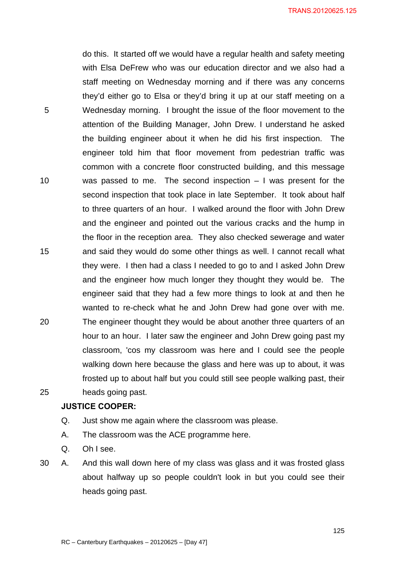do this. It started off we would have a regular health and safety meeting with Elsa DeFrew who was our education director and we also had a staff meeting on Wednesday morning and if there was any concerns they'd either go to Elsa or they'd bring it up at our staff meeting on a 5 Wednesday morning. I brought the issue of the floor movement to the attention of the Building Manager, John Drew. I understand he asked the building engineer about it when he did his first inspection. The engineer told him that floor movement from pedestrian traffic was common with a concrete floor constructed building, and this message 10 was passed to me. The second inspection – I was present for the second inspection that took place in late September. It took about half to three quarters of an hour. I walked around the floor with John Drew and the engineer and pointed out the various cracks and the hump in the floor in the reception area. They also checked sewerage and water 15 and said they would do some other things as well. I cannot recall what they were. I then had a class I needed to go to and I asked John Drew and the engineer how much longer they thought they would be. The engineer said that they had a few more things to look at and then he wanted to re-check what he and John Drew had gone over with me. 20 The engineer thought they would be about another three quarters of an hour to an hour. I later saw the engineer and John Drew going past my classroom, 'cos my classroom was here and I could see the people walking down here because the glass and here was up to about, it was frosted up to about half but you could still see people walking past, their 25 heads going past.

#### **JUSTICE COOPER:**

- Q. Just show me again where the classroom was please.
- A. The classroom was the ACE programme here.
- Q. Oh I see.

30 A. And this wall down here of my class was glass and it was frosted glass about halfway up so people couldn't look in but you could see their heads going past.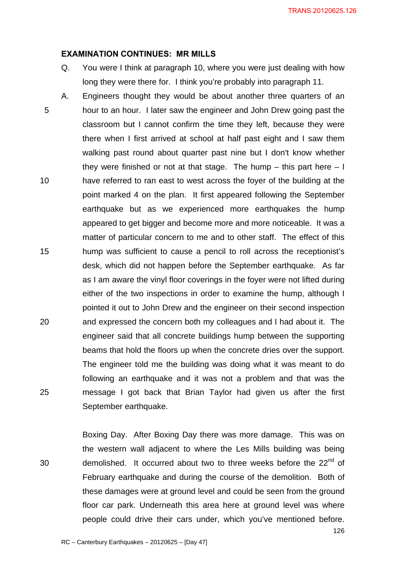#### **EXAMINATION CONTINUES: MR MILLS**

- Q. You were I think at paragraph 10, where you were just dealing with how long they were there for. I think you're probably into paragraph 11.
- A. Engineers thought they would be about another three quarters of an 5 hour to an hour. I later saw the engineer and John Drew going past the classroom but I cannot confirm the time they left, because they were there when I first arrived at school at half past eight and I saw them walking past round about quarter past nine but I don't know whether they were finished or not at that stage. The hump  $-$  this part here  $-1$ 10 have referred to ran east to west across the foyer of the building at the point marked 4 on the plan. It first appeared following the September earthquake but as we experienced more earthquakes the hump appeared to get bigger and become more and more noticeable. It was a matter of particular concern to me and to other staff. The effect of this 15 hump was sufficient to cause a pencil to roll across the receptionist's desk, which did not happen before the September earthquake. As far as I am aware the vinyl floor coverings in the foyer were not lifted during either of the two inspections in order to examine the hump, although I pointed it out to John Drew and the engineer on their second inspection 20 and expressed the concern both my colleagues and I had about it. The engineer said that all concrete buildings hump between the supporting beams that hold the floors up when the concrete dries over the support. The engineer told me the building was doing what it was meant to do following an earthquake and it was not a problem and that was the 25 message I got back that Brian Taylor had given us after the first September earthquake.

Boxing Day. After Boxing Day there was more damage. This was on the western wall adjacent to where the Les Mills building was being 30 demolished. It occurred about two to three weeks before the  $22<sup>nd</sup>$  of February earthquake and during the course of the demolition. Both of these damages were at ground level and could be seen from the ground floor car park. Underneath this area here at ground level was where people could drive their cars under, which you've mentioned before.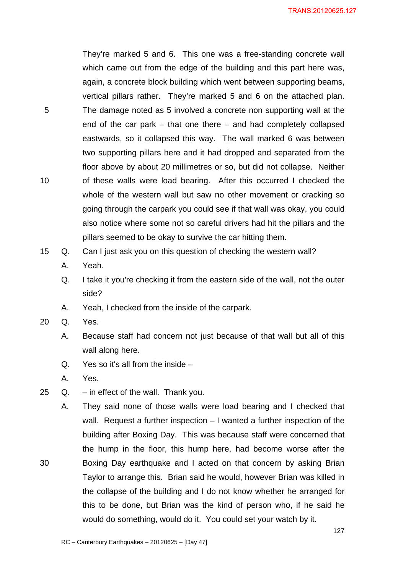They're marked 5 and 6. This one was a free-standing concrete wall which came out from the edge of the building and this part here was, again, a concrete block building which went between supporting beams, vertical pillars rather. They're marked 5 and 6 on the attached plan. 5 The damage noted as 5 involved a concrete non supporting wall at the end of the car park – that one there – and had completely collapsed eastwards, so it collapsed this way. The wall marked 6 was between two supporting pillars here and it had dropped and separated from the floor above by about 20 millimetres or so, but did not collapse. Neither 10 of these walls were load bearing. After this occurred I checked the whole of the western wall but saw no other movement or cracking so going through the carpark you could see if that wall was okay, you could also notice where some not so careful drivers had hit the pillars and the pillars seemed to be okay to survive the car hitting them.

- 15 Q. Can I just ask you on this question of checking the western wall?
	- A. Yeah.
	- Q. I take it you're checking it from the eastern side of the wall, not the outer side?
	- A. Yeah, I checked from the inside of the carpark.
- 20 Q. Yes.
	- A. Because staff had concern not just because of that wall but all of this wall along here.
	- Q. Yes so it's all from the inside –
	- A. Yes.
- 25 Q. in effect of the wall. Thank you.

A. They said none of those walls were load bearing and I checked that wall. Request a further inspection – I wanted a further inspection of the building after Boxing Day. This was because staff were concerned that the hump in the floor, this hump here, had become worse after the 30 Boxing Day earthquake and I acted on that concern by asking Brian Taylor to arrange this. Brian said he would, however Brian was killed in the collapse of the building and I do not know whether he arranged for this to be done, but Brian was the kind of person who, if he said he would do something, would do it. You could set your watch by it.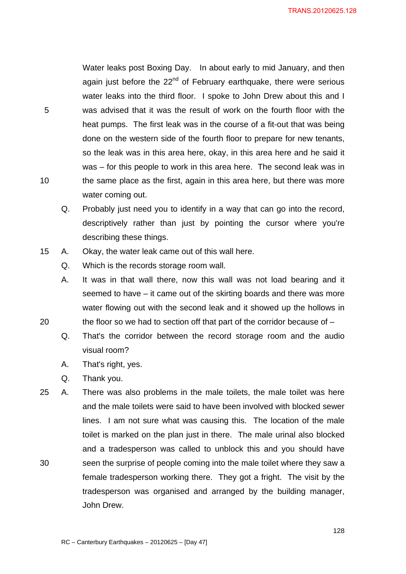Water leaks post Boxing Day. In about early to mid January, and then again just before the  $22<sup>nd</sup>$  of February earthquake, there were serious water leaks into the third floor. I spoke to John Drew about this and I 5 was advised that it was the result of work on the fourth floor with the heat pumps. The first leak was in the course of a fit-out that was being done on the western side of the fourth floor to prepare for new tenants, so the leak was in this area here, okay, in this area here and he said it was – for this people to work in this area here. The second leak was in 10 the same place as the first, again in this area here, but there was more water coming out.

- Q. Probably just need you to identify in a way that can go into the record, descriptively rather than just by pointing the cursor where you're describing these things.
- 15 A. Okay, the water leak came out of this wall here.
	- Q. Which is the records storage room wall.
- A. It was in that wall there, now this wall was not load bearing and it seemed to have – it came out of the skirting boards and there was more water flowing out with the second leak and it showed up the hollows in 20 the floor so we had to section off that part of the corridor because of –
	- Q. That's the corridor between the record storage room and the audio visual room?
	- A. That's right, yes.
	- Q. Thank you.
- 25 A. There was also problems in the male toilets, the male toilet was here and the male toilets were said to have been involved with blocked sewer lines. I am not sure what was causing this. The location of the male toilet is marked on the plan just in there. The male urinal also blocked and a tradesperson was called to unblock this and you should have 30 seen the surprise of people coming into the male toilet where they saw a female tradesperson working there. They got a fright. The visit by the tradesperson was organised and arranged by the building manager, John Drew.

128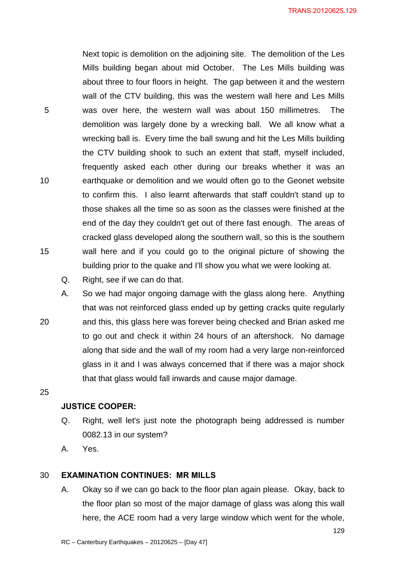Next topic is demolition on the adjoining site. The demolition of the Les Mills building began about mid October. The Les Mills building was about three to four floors in height. The gap between it and the western wall of the CTV building, this was the western wall here and Les Mills 5 was over here, the western wall was about 150 millimetres. The demolition was largely done by a wrecking ball. We all know what a wrecking ball is. Every time the ball swung and hit the Les Mills building the CTV building shook to such an extent that staff, myself included, frequently asked each other during our breaks whether it was an 10 earthquake or demolition and we would often go to the Geonet website to confirm this. I also learnt afterwards that staff couldn't stand up to those shakes all the time so as soon as the classes were finished at the end of the day they couldn't get out of there fast enough. The areas of cracked glass developed along the southern wall, so this is the southern 15 wall here and if you could go to the original picture of showing the building prior to the quake and I'll show you what we were looking at.

- Q. Right, see if we can do that.
- A. So we had major ongoing damage with the glass along here. Anything that was not reinforced glass ended up by getting cracks quite regularly 20 and this, this glass here was forever being checked and Brian asked me to go out and check it within 24 hours of an aftershock. No damage along that side and the wall of my room had a very large non-reinforced glass in it and I was always concerned that if there was a major shock that that glass would fall inwards and cause major damage.

25

#### **JUSTICE COOPER:**

- Q. Right, well let's just note the photograph being addressed is number 0082.13 in our system?
- A. Yes.

#### 30 **EXAMINATION CONTINUES: MR MILLS**

A. Okay so if we can go back to the floor plan again please. Okay, back to the floor plan so most of the major damage of glass was along this wall here, the ACE room had a very large window which went for the whole,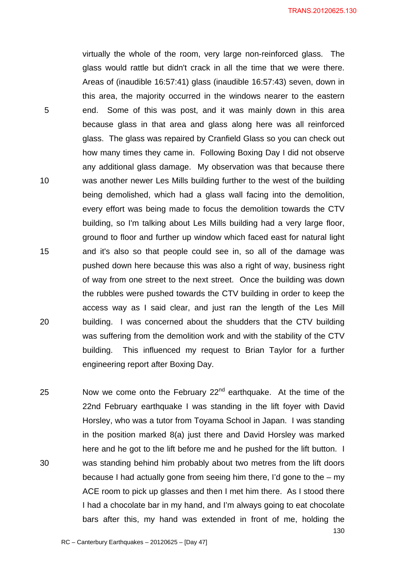virtually the whole of the room, very large non-reinforced glass. The glass would rattle but didn't crack in all the time that we were there. Areas of (inaudible 16:57:41) glass (inaudible 16:57:43) seven, down in this area, the majority occurred in the windows nearer to the eastern 5 end. Some of this was post, and it was mainly down in this area because glass in that area and glass along here was all reinforced glass. The glass was repaired by Cranfield Glass so you can check out how many times they came in. Following Boxing Day I did not observe any additional glass damage. My observation was that because there 10 was another newer Les Mills building further to the west of the building being demolished, which had a glass wall facing into the demolition, every effort was being made to focus the demolition towards the CTV building, so I'm talking about Les Mills building had a very large floor, ground to floor and further up window which faced east for natural light 15 and it's also so that people could see in, so all of the damage was pushed down here because this was also a right of way, business right of way from one street to the next street. Once the building was down the rubbles were pushed towards the CTV building in order to keep the access way as I said clear, and just ran the length of the Les Mill 20 building. I was concerned about the shudders that the CTV building was suffering from the demolition work and with the stability of the CTV building. This influenced my request to Brian Taylor for a further engineering report after Boxing Day.

130 25 Now we come onto the February  $22<sup>nd</sup>$  earthquake. At the time of the 22nd February earthquake I was standing in the lift foyer with David Horsley, who was a tutor from Toyama School in Japan. I was standing in the position marked 8(a) just there and David Horsley was marked here and he got to the lift before me and he pushed for the lift button. I 30 was standing behind him probably about two metres from the lift doors because I had actually gone from seeing him there, I'd gone to the – my ACE room to pick up glasses and then I met him there. As I stood there I had a chocolate bar in my hand, and I'm always going to eat chocolate bars after this, my hand was extended in front of me, holding the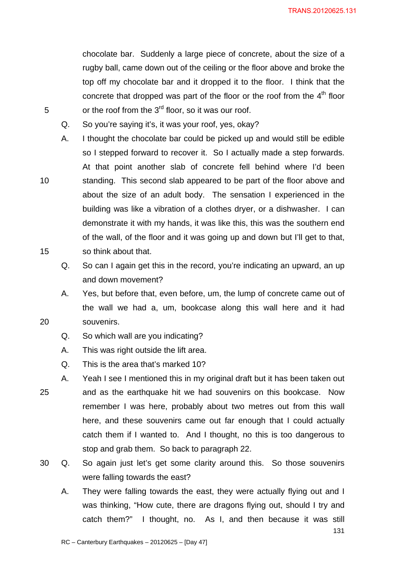131

chocolate bar. Suddenly a large piece of concrete, about the size of a rugby ball, came down out of the ceiling or the floor above and broke the top off my chocolate bar and it dropped it to the floor. I think that the concrete that dropped was part of the floor or the roof from the  $4<sup>th</sup>$  floor  $5$  or the roof from the 3 $^{rd}$  floor, so it was our roof.

- Q. So you're saying it's, it was your roof, yes, okay?
- A. I thought the chocolate bar could be picked up and would still be edible so I stepped forward to recover it. So I actually made a step forwards. At that point another slab of concrete fell behind where I'd been 10 standing. This second slab appeared to be part of the floor above and about the size of an adult body. The sensation I experienced in the building was like a vibration of a clothes dryer, or a dishwasher. I can demonstrate it with my hands, it was like this, this was the southern end of the wall, of the floor and it was going up and down but I'll get to that, 15 so think about that.
	- Q. So can I again get this in the record, you're indicating an upward, an up and down movement?
- A. Yes, but before that, even before, um, the lump of concrete came out of the wall we had a, um, bookcase along this wall here and it had 20 souvenirs.
	- Q. So which wall are you indicating?
	- A. This was right outside the lift area.
	- Q. This is the area that's marked 10?
- A. Yeah I see I mentioned this in my original draft but it has been taken out 25 and as the earthquake hit we had souvenirs on this bookcase. Now remember I was here, probably about two metres out from this wall here, and these souvenirs came out far enough that I could actually catch them if I wanted to. And I thought, no this is too dangerous to stop and grab them. So back to paragraph 22.
- 30 Q. So again just let's get some clarity around this. So those souvenirs were falling towards the east?
	- A. They were falling towards the east, they were actually flying out and I was thinking, "How cute, there are dragons flying out, should I try and catch them?" I thought, no. As I, and then because it was still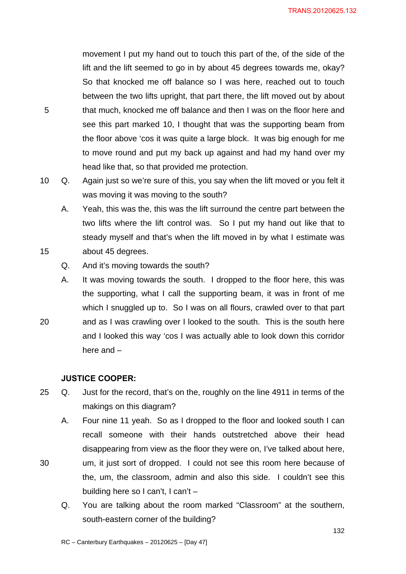movement I put my hand out to touch this part of the, of the side of the lift and the lift seemed to go in by about 45 degrees towards me, okay? So that knocked me off balance so I was here, reached out to touch between the two lifts upright, that part there, the lift moved out by about 5 that much, knocked me off balance and then I was on the floor here and see this part marked 10, I thought that was the supporting beam from the floor above 'cos it was quite a large block. It was big enough for me to move round and put my back up against and had my hand over my head like that, so that provided me protection.

10 Q. Again just so we're sure of this, you say when the lift moved or you felt it was moving it was moving to the south?

A. Yeah, this was the, this was the lift surround the centre part between the two lifts where the lift control was. So I put my hand out like that to steady myself and that's when the lift moved in by what I estimate was 15 about 45 degrees.

Q. And it's moving towards the south?

A. It was moving towards the south. I dropped to the floor here, this was the supporting, what I call the supporting beam, it was in front of me which I snuggled up to. So I was on all flours, crawled over to that part 20 and as I was crawling over I looked to the south. This is the south here and I looked this way 'cos I was actually able to look down this corridor here and –

#### **JUSTICE COOPER:**

- 25 Q. Just for the record, that's on the, roughly on the line 4911 in terms of the makings on this diagram?
- A. Four nine 11 yeah. So as I dropped to the floor and looked south I can recall someone with their hands outstretched above their head disappearing from view as the floor they were on, I've talked about here, 30 um, it just sort of dropped. I could not see this room here because of the, um, the classroom, admin and also this side. I couldn't see this building here so I can't, I can't –
	- Q. You are talking about the room marked "Classroom" at the southern, south-eastern corner of the building?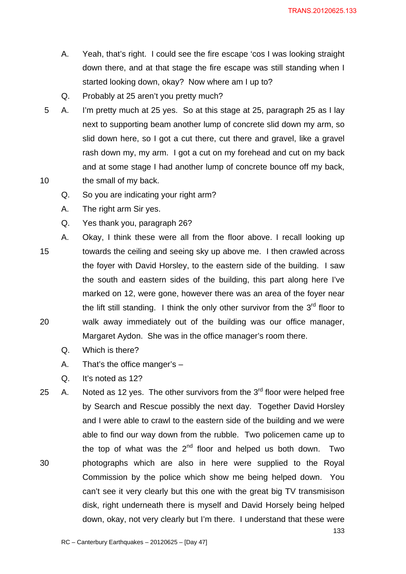- A. Yeah, that's right. I could see the fire escape 'cos I was looking straight down there, and at that stage the fire escape was still standing when I started looking down, okay? Now where am I up to?
- Q. Probably at 25 aren't you pretty much?
- 5 A. I'm pretty much at 25 yes. So at this stage at 25, paragraph 25 as I lay next to supporting beam another lump of concrete slid down my arm, so slid down here, so I got a cut there, cut there and gravel, like a gravel rash down my, my arm. I got a cut on my forehead and cut on my back and at some stage I had another lump of concrete bounce off my back, 10 the small of my back.
	- Q. So you are indicating your right arm?
	- A. The right arm Sir yes.
	- Q. Yes thank you, paragraph 26?
- A. Okay, I think these were all from the floor above. I recall looking up 15 towards the ceiling and seeing sky up above me. I then crawled across the foyer with David Horsley, to the eastern side of the building. I saw the south and eastern sides of the building, this part along here I've marked on 12, were gone, however there was an area of the foyer near the lift still standing. I think the only other survivor from the  $3<sup>rd</sup>$  floor to 20 walk away immediately out of the building was our office manager, Margaret Aydon. She was in the office manager's room there.
	- Q. Which is there?
	- A. That's the office manger's –
	- Q. It's noted as 12?
- 25 A. Noted as 12 yes. The other survivors from the  $3<sup>rd</sup>$  floor were helped free by Search and Rescue possibly the next day. Together David Horsley and I were able to crawl to the eastern side of the building and we were able to find our way down from the rubble. Two policemen came up to the top of what was the  $2^{nd}$  floor and helped us both down. Two 30 photographs which are also in here were supplied to the Royal Commission by the police which show me being helped down. You can't see it very clearly but this one with the great big TV transmisison disk, right underneath there is myself and David Horsely being helped down, okay, not very clearly but I'm there. I understand that these were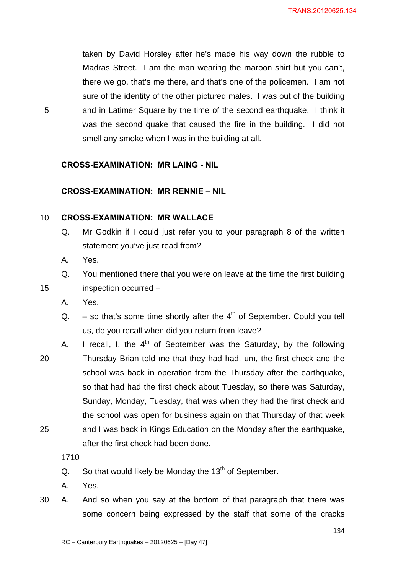taken by David Horsley after he's made his way down the rubble to Madras Street. I am the man wearing the maroon shirt but you can't, there we go, that's me there, and that's one of the policemen. I am not sure of the identity of the other pictured males. I was out of the building 5 and in Latimer Square by the time of the second earthquake. I think it was the second quake that caused the fire in the building. I did not smell any smoke when I was in the building at all.

#### **CROSS-EXAMINATION: MR LAING - NIL**

## **CROSS-EXAMINATION: MR RENNIE – NIL**

#### 10 **CROSS-EXAMINATION: MR WALLACE**

- Q. Mr Godkin if I could just refer you to your paragraph 8 of the written statement you've just read from?
- A. Yes.
- Q. You mentioned there that you were on leave at the time the first building 15 inspection occurred –
	- A. Yes.
	- Q.  $-$  so that's some time shortly after the  $4<sup>th</sup>$  of September. Could you tell us, do you recall when did you return from leave?
- A. I recall, I, the  $4<sup>th</sup>$  of September was the Saturday, by the following 20 Thursday Brian told me that they had had, um, the first check and the school was back in operation from the Thursday after the earthquake, so that had had the first check about Tuesday, so there was Saturday, Sunday, Monday, Tuesday, that was when they had the first check and the school was open for business again on that Thursday of that week 25 and I was back in Kings Education on the Monday after the earthquake, after the first check had been done.

1710

- Q. So that would likely be Monday the  $13<sup>th</sup>$  of September.
- A. Yes.
- 30 A. And so when you say at the bottom of that paragraph that there was some concern being expressed by the staff that some of the cracks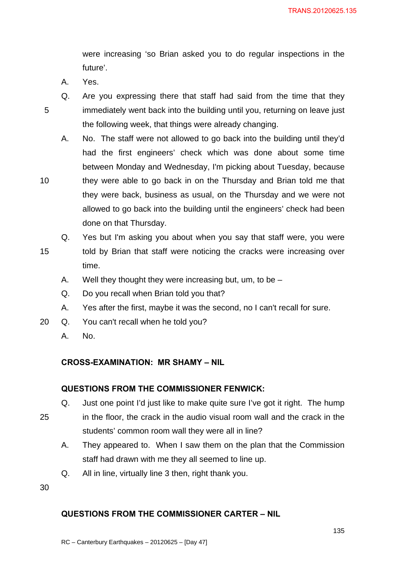were increasing 'so Brian asked you to do regular inspections in the future'.

- A. Yes.
- 
- 
- Q. Are you expressing there that staff had said from the time that they 5 immediately went back into the building until you, returning on leave just the following week, that things were already changing.
- A. No. The staff were not allowed to go back into the building until they'd had the first engineers' check which was done about some time between Monday and Wednesday, I'm picking about Tuesday, because 10 they were able to go back in on the Thursday and Brian told me that they were back, business as usual, on the Thursday and we were not allowed to go back into the building until the engineers' check had been done on that Thursday.
- Q. Yes but I'm asking you about when you say that staff were, you were 15 told by Brian that staff were noticing the cracks were increasing over time.
	- A. Well they thought they were increasing but, um, to be –
	- Q. Do you recall when Brian told you that?
	- A. Yes after the first, maybe it was the second, no I can't recall for sure.
- 20 Q. You can't recall when he told you?
	- A. No.

## **CROSS-EXAMINATION: MR SHAMY – NIL**

## **QUESTIONS FROM THE COMMISSIONER FENWICK:**

- Q. Just one point I'd just like to make quite sure I've got it right. The hump
- 25 in the floor, the crack in the audio visual room wall and the crack in the students' common room wall they were all in line?
	- A. They appeared to. When I saw them on the plan that the Commission staff had drawn with me they all seemed to line up.
	- Q. All in line, virtually line 3 then, right thank you.

30

## **QUESTIONS FROM THE COMMISSIONER CARTER – NIL**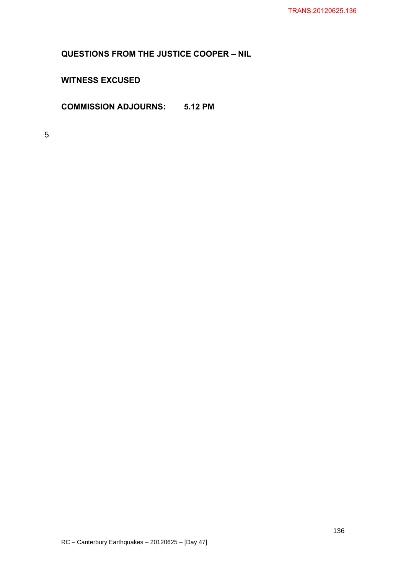**QUESTIONS FROM THE JUSTICE COOPER – NIL** 

**WITNESS EXCUSED** 

**COMMISSION ADJOURNS: 5.12 PM** 

5